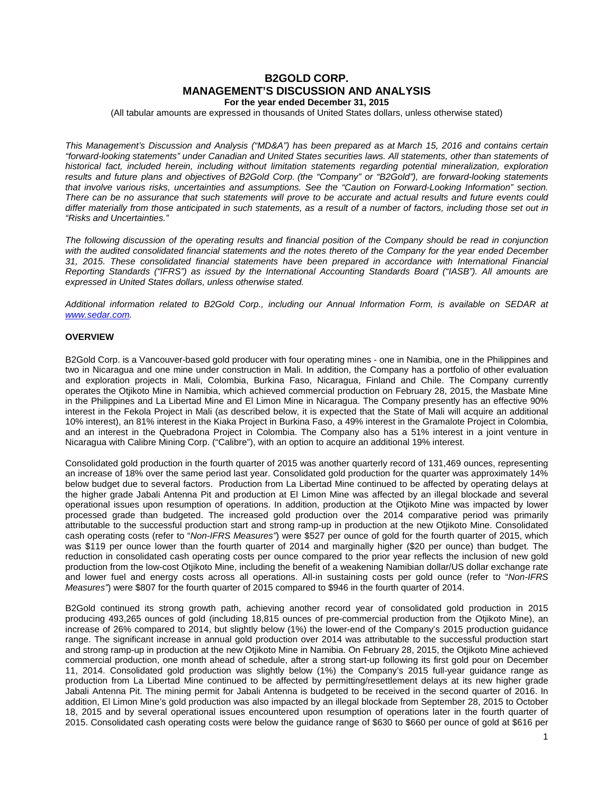# **B2GOLD CORP. MANAGEMENT'S DISCUSSION AND ANALYSIS For the year ended December 31, 2015**

(All tabular amounts are expressed in thousands of United States dollars, unless otherwise stated)

*This Management's Discussion and Analysis ("MD&A") has been prepared as at March 15, 2016 and contains certain "forward-looking statements" under Canadian and United States securities laws. All statements, other than statements of historical fact, included herein, including without limitation statements regarding potential mineralization, exploration results and future plans and objectives of B2Gold Corp. (the "Company" or "B2Gold"), are forward-looking statements that involve various risks, uncertainties and assumptions. See the "Caution on Forward-Looking Information" section. There can be no assurance that such statements will prove to be accurate and actual results and future events could differ materially from those anticipated in such statements, as a result of a number of factors, including those set out in "Risks and Uncertainties."*

*The following discussion of the operating results and financial position of the Company should be read in conjunction*  with the audited consolidated financial statements and the notes thereto of the Company for the year ended December *31, 2015. These consolidated financial statements have been prepared in accordance with International Financial Reporting Standards ("IFRS") as issued by the International Accounting Standards Board ("IASB"). All amounts are expressed in United States dollars, unless otherwise stated.*

*Additional information related to B2Gold Corp., including our Annual Information Form, is available on SEDAR at [www.sedar.com.](http://www.sedar.com/)*

# **OVERVIEW**

B2Gold Corp. is a Vancouver-based gold producer with four operating mines - one in Namibia, one in the Philippines and two in Nicaragua and one mine under construction in Mali. In addition, the Company has a portfolio of other evaluation and exploration projects in Mali, Colombia, Burkina Faso, Nicaragua, Finland and Chile. The Company currently operates the Otjikoto Mine in Namibia, which achieved commercial production on February 28, 2015, the Masbate Mine in the Philippines and La Libertad Mine and El Limon Mine in Nicaragua. The Company presently has an effective 90% interest in the Fekola Project in Mali (as described below, it is expected that the State of Mali will acquire an additional 10% interest), an 81% interest in the Kiaka Project in Burkina Faso, a 49% interest in the Gramalote Project in Colombia, and an interest in the Quebradona Project in Colombia. The Company also has a 51% interest in a joint venture in Nicaragua with Calibre Mining Corp. ("Calibre"), with an option to acquire an additional 19% interest.

Consolidated gold production in the fourth quarter of 2015 was another quarterly record of 131,469 ounces, representing an increase of 18% over the same period last year. Consolidated gold production for the quarter was approximately 14% below budget due to several factors. Production from La Libertad Mine continued to be affected by operating delays at the higher grade Jabali Antenna Pit and production at El Limon Mine was affected by an illegal blockade and several operational issues upon resumption of operations. In addition, production at the Otjikoto Mine was impacted by lower processed grade than budgeted. The increased gold production over the 2014 comparative period was primarily attributable to the successful production start and strong ramp-up in production at the new Otjikoto Mine. Consolidated cash operating costs (refer to "*Non-IFRS Measures"*) were \$527 per ounce of gold for the fourth quarter of 2015, which was \$119 per ounce lower than the fourth quarter of 2014 and marginally higher (\$20 per ounce) than budget. The reduction in consolidated cash operating costs per ounce compared to the prior year reflects the inclusion of new gold production from the low-cost Otjikoto Mine, including the benefit of a weakening Namibian dollar/US dollar exchange rate and lower fuel and energy costs across all operations. All-in sustaining costs per gold ounce (refer to "*Non-IFRS Measures"*) were \$807 for the fourth quarter of 2015 compared to \$946 in the fourth quarter of 2014.

B2Gold continued its strong growth path, achieving another record year of consolidated gold production in 2015 producing 493,265 ounces of gold (including 18,815 ounces of pre-commercial production from the Otjikoto Mine), an increase of 26% compared to 2014, but slightly below (1%) the lower-end of the Company's 2015 production guidance range. The significant increase in annual gold production over 2014 was attributable to the successful production start and strong ramp-up in production at the new Otjikoto Mine in Namibia. On February 28, 2015, the Otjikoto Mine achieved commercial production, one month ahead of schedule, after a strong start-up following its first gold pour on December 11, 2014. Consolidated gold production was slightly below (1%) the Company's 2015 full-year guidance range as production from La Libertad Mine continued to be affected by permitting/resettlement delays at its new higher grade Jabali Antenna Pit. The mining permit for Jabali Antenna is budgeted to be received in the second quarter of 2016. In addition, El Limon Mine's gold production was also impacted by an illegal blockade from September 28, 2015 to October 18, 2015 and by several operational issues encountered upon resumption of operations later in the fourth quarter of 2015. Consolidated cash operating costs were below the guidance range of \$630 to \$660 per ounce of gold at \$616 per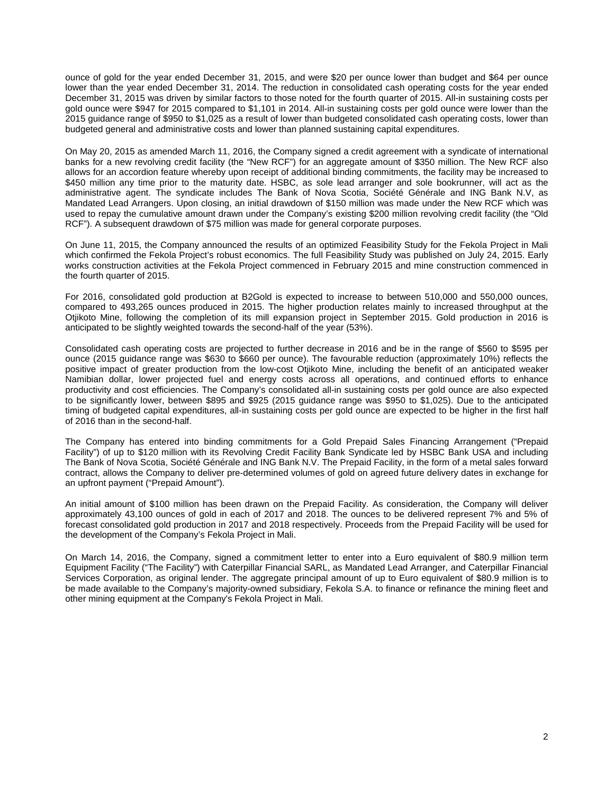ounce of gold for the year ended December 31, 2015, and were \$20 per ounce lower than budget and \$64 per ounce lower than the year ended December 31, 2014. The reduction in consolidated cash operating costs for the year ended December 31, 2015 was driven by similar factors to those noted for the fourth quarter of 2015. All-in sustaining costs per gold ounce were \$947 for 2015 compared to \$1,101 in 2014. All-in sustaining costs per gold ounce were lower than the 2015 guidance range of \$950 to \$1,025 as a result of lower than budgeted consolidated cash operating costs, lower than budgeted general and administrative costs and lower than planned sustaining capital expenditures.

On May 20, 2015 as amended March 11, 2016, the Company signed a credit agreement with a syndicate of international banks for a new revolving credit facility (the "New RCF") for an aggregate amount of \$350 million. The New RCF also allows for an accordion feature whereby upon receipt of additional binding commitments, the facility may be increased to \$450 million any time prior to the maturity date. HSBC, as sole lead arranger and sole bookrunner, will act as the administrative agent. The syndicate includes The Bank of Nova Scotia, Société Générale and ING Bank N.V, as Mandated Lead Arrangers. Upon closing, an initial drawdown of \$150 million was made under the New RCF which was used to repay the cumulative amount drawn under the Company's existing \$200 million revolving credit facility (the "Old RCF"). A subsequent drawdown of \$75 million was made for general corporate purposes.

On June 11, 2015, the Company announced the results of an optimized Feasibility Study for the Fekola Project in Mali which confirmed the Fekola Project's robust economics. The full Feasibility Study was published on July 24, 2015. Early works construction activities at the Fekola Project commenced in February 2015 and mine construction commenced in the fourth quarter of 2015.

For 2016, consolidated gold production at B2Gold is expected to increase to between 510,000 and 550,000 ounces, compared to 493,265 ounces produced in 2015. The higher production relates mainly to increased throughput at the Otjikoto Mine, following the completion of its mill expansion project in September 2015. Gold production in 2016 is anticipated to be slightly weighted towards the second-half of the year (53%).

Consolidated cash operating costs are projected to further decrease in 2016 and be in the range of \$560 to \$595 per ounce (2015 guidance range was \$630 to \$660 per ounce). The favourable reduction (approximately 10%) reflects the positive impact of greater production from the low-cost Otjikoto Mine, including the benefit of an anticipated weaker Namibian dollar, lower projected fuel and energy costs across all operations, and continued efforts to enhance productivity and cost efficiencies. The Company's consolidated all-in sustaining costs per gold ounce are also expected to be significantly lower, between \$895 and \$925 (2015 guidance range was \$950 to \$1,025). Due to the anticipated timing of budgeted capital expenditures, all-in sustaining costs per gold ounce are expected to be higher in the first half of 2016 than in the second-half.

The Company has entered into binding commitments for a Gold Prepaid Sales Financing Arrangement ("Prepaid Facility") of up to \$120 million with its Revolving Credit Facility Bank Syndicate led by HSBC Bank USA and including The Bank of Nova Scotia, Société Générale and ING Bank N.V. The Prepaid Facility, in the form of a metal sales forward contract, allows the Company to deliver pre-determined volumes of gold on agreed future delivery dates in exchange for an upfront payment ("Prepaid Amount").

An initial amount of \$100 million has been drawn on the Prepaid Facility. As consideration, the Company will deliver approximately 43,100 ounces of gold in each of 2017 and 2018. The ounces to be delivered represent 7% and 5% of forecast consolidated gold production in 2017 and 2018 respectively. Proceeds from the Prepaid Facility will be used for the development of the Company's Fekola Project in Mali.

On March 14, 2016, the Company, signed a commitment letter to enter into a Euro equivalent of \$80.9 million term Equipment Facility ("The Facility") with Caterpillar Financial SARL, as Mandated Lead Arranger, and Caterpillar Financial Services Corporation, as original lender. The aggregate principal amount of up to Euro equivalent of \$80.9 million is to be made available to the Company's majority-owned subsidiary, Fekola S.A. to finance or refinance the mining fleet and other mining equipment at the Company's Fekola Project in Mali.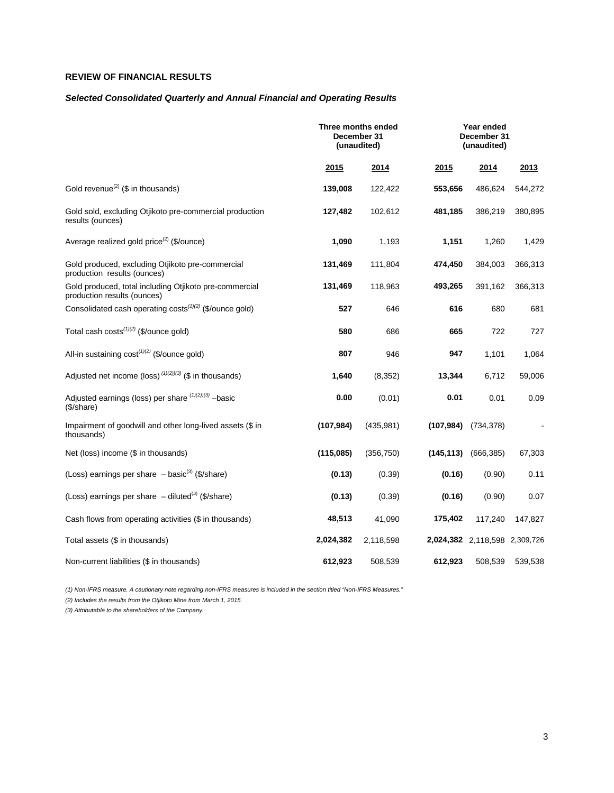# **REVIEW OF FINANCIAL RESULTS**

# *Selected Consolidated Quarterly and Annual Financial and Operating Results*

|                                                                                       | Three months ended<br>December 31<br>(unaudited) |            |            | Year ended<br>December 31<br>(unaudited) |         |
|---------------------------------------------------------------------------------------|--------------------------------------------------|------------|------------|------------------------------------------|---------|
|                                                                                       | 2015                                             | 2014       | 2015       | 2014                                     | 2013    |
| Gold revenue <sup>(2)</sup> (\$ in thousands)                                         | 139,008                                          | 122,422    | 553,656    | 486,624                                  | 544,272 |
| Gold sold, excluding Otjikoto pre-commercial production<br>results (ounces)           | 127,482                                          | 102,612    | 481,185    | 386,219                                  | 380,895 |
| Average realized gold price <sup>(2)</sup> (\$/ounce)                                 | 1,090                                            | 1,193      | 1,151      | 1,260                                    | 1,429   |
| Gold produced, excluding Otjikoto pre-commercial<br>production results (ounces)       | 131,469                                          | 111,804    | 474,450    | 384,003                                  | 366,313 |
| Gold produced, total including Otjikoto pre-commercial<br>production results (ounces) | 131,469                                          | 118,963    | 493,265    | 391,162                                  | 366,313 |
| Consolidated cash operating costs <sup>(1)(2)</sup> (\$/ounce gold)                   | 527                                              | 646        | 616        | 680                                      | 681     |
| Total cash costs <sup>(1)(2)</sup> (\$/ounce gold)                                    | 580                                              | 686        | 665        | 722                                      | 727     |
| All-in sustaining $cost^{(1)(2)}$ (\$/ounce gold)                                     | 807                                              | 946        | 947        | 1,101                                    | 1,064   |
| Adjusted net income (loss) $(1)(2)/(3)$ (\$ in thousands)                             | 1,640                                            | (8, 352)   | 13,344     | 6,712                                    | 59,006  |
| Adjusted earnings (loss) per share $(1)(2)/(3)$ -basic<br>(\$/share)                  | 0.00                                             | (0.01)     | 0.01       | 0.01                                     | 0.09    |
| Impairment of goodwill and other long-lived assets (\$ in<br>thousands)               | (107, 984)                                       | (435, 981) | (107, 984) | (734, 378)                               |         |
| Net (loss) income (\$ in thousands)                                                   | (115,085)                                        | (356, 750) | (145, 113) | (666, 385)                               | 67,303  |
| (Loss) earnings per share $-$ basic <sup>(3)</sup> (\$/share)                         | (0.13)                                           | (0.39)     | (0.16)     | (0.90)                                   | 0.11    |
| (Loss) earnings per share $-$ diluted <sup>(3)</sup> (\$/share)                       | (0.13)                                           | (0.39)     | (0.16)     | (0.90)                                   | 0.07    |
| Cash flows from operating activities (\$ in thousands)                                | 48,513                                           | 41,090     | 175,402    | 117,240                                  | 147,827 |
| Total assets (\$ in thousands)                                                        | 2,024,382                                        | 2,118,598  |            | 2,024,382 2,118,598 2,309,726            |         |
| Non-current liabilities (\$ in thousands)                                             | 612,923                                          | 508,539    | 612,923    | 508,539                                  | 539,538 |

*(1) Non-IFRS measure. A cautionary note regarding non-IFRS measures is included in the section titled "Non-IFRS Measures."* 

*(2) Includes the results from the Otjikoto Mine from March 1, 2015.*

*(3) Attributable to the shareholders of the Company.*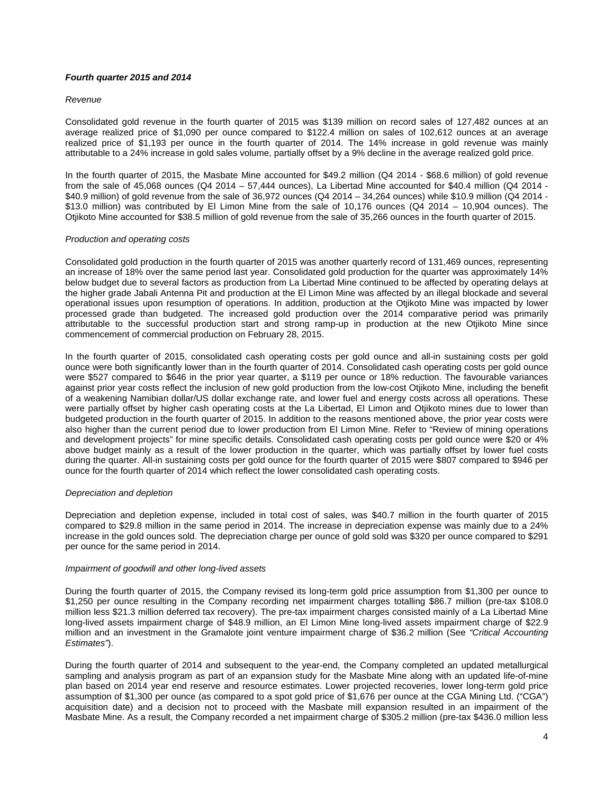# *Fourth quarter 2015 and 2014*

### *Revenue*

Consolidated gold revenue in the fourth quarter of 2015 was \$139 million on record sales of 127,482 ounces at an average realized price of \$1,090 per ounce compared to \$122.4 million on sales of 102,612 ounces at an average realized price of \$1,193 per ounce in the fourth quarter of 2014. The 14% increase in gold revenue was mainly attributable to a 24% increase in gold sales volume, partially offset by a 9% decline in the average realized gold price.

In the fourth quarter of 2015, the Masbate Mine accounted for \$49.2 million (Q4 2014 - \$68.6 million) of gold revenue from the sale of 45,068 ounces (Q4 2014 – 57,444 ounces), La Libertad Mine accounted for \$40.4 million (Q4 2014 - \$40.9 million) of gold revenue from the sale of 36,972 ounces (Q4 2014 – 34,264 ounces) while \$10.9 million (Q4 2014 - \$13.0 million) was contributed by El Limon Mine from the sale of 10,176 ounces (Q4 2014 – 10,904 ounces). The Otjikoto Mine accounted for \$38.5 million of gold revenue from the sale of 35,266 ounces in the fourth quarter of 2015.

### *Production and operating costs*

Consolidated gold production in the fourth quarter of 2015 was another quarterly record of 131,469 ounces, representing an increase of 18% over the same period last year. Consolidated gold production for the quarter was approximately 14% below budget due to several factors as production from La Libertad Mine continued to be affected by operating delays at the higher grade Jabali Antenna Pit and production at the El Limon Mine was affected by an illegal blockade and several operational issues upon resumption of operations. In addition, production at the Otjikoto Mine was impacted by lower processed grade than budgeted. The increased gold production over the 2014 comparative period was primarily attributable to the successful production start and strong ramp-up in production at the new Otjikoto Mine since commencement of commercial production on February 28, 2015.

In the fourth quarter of 2015, consolidated cash operating costs per gold ounce and all-in sustaining costs per gold ounce were both significantly lower than in the fourth quarter of 2014. Consolidated cash operating costs per gold ounce were \$527 compared to \$646 in the prior year quarter, a \$119 per ounce or 18% reduction. The favourable variances against prior year costs reflect the inclusion of new gold production from the low-cost Otjikoto Mine, including the benefit of a weakening Namibian dollar/US dollar exchange rate, and lower fuel and energy costs across all operations. These were partially offset by higher cash operating costs at the La Libertad, El Limon and Otjikoto mines due to lower than budgeted production in the fourth quarter of 2015. In addition to the reasons mentioned above, the prior year costs were also higher than the current period due to lower production from El Limon Mine. Refer to "Review of mining operations and development projects" for mine specific details. Consolidated cash operating costs per gold ounce were \$20 or 4% above budget mainly as a result of the lower production in the quarter, which was partially offset by lower fuel costs during the quarter. All-in sustaining costs per gold ounce for the fourth quarter of 2015 were \$807 compared to \$946 per ounce for the fourth quarter of 2014 which reflect the lower consolidated cash operating costs.

# *Depreciation and depletion*

Depreciation and depletion expense, included in total cost of sales, was \$40.7 million in the fourth quarter of 2015 compared to \$29.8 million in the same period in 2014. The increase in depreciation expense was mainly due to a 24% increase in the gold ounces sold. The depreciation charge per ounce of gold sold was \$320 per ounce compared to \$291 per ounce for the same period in 2014.

#### *Impairment of goodwill and other long-lived assets*

During the fourth quarter of 2015, the Company revised its long-term gold price assumption from \$1,300 per ounce to \$1,250 per ounce resulting in the Company recording net impairment charges totalling \$86.7 million (pre-tax \$108.0 million less \$21.3 million deferred tax recovery). The pre-tax impairment charges consisted mainly of a La Libertad Mine long-lived assets impairment charge of \$48.9 million, an El Limon Mine long-lived assets impairment charge of \$22.9 million and an investment in the Gramalote joint venture impairment charge of \$36.2 million (See *"Critical Accounting Estimates"*).

During the fourth quarter of 2014 and subsequent to the year-end, the Company completed an updated metallurgical sampling and analysis program as part of an expansion study for the Masbate Mine along with an updated life-of-mine plan based on 2014 year end reserve and resource estimates. Lower projected recoveries, lower long-term gold price assumption of \$1,300 per ounce (as compared to a spot gold price of \$1,676 per ounce at the CGA Mining Ltd. ("CGA") acquisition date) and a decision not to proceed with the Masbate mill expansion resulted in an impairment of the Masbate Mine. As a result, the Company recorded a net impairment charge of \$305.2 million (pre-tax \$436.0 million less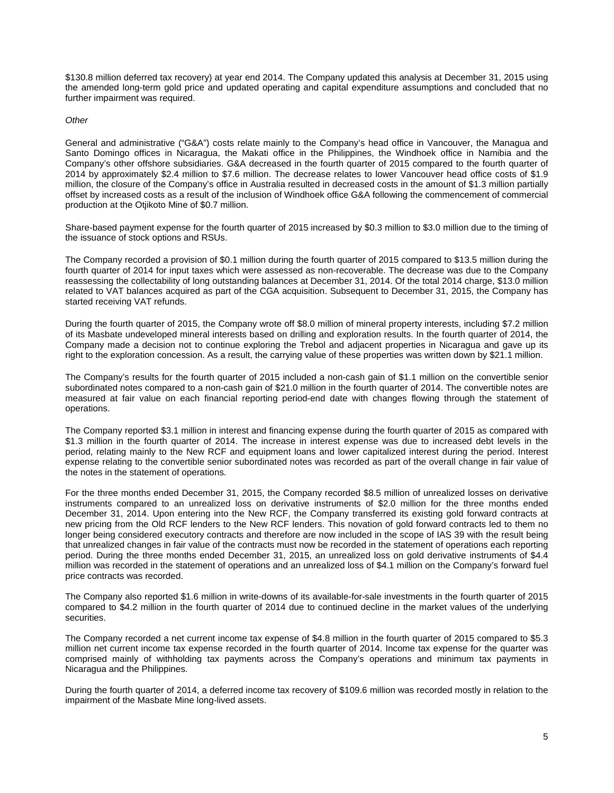\$130.8 million deferred tax recovery) at year end 2014. The Company updated this analysis at December 31, 2015 using the amended long-term gold price and updated operating and capital expenditure assumptions and concluded that no further impairment was required.

## *Other*

General and administrative ("G&A") costs relate mainly to the Company's head office in Vancouver, the Managua and Santo Domingo offices in Nicaragua, the Makati office in the Philippines, the Windhoek office in Namibia and the Company's other offshore subsidiaries. G&A decreased in the fourth quarter of 2015 compared to the fourth quarter of 2014 by approximately \$2.4 million to \$7.6 million. The decrease relates to lower Vancouver head office costs of \$1.9 million, the closure of the Company's office in Australia resulted in decreased costs in the amount of \$1.3 million partially offset by increased costs as a result of the inclusion of Windhoek office G&A following the commencement of commercial production at the Otjikoto Mine of \$0.7 million.

Share-based payment expense for the fourth quarter of 2015 increased by \$0.3 million to \$3.0 million due to the timing of the issuance of stock options and RSUs.

The Company recorded a provision of \$0.1 million during the fourth quarter of 2015 compared to \$13.5 million during the fourth quarter of 2014 for input taxes which were assessed as non-recoverable. The decrease was due to the Company reassessing the collectability of long outstanding balances at December 31, 2014. Of the total 2014 charge, \$13.0 million related to VAT balances acquired as part of the CGA acquisition. Subsequent to December 31, 2015, the Company has started receiving VAT refunds.

During the fourth quarter of 2015, the Company wrote off \$8.0 million of mineral property interests, including \$7.2 million of its Masbate undeveloped mineral interests based on drilling and exploration results. In the fourth quarter of 2014, the Company made a decision not to continue exploring the Trebol and adjacent properties in Nicaragua and gave up its right to the exploration concession. As a result, the carrying value of these properties was written down by \$21.1 million.

The Company's results for the fourth quarter of 2015 included a non-cash gain of \$1.1 million on the convertible senior subordinated notes compared to a non-cash gain of \$21.0 million in the fourth quarter of 2014. The convertible notes are measured at fair value on each financial reporting period-end date with changes flowing through the statement of operations.

The Company reported \$3.1 million in interest and financing expense during the fourth quarter of 2015 as compared with \$1.3 million in the fourth quarter of 2014. The increase in interest expense was due to increased debt levels in the period, relating mainly to the New RCF and equipment loans and lower capitalized interest during the period. Interest expense relating to the convertible senior subordinated notes was recorded as part of the overall change in fair value of the notes in the statement of operations.

For the three months ended December 31, 2015, the Company recorded \$8.5 million of unrealized losses on derivative instruments compared to an unrealized loss on derivative instruments of \$2.0 million for the three months ended December 31, 2014. Upon entering into the New RCF, the Company transferred its existing gold forward contracts at new pricing from the Old RCF lenders to the New RCF lenders. This novation of gold forward contracts led to them no longer being considered executory contracts and therefore are now included in the scope of IAS 39 with the result being that unrealized changes in fair value of the contracts must now be recorded in the statement of operations each reporting period. During the three months ended December 31, 2015, an unrealized loss on gold derivative instruments of \$4.4 million was recorded in the statement of operations and an unrealized loss of \$4.1 million on the Company's forward fuel price contracts was recorded.

The Company also reported \$1.6 million in write-downs of its available-for-sale investments in the fourth quarter of 2015 compared to \$4.2 million in the fourth quarter of 2014 due to continued decline in the market values of the underlying securities.

The Company recorded a net current income tax expense of \$4.8 million in the fourth quarter of 2015 compared to \$5.3 million net current income tax expense recorded in the fourth quarter of 2014. Income tax expense for the quarter was comprised mainly of withholding tax payments across the Company's operations and minimum tax payments in Nicaragua and the Philippines.

During the fourth quarter of 2014, a deferred income tax recovery of \$109.6 million was recorded mostly in relation to the impairment of the Masbate Mine long-lived assets.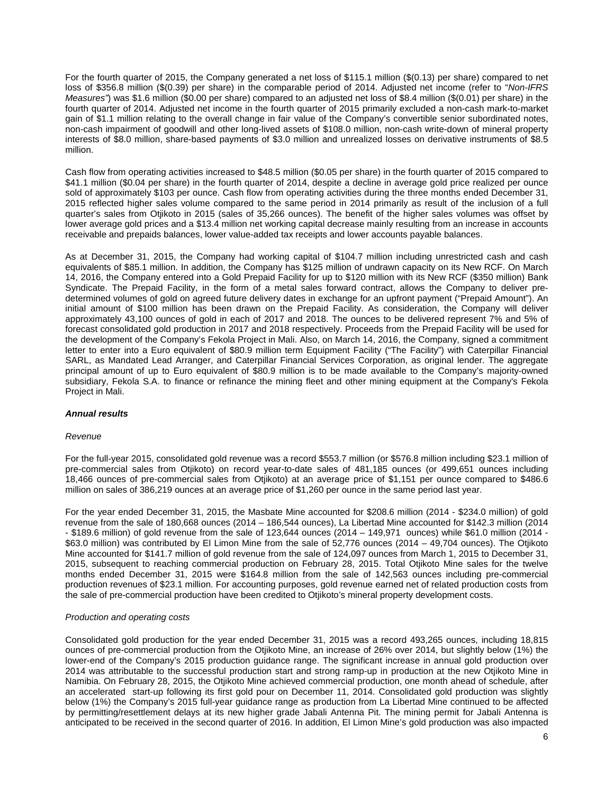For the fourth quarter of 2015, the Company generated a net loss of \$115.1 million (\$(0.13) per share) compared to net loss of \$356.8 million (\$(0.39) per share) in the comparable period of 2014. Adjusted net income (refer to "*Non-IFRS Measures"*) was \$1.6 million (\$0.00 per share) compared to an adjusted net loss of \$8.4 million (\$(0.01) per share) in the fourth quarter of 2014. Adjusted net income in the fourth quarter of 2015 primarily excluded a non-cash mark-to-market gain of \$1.1 million relating to the overall change in fair value of the Company's convertible senior subordinated notes, non-cash impairment of goodwill and other long-lived assets of \$108.0 million, non-cash write-down of mineral property interests of \$8.0 million, share-based payments of \$3.0 million and unrealized losses on derivative instruments of \$8.5 million.

Cash flow from operating activities increased to \$48.5 million (\$0.05 per share) in the fourth quarter of 2015 compared to \$41.1 million (\$0.04 per share) in the fourth quarter of 2014, despite a decline in average gold price realized per ounce sold of approximately \$103 per ounce. Cash flow from operating activities during the three months ended December 31, 2015 reflected higher sales volume compared to the same period in 2014 primarily as result of the inclusion of a full quarter's sales from Otjikoto in 2015 (sales of 35,266 ounces). The benefit of the higher sales volumes was offset by lower average gold prices and a \$13.4 million net working capital decrease mainly resulting from an increase in accounts receivable and prepaids balances, lower value-added tax receipts and lower accounts payable balances.

As at December 31, 2015, the Company had working capital of \$104.7 million including unrestricted cash and cash equivalents of \$85.1 million. In addition, the Company has \$125 million of undrawn capacity on its New RCF. On March 14, 2016, the Company entered into a Gold Prepaid Facility for up to \$120 million with its New RCF (\$350 million) Bank Syndicate. The Prepaid Facility, in the form of a metal sales forward contract, allows the Company to deliver predetermined volumes of gold on agreed future delivery dates in exchange for an upfront payment ("Prepaid Amount"). An initial amount of \$100 million has been drawn on the Prepaid Facility. As consideration, the Company will deliver approximately 43,100 ounces of gold in each of 2017 and 2018. The ounces to be delivered represent 7% and 5% of forecast consolidated gold production in 2017 and 2018 respectively. Proceeds from the Prepaid Facility will be used for the development of the Company's Fekola Project in Mali. Also, on March 14, 2016, the Company, signed a commitment letter to enter into a Euro equivalent of \$80.9 million term Equipment Facility ("The Facility") with Caterpillar Financial SARL, as Mandated Lead Arranger, and Caterpillar Financial Services Corporation, as original lender. The aggregate principal amount of up to Euro equivalent of \$80.9 million is to be made available to the Company's majority-owned subsidiary, Fekola S.A. to finance or refinance the mining fleet and other mining equipment at the Company's Fekola Project in Mali.

# *Annual results*

#### *Revenue*

For the full-year 2015, consolidated gold revenue was a record \$553.7 million (or \$576.8 million including \$23.1 million of pre-commercial sales from Otjikoto) on record year-to-date sales of 481,185 ounces (or 499,651 ounces including 18,466 ounces of pre-commercial sales from Otjikoto) at an average price of \$1,151 per ounce compared to \$486.6 million on sales of 386,219 ounces at an average price of \$1,260 per ounce in the same period last year.

For the year ended December 31, 2015, the Masbate Mine accounted for \$208.6 million (2014 - \$234.0 million) of gold revenue from the sale of 180,668 ounces (2014 – 186,544 ounces), La Libertad Mine accounted for \$142.3 million (2014 - \$189.6 million) of gold revenue from the sale of 123,644 ounces (2014 – 149,971 ounces) while \$61.0 million (2014 - \$63.0 million) was contributed by El Limon Mine from the sale of 52,776 ounces (2014 – 49,704 ounces). The Otjikoto Mine accounted for \$141.7 million of gold revenue from the sale of 124,097 ounces from March 1, 2015 to December 31, 2015, subsequent to reaching commercial production on February 28, 2015. Total Otjikoto Mine sales for the twelve months ended December 31, 2015 were \$164.8 million from the sale of 142,563 ounces including pre-commercial production revenues of \$23.1 million. For accounting purposes, gold revenue earned net of related production costs from the sale of pre-commercial production have been credited to Otjikoto's mineral property development costs.

#### *Production and operating costs*

Consolidated gold production for the year ended December 31, 2015 was a record 493,265 ounces, including 18,815 ounces of pre-commercial production from the Otjikoto Mine, an increase of 26% over 2014, but slightly below (1%) the lower-end of the Company's 2015 production guidance range. The significant increase in annual gold production over 2014 was attributable to the successful production start and strong ramp-up in production at the new Otjikoto Mine in Namibia. On February 28, 2015, the Otjikoto Mine achieved commercial production, one month ahead of schedule, after an accelerated start-up following its first gold pour on December 11, 2014. Consolidated gold production was slightly below (1%) the Company's 2015 full-year guidance range as production from La Libertad Mine continued to be affected by permitting/resettlement delays at its new higher grade Jabali Antenna Pit. The mining permit for Jabali Antenna is anticipated to be received in the second quarter of 2016. In addition, El Limon Mine's gold production was also impacted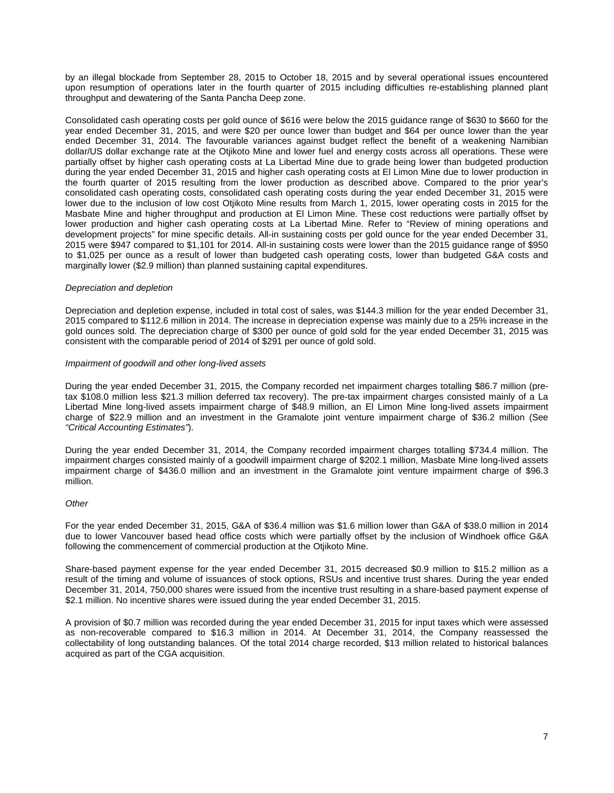by an illegal blockade from September 28, 2015 to October 18, 2015 and by several operational issues encountered upon resumption of operations later in the fourth quarter of 2015 including difficulties re-establishing planned plant throughput and dewatering of the Santa Pancha Deep zone.

Consolidated cash operating costs per gold ounce of \$616 were below the 2015 guidance range of \$630 to \$660 for the year ended December 31, 2015, and were \$20 per ounce lower than budget and \$64 per ounce lower than the year ended December 31, 2014. The favourable variances against budget reflect the benefit of a weakening Namibian dollar/US dollar exchange rate at the Otjikoto Mine and lower fuel and energy costs across all operations. These were partially offset by higher cash operating costs at La Libertad Mine due to grade being lower than budgeted production during the year ended December 31, 2015 and higher cash operating costs at El Limon Mine due to lower production in the fourth quarter of 2015 resulting from the lower production as described above. Compared to the prior year's consolidated cash operating costs, consolidated cash operating costs during the year ended December 31, 2015 were lower due to the inclusion of low cost Otjikoto Mine results from March 1, 2015, lower operating costs in 2015 for the Masbate Mine and higher throughput and production at El Limon Mine. These cost reductions were partially offset by lower production and higher cash operating costs at La Libertad Mine. Refer to "Review of mining operations and development projects" for mine specific details. All-in sustaining costs per gold ounce for the year ended December 31, 2015 were \$947 compared to \$1,101 for 2014. All-in sustaining costs were lower than the 2015 guidance range of \$950 to \$1,025 per ounce as a result of lower than budgeted cash operating costs, lower than budgeted G&A costs and marginally lower (\$2.9 million) than planned sustaining capital expenditures.

### *Depreciation and depletion*

Depreciation and depletion expense, included in total cost of sales, was \$144.3 million for the year ended December 31, 2015 compared to \$112.6 million in 2014. The increase in depreciation expense was mainly due to a 25% increase in the gold ounces sold. The depreciation charge of \$300 per ounce of gold sold for the year ended December 31, 2015 was consistent with the comparable period of 2014 of \$291 per ounce of gold sold.

### *Impairment of goodwill and other long-lived assets*

During the year ended December 31, 2015, the Company recorded net impairment charges totalling \$86.7 million (pretax \$108.0 million less \$21.3 million deferred tax recovery). The pre-tax impairment charges consisted mainly of a La Libertad Mine long-lived assets impairment charge of \$48.9 million, an El Limon Mine long-lived assets impairment charge of \$22.9 million and an investment in the Gramalote joint venture impairment charge of \$36.2 million (See *"Critical Accounting Estimates"*).

During the year ended December 31, 2014, the Company recorded impairment charges totalling \$734.4 million. The impairment charges consisted mainly of a goodwill impairment charge of \$202.1 million, Masbate Mine long-lived assets impairment charge of \$436.0 million and an investment in the Gramalote joint venture impairment charge of \$96.3 million.

# *Other*

For the year ended December 31, 2015, G&A of \$36.4 million was \$1.6 million lower than G&A of \$38.0 million in 2014 due to lower Vancouver based head office costs which were partially offset by the inclusion of Windhoek office G&A following the commencement of commercial production at the Otjikoto Mine.

Share-based payment expense for the year ended December 31, 2015 decreased \$0.9 million to \$15.2 million as a result of the timing and volume of issuances of stock options, RSUs and incentive trust shares. During the year ended December 31, 2014, 750,000 shares were issued from the incentive trust resulting in a share-based payment expense of \$2.1 million. No incentive shares were issued during the year ended December 31, 2015.

A provision of \$0.7 million was recorded during the year ended December 31, 2015 for input taxes which were assessed as non-recoverable compared to \$16.3 million in 2014. At December 31, 2014, the Company reassessed the collectability of long outstanding balances. Of the total 2014 charge recorded, \$13 million related to historical balances acquired as part of the CGA acquisition.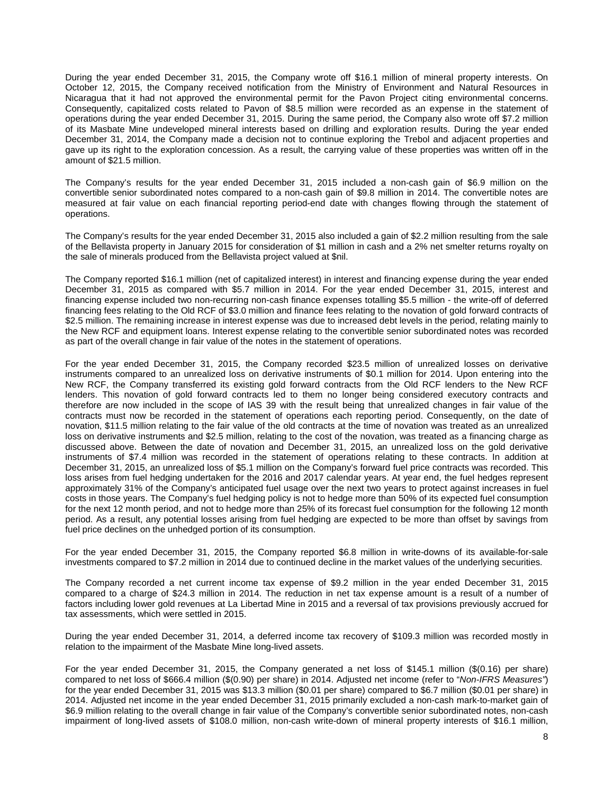During the year ended December 31, 2015, the Company wrote off \$16.1 million of mineral property interests. On October 12, 2015, the Company received notification from the Ministry of Environment and Natural Resources in Nicaragua that it had not approved the environmental permit for the Pavon Project citing environmental concerns. Consequently, capitalized costs related to Pavon of \$8.5 million were recorded as an expense in the statement of operations during the year ended December 31, 2015. During the same period, the Company also wrote off \$7.2 million of its Masbate Mine undeveloped mineral interests based on drilling and exploration results. During the year ended December 31, 2014, the Company made a decision not to continue exploring the Trebol and adjacent properties and gave up its right to the exploration concession. As a result, the carrying value of these properties was written off in the amount of \$21.5 million.

The Company's results for the year ended December 31, 2015 included a non-cash gain of \$6.9 million on the convertible senior subordinated notes compared to a non-cash gain of \$9.8 million in 2014. The convertible notes are measured at fair value on each financial reporting period-end date with changes flowing through the statement of operations.

The Company's results for the year ended December 31, 2015 also included a gain of \$2.2 million resulting from the sale of the Bellavista property in January 2015 for consideration of \$1 million in cash and a 2% net smelter returns royalty on the sale of minerals produced from the Bellavista project valued at \$nil.

The Company reported \$16.1 million (net of capitalized interest) in interest and financing expense during the year ended December 31, 2015 as compared with \$5.7 million in 2014. For the year ended December 31, 2015, interest and financing expense included two non-recurring non-cash finance expenses totalling \$5.5 million - the write-off of deferred financing fees relating to the Old RCF of \$3.0 million and finance fees relating to the novation of gold forward contracts of \$2.5 million. The remaining increase in interest expense was due to increased debt levels in the period, relating mainly to the New RCF and equipment loans. Interest expense relating to the convertible senior subordinated notes was recorded as part of the overall change in fair value of the notes in the statement of operations.

For the year ended December 31, 2015, the Company recorded \$23.5 million of unrealized losses on derivative instruments compared to an unrealized loss on derivative instruments of \$0.1 million for 2014. Upon entering into the New RCF, the Company transferred its existing gold forward contracts from the Old RCF lenders to the New RCF lenders. This novation of gold forward contracts led to them no longer being considered executory contracts and therefore are now included in the scope of IAS 39 with the result being that unrealized changes in fair value of the contracts must now be recorded in the statement of operations each reporting period. Consequently, on the date of novation, \$11.5 million relating to the fair value of the old contracts at the time of novation was treated as an unrealized loss on derivative instruments and \$2.5 million, relating to the cost of the novation, was treated as a financing charge as discussed above. Between the date of novation and December 31, 2015, an unrealized loss on the gold derivative instruments of \$7.4 million was recorded in the statement of operations relating to these contracts. In addition at December 31, 2015, an unrealized loss of \$5.1 million on the Company's forward fuel price contracts was recorded. This loss arises from fuel hedging undertaken for the 2016 and 2017 calendar years. At year end, the fuel hedges represent approximately 31% of the Company's anticipated fuel usage over the next two years to protect against increases in fuel costs in those years. The Company's fuel hedging policy is not to hedge more than 50% of its expected fuel consumption for the next 12 month period, and not to hedge more than 25% of its forecast fuel consumption for the following 12 month period. As a result, any potential losses arising from fuel hedging are expected to be more than offset by savings from fuel price declines on the unhedged portion of its consumption.

For the year ended December 31, 2015, the Company reported \$6.8 million in write-downs of its available-for-sale investments compared to \$7.2 million in 2014 due to continued decline in the market values of the underlying securities.

The Company recorded a net current income tax expense of \$9.2 million in the year ended December 31, 2015 compared to a charge of \$24.3 million in 2014. The reduction in net tax expense amount is a result of a number of factors including lower gold revenues at La Libertad Mine in 2015 and a reversal of tax provisions previously accrued for tax assessments, which were settled in 2015.

During the year ended December 31, 2014, a deferred income tax recovery of \$109.3 million was recorded mostly in relation to the impairment of the Masbate Mine long-lived assets.

For the year ended December 31, 2015, the Company generated a net loss of \$145.1 million (\$(0.16) per share) compared to net loss of \$666.4 million (\$(0.90) per share) in 2014. Adjusted net income (refer to "*Non-IFRS Measures"*) for the year ended December 31, 2015 was \$13.3 million (\$0.01 per share) compared to \$6.7 million (\$0.01 per share) in 2014. Adjusted net income in the year ended December 31, 2015 primarily excluded a non-cash mark-to-market gain of \$6.9 million relating to the overall change in fair value of the Company's convertible senior subordinated notes, non-cash impairment of long-lived assets of \$108.0 million, non-cash write-down of mineral property interests of \$16.1 million,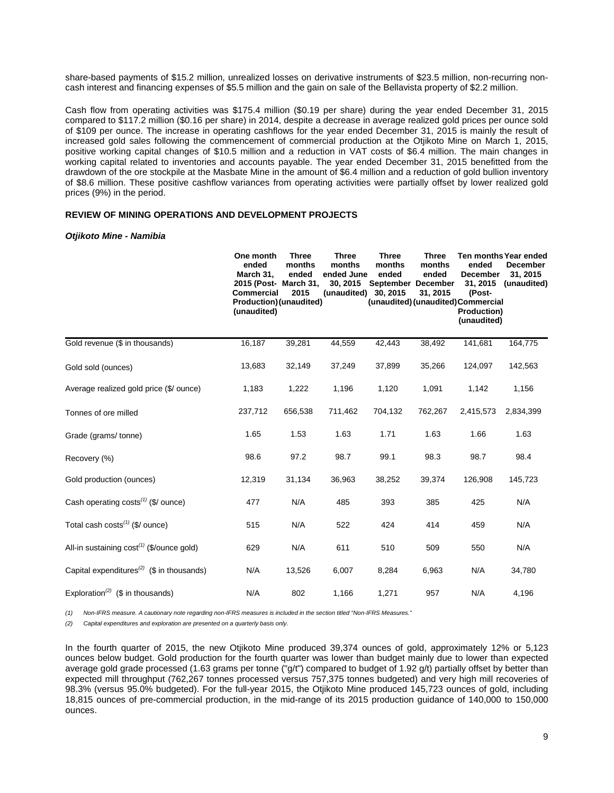share-based payments of \$15.2 million, unrealized losses on derivative instruments of \$23.5 million, non-recurring noncash interest and financing expenses of \$5.5 million and the gain on sale of the Bellavista property of \$2.2 million.

Cash flow from operating activities was \$175.4 million (\$0.19 per share) during the year ended December 31, 2015 compared to \$117.2 million (\$0.16 per share) in 2014, despite a decrease in average realized gold prices per ounce sold of \$109 per ounce. The increase in operating cashflows for the year ended December 31, 2015 is mainly the result of increased gold sales following the commencement of commercial production at the Otjikoto Mine on March 1, 2015, positive working capital changes of \$10.5 million and a reduction in VAT costs of \$6.4 million. The main changes in working capital related to inventories and accounts payable. The year ended December 31, 2015 benefitted from the drawdown of the ore stockpile at the Masbate Mine in the amount of \$6.4 million and a reduction of gold bullion inventory of \$8.6 million. These positive cashflow variances from operating activities were partially offset by lower realized gold prices (9%) in the period.

# **REVIEW OF MINING OPERATIONS AND DEVELOPMENT PROJECTS**

### *Otjikoto Mine - Namibia*

|                                                       | One month<br>ended<br>March 31,<br>2015 (Post- March 31,<br><b>Commercial</b><br>Production) (unaudited)<br>(unaudited) | <b>Three</b><br>months<br>ended<br>2015 | <b>Three</b><br>months<br>ended June<br>30, 2015<br>(unaudited) | <b>Three</b><br>months<br>ended<br>September December<br>30, 2015 | <b>Three</b><br>months<br>ended<br>31, 2015 | ended<br><b>December</b><br>31, 2015<br>(Post-<br>(unaudited) (unaudited) Commercial<br>Production)<br>(unaudited) | Ten months Year ended<br><b>December</b><br>31, 2015<br>(unaudited) |
|-------------------------------------------------------|-------------------------------------------------------------------------------------------------------------------------|-----------------------------------------|-----------------------------------------------------------------|-------------------------------------------------------------------|---------------------------------------------|--------------------------------------------------------------------------------------------------------------------|---------------------------------------------------------------------|
| Gold revenue (\$ in thousands)                        | 16,187                                                                                                                  | 39,281                                  | 44,559                                                          | 42,443                                                            | 38,492                                      | 141,681                                                                                                            | 164,775                                                             |
| Gold sold (ounces)                                    | 13,683                                                                                                                  | 32,149                                  | 37,249                                                          | 37,899                                                            | 35,266                                      | 124,097                                                                                                            | 142,563                                                             |
| Average realized gold price (\$/ ounce)               | 1,183                                                                                                                   | 1,222                                   | 1,196                                                           | 1,120                                                             | 1,091                                       | 1,142                                                                                                              | 1,156                                                               |
| Tonnes of ore milled                                  | 237,712                                                                                                                 | 656,538                                 | 711,462                                                         | 704,132                                                           | 762,267                                     | 2,415,573                                                                                                          | 2,834,399                                                           |
| Grade (grams/tonne)                                   | 1.65                                                                                                                    | 1.53                                    | 1.63                                                            | 1.71                                                              | 1.63                                        | 1.66                                                                                                               | 1.63                                                                |
| Recovery (%)                                          | 98.6                                                                                                                    | 97.2                                    | 98.7                                                            | 99.1                                                              | 98.3                                        | 98.7                                                                                                               | 98.4                                                                |
| Gold production (ounces)                              | 12,319                                                                                                                  | 31,134                                  | 36,963                                                          | 38,252                                                            | 39,374                                      | 126,908                                                                                                            | 145,723                                                             |
| Cash operating costs $(1)$ (\$/ ounce)                | 477                                                                                                                     | N/A                                     | 485                                                             | 393                                                               | 385                                         | 425                                                                                                                | N/A                                                                 |
| Total cash $costs^{(1)}$ (\$/ ounce)                  | 515                                                                                                                     | N/A                                     | 522                                                             | 424                                                               | 414                                         | 459                                                                                                                | N/A                                                                 |
| All-in sustaining cost <sup>(1)</sup> (\$/ounce gold) | 629                                                                                                                     | N/A                                     | 611                                                             | 510                                                               | 509                                         | 550                                                                                                                | N/A                                                                 |
| Capital expenditures <sup>(2)</sup> (\$ in thousands) | N/A                                                                                                                     | 13,526                                  | 6,007                                                           | 8,284                                                             | 6,963                                       | N/A                                                                                                                | 34,780                                                              |
| Exploration <sup>(2)</sup> (\$ in thousands)          | N/A                                                                                                                     | 802                                     | 1,166                                                           | 1,271                                                             | 957                                         | N/A                                                                                                                | 4,196                                                               |

*(1) Non-IFRS measure. A cautionary note regarding non-IFRS measures is included in the section titled "Non-IFRS Measures."*

*(2) Capital expenditures and exploration are presented on a quarterly basis only.*

In the fourth quarter of 2015, the new Otjikoto Mine produced 39,374 ounces of gold, approximately 12% or 5,123 ounces below budget. Gold production for the fourth quarter was lower than budget mainly due to lower than expected average gold grade processed (1.63 grams per tonne ("g/t") compared to budget of 1.92 g/t) partially offset by better than expected mill throughput (762,267 tonnes processed versus 757,375 tonnes budgeted) and very high mill recoveries of 98.3% (versus 95.0% budgeted). For the full-year 2015, the Otjikoto Mine produced 145,723 ounces of gold, including 18,815 ounces of pre-commercial production, in the mid-range of its 2015 production guidance of 140,000 to 150,000 ounces.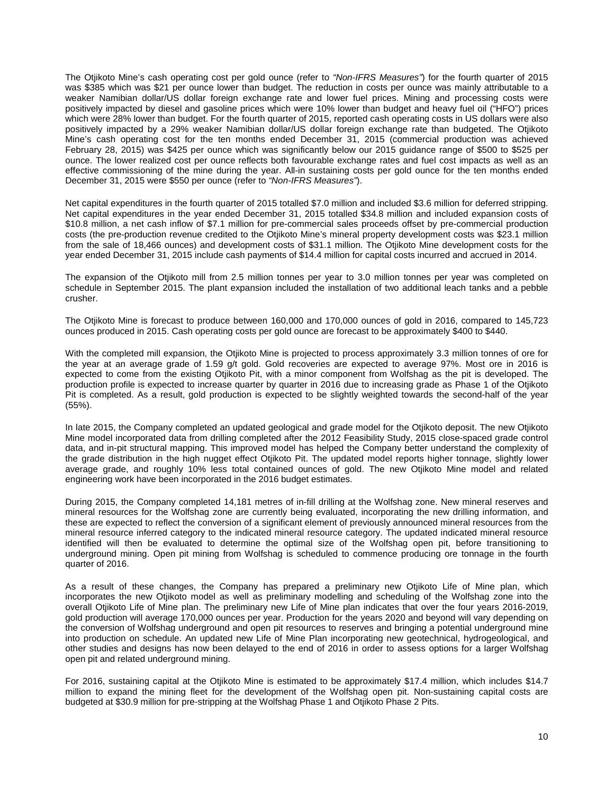The Otjikoto Mine's cash operating cost per gold ounce (refer to *"Non-IFRS Measures"*) for the fourth quarter of 2015 was \$385 which was \$21 per ounce lower than budget. The reduction in costs per ounce was mainly attributable to a weaker Namibian dollar/US dollar foreign exchange rate and lower fuel prices. Mining and processing costs were positively impacted by diesel and gasoline prices which were 10% lower than budget and heavy fuel oil ("HFO") prices which were 28% lower than budget. For the fourth quarter of 2015, reported cash operating costs in US dollars were also positively impacted by a 29% weaker Namibian dollar/US dollar foreign exchange rate than budgeted. The Otjikoto Mine's cash operating cost for the ten months ended December 31, 2015 (commercial production was achieved February 28, 2015) was \$425 per ounce which was significantly below our 2015 guidance range of \$500 to \$525 per ounce. The lower realized cost per ounce reflects both favourable exchange rates and fuel cost impacts as well as an effective commissioning of the mine during the year. All-in sustaining costs per gold ounce for the ten months ended December 31, 2015 were \$550 per ounce (refer to *"Non-IFRS Measures"*).

Net capital expenditures in the fourth quarter of 2015 totalled \$7.0 million and included \$3.6 million for deferred stripping. Net capital expenditures in the year ended December 31, 2015 totalled \$34.8 million and included expansion costs of \$10.8 million, a net cash inflow of \$7.1 million for pre-commercial sales proceeds offset by pre-commercial production costs (the pre-production revenue credited to the Otjikoto Mine's mineral property development costs was \$23.1 million from the sale of 18,466 ounces) and development costs of \$31.1 million. The Otjikoto Mine development costs for the year ended December 31, 2015 include cash payments of \$14.4 million for capital costs incurred and accrued in 2014.

The expansion of the Otjikoto mill from 2.5 million tonnes per year to 3.0 million tonnes per year was completed on schedule in September 2015. The plant expansion included the installation of two additional leach tanks and a pebble crusher.

The Otjikoto Mine is forecast to produce between 160,000 and 170,000 ounces of gold in 2016, compared to 145,723 ounces produced in 2015. Cash operating costs per gold ounce are forecast to be approximately \$400 to \$440.

With the completed mill expansion, the Otjikoto Mine is projected to process approximately 3.3 million tonnes of ore for the year at an average grade of 1.59 g/t gold. Gold recoveries are expected to average 97%. Most ore in 2016 is expected to come from the existing Otjikoto Pit, with a minor component from Wolfshag as the pit is developed. The production profile is expected to increase quarter by quarter in 2016 due to increasing grade as Phase 1 of the Otjikoto Pit is completed. As a result, gold production is expected to be slightly weighted towards the second-half of the year (55%).

In late 2015, the Company completed an updated geological and grade model for the Otjikoto deposit. The new Otjikoto Mine model incorporated data from drilling completed after the 2012 Feasibility Study, 2015 close-spaced grade control data, and in-pit structural mapping. This improved model has helped the Company better understand the complexity of the grade distribution in the high nugget effect Otjikoto Pit. The updated model reports higher tonnage, slightly lower average grade, and roughly 10% less total contained ounces of gold. The new Otjikoto Mine model and related engineering work have been incorporated in the 2016 budget estimates.

During 2015, the Company completed 14,181 metres of in-fill drilling at the Wolfshag zone. New mineral reserves and mineral resources for the Wolfshag zone are currently being evaluated, incorporating the new drilling information, and these are expected to reflect the conversion of a significant element of previously announced mineral resources from the mineral resource inferred category to the indicated mineral resource category. The updated indicated mineral resource identified will then be evaluated to determine the optimal size of the Wolfshag open pit, before transitioning to underground mining. Open pit mining from Wolfshag is scheduled to commence producing ore tonnage in the fourth quarter of 2016.

As a result of these changes, the Company has prepared a preliminary new Otjikoto Life of Mine plan, which incorporates the new Otjikoto model as well as preliminary modelling and scheduling of the Wolfshag zone into the overall Otjikoto Life of Mine plan. The preliminary new Life of Mine plan indicates that over the four years 2016-2019, gold production will average 170,000 ounces per year. Production for the years 2020 and beyond will vary depending on the conversion of Wolfshag underground and open pit resources to reserves and bringing a potential underground mine into production on schedule. An updated new Life of Mine Plan incorporating new geotechnical, hydrogeological, and other studies and designs has now been delayed to the end of 2016 in order to assess options for a larger Wolfshag open pit and related underground mining.

For 2016, sustaining capital at the Otjikoto Mine is estimated to be approximately \$17.4 million, which includes \$14.7 million to expand the mining fleet for the development of the Wolfshag open pit. Non-sustaining capital costs are budgeted at \$30.9 million for pre-stripping at the Wolfshag Phase 1 and Otjikoto Phase 2 Pits.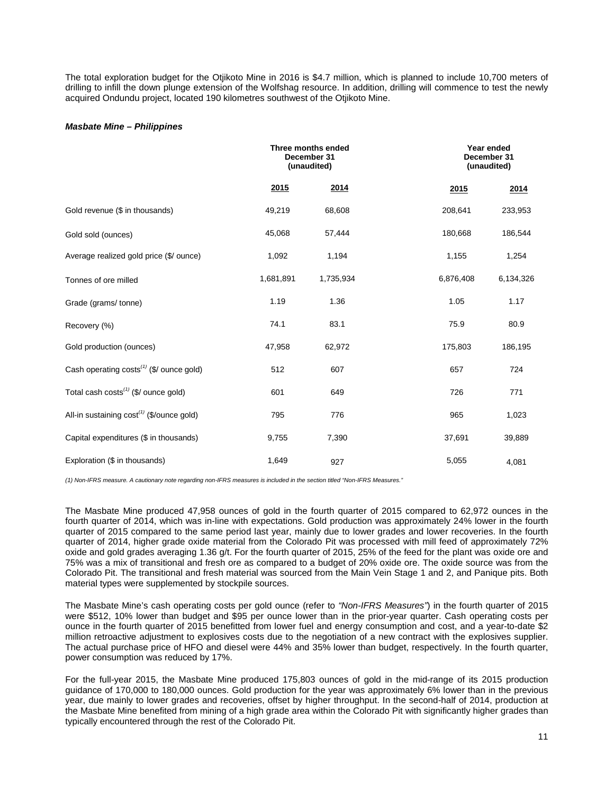The total exploration budget for the Otjikoto Mine in 2016 is \$4.7 million, which is planned to include 10,700 meters of drilling to infill the down plunge extension of the Wolfshag resource. In addition, drilling will commence to test the newly acquired Ondundu project, located 190 kilometres southwest of the Otjikoto Mine.

### *Masbate Mine – Philippines*

|                                                       |             | Three months ended<br>December 31<br>(unaudited) | Year ended<br>December 31<br>(unaudited) |           |
|-------------------------------------------------------|-------------|--------------------------------------------------|------------------------------------------|-----------|
|                                                       | <u>2015</u> | 2014                                             | 2015                                     | 2014      |
| Gold revenue (\$ in thousands)                        | 49,219      | 68,608                                           | 208,641                                  | 233,953   |
| Gold sold (ounces)                                    | 45,068      | 57,444                                           | 180,668                                  | 186,544   |
| Average realized gold price (\$/ ounce)               | 1,092       | 1,194                                            | 1,155                                    | 1,254     |
| Tonnes of ore milled                                  | 1,681,891   | 1,735,934                                        | 6,876,408                                | 6,134,326 |
| Grade (grams/tonne)                                   | 1.19        | 1.36                                             | 1.05                                     | 1.17      |
| Recovery (%)                                          | 74.1        | 83.1                                             | 75.9                                     | 80.9      |
| Gold production (ounces)                              | 47,958      | 62,972                                           | 175,803                                  | 186,195   |
| Cash operating costs <sup>(1)</sup> (\$/ ounce gold)  | 512         | 607                                              | 657                                      | 724       |
| Total cash costs <sup>(1)</sup> (\$/ ounce gold)      | 601         | 649                                              | 726                                      | 771       |
| All-in sustaining cost <sup>(1)</sup> (\$/ounce gold) | 795         | 776                                              | 965                                      | 1,023     |
| Capital expenditures (\$ in thousands)                | 9,755       | 7,390                                            | 37,691                                   | 39,889    |
| Exploration (\$ in thousands)                         | 1,649       | 927                                              | 5,055                                    | 4,081     |

*(1) Non-IFRS measure. A cautionary note regarding non-IFRS measures is included in the section titled "Non-IFRS Measures."* 

The Masbate Mine produced 47,958 ounces of gold in the fourth quarter of 2015 compared to 62,972 ounces in the fourth quarter of 2014, which was in-line with expectations. Gold production was approximately 24% lower in the fourth quarter of 2015 compared to the same period last year, mainly due to lower grades and lower recoveries. In the fourth quarter of 2014, higher grade oxide material from the Colorado Pit was processed with mill feed of approximately 72% oxide and gold grades averaging 1.36 g/t. For the fourth quarter of 2015, 25% of the feed for the plant was oxide ore and 75% was a mix of transitional and fresh ore as compared to a budget of 20% oxide ore. The oxide source was from the Colorado Pit. The transitional and fresh material was sourced from the Main Vein Stage 1 and 2, and Panique pits. Both material types were supplemented by stockpile sources.

The Masbate Mine's cash operating costs per gold ounce (refer to *"Non-IFRS Measures"*) in the fourth quarter of 2015 were \$512, 10% lower than budget and \$95 per ounce lower than in the prior-year quarter. Cash operating costs per ounce in the fourth quarter of 2015 benefitted from lower fuel and energy consumption and cost, and a year-to-date \$2 million retroactive adjustment to explosives costs due to the negotiation of a new contract with the explosives supplier. The actual purchase price of HFO and diesel were 44% and 35% lower than budget, respectively. In the fourth quarter, power consumption was reduced by 17%.

For the full-year 2015, the Masbate Mine produced 175,803 ounces of gold in the mid-range of its 2015 production guidance of 170,000 to 180,000 ounces. Gold production for the year was approximately 6% lower than in the previous year, due mainly to lower grades and recoveries, offset by higher throughput. In the second-half of 2014, production at the Masbate Mine benefited from mining of a high grade area within the Colorado Pit with significantly higher grades than typically encountered through the rest of the Colorado Pit.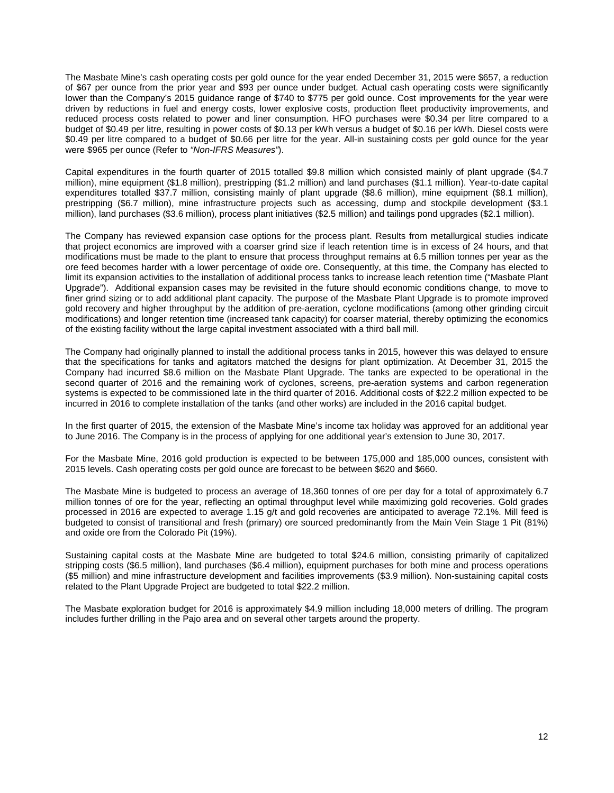The Masbate Mine's cash operating costs per gold ounce for the year ended December 31, 2015 were \$657, a reduction of \$67 per ounce from the prior year and \$93 per ounce under budget. Actual cash operating costs were significantly lower than the Company's 2015 guidance range of \$740 to \$775 per gold ounce. Cost improvements for the year were driven by reductions in fuel and energy costs, lower explosive costs, production fleet productivity improvements, and reduced process costs related to power and liner consumption. HFO purchases were \$0.34 per litre compared to a budget of \$0.49 per litre, resulting in power costs of \$0.13 per kWh versus a budget of \$0.16 per kWh. Diesel costs were \$0.49 per litre compared to a budget of \$0.66 per litre for the year. All-in sustaining costs per gold ounce for the year were \$965 per ounce (Refer to *"Non-IFRS Measures"*).

Capital expenditures in the fourth quarter of 2015 totalled \$9.8 million which consisted mainly of plant upgrade (\$4.7 million), mine equipment (\$1.8 million), prestripping (\$1.2 million) and land purchases (\$1.1 million). Year-to-date capital expenditures totalled \$37.7 million, consisting mainly of plant upgrade (\$8.6 million), mine equipment (\$8.1 million), prestripping (\$6.7 million), mine infrastructure projects such as accessing, dump and stockpile development (\$3.1 million), land purchases (\$3.6 million), process plant initiatives (\$2.5 million) and tailings pond upgrades (\$2.1 million).

The Company has reviewed expansion case options for the process plant. Results from metallurgical studies indicate that project economics are improved with a coarser grind size if leach retention time is in excess of 24 hours, and that modifications must be made to the plant to ensure that process throughput remains at 6.5 million tonnes per year as the ore feed becomes harder with a lower percentage of oxide ore. Consequently, at this time, the Company has elected to limit its expansion activities to the installation of additional process tanks to increase leach retention time ("Masbate Plant Upgrade"). Additional expansion cases may be revisited in the future should economic conditions change, to move to finer grind sizing or to add additional plant capacity. The purpose of the Masbate Plant Upgrade is to promote improved gold recovery and higher throughput by the addition of pre-aeration, cyclone modifications (among other grinding circuit modifications) and longer retention time (increased tank capacity) for coarser material, thereby optimizing the economics of the existing facility without the large capital investment associated with a third ball mill.

The Company had originally planned to install the additional process tanks in 2015, however this was delayed to ensure that the specifications for tanks and agitators matched the designs for plant optimization. At December 31, 2015 the Company had incurred \$8.6 million on the Masbate Plant Upgrade. The tanks are expected to be operational in the second quarter of 2016 and the remaining work of cyclones, screens, pre-aeration systems and carbon regeneration systems is expected to be commissioned late in the third quarter of 2016. Additional costs of \$22.2 million expected to be incurred in 2016 to complete installation of the tanks (and other works) are included in the 2016 capital budget.

In the first quarter of 2015, the extension of the Masbate Mine's income tax holiday was approved for an additional year to June 2016. The Company is in the process of applying for one additional year's extension to June 30, 2017.

For the Masbate Mine, 2016 gold production is expected to be between 175,000 and 185,000 ounces, consistent with 2015 levels. Cash operating costs per gold ounce are forecast to be between \$620 and \$660.

The Masbate Mine is budgeted to process an average of 18,360 tonnes of ore per day for a total of approximately 6.7 million tonnes of ore for the year, reflecting an optimal throughput level while maximizing gold recoveries. Gold grades processed in 2016 are expected to average 1.15 g/t and gold recoveries are anticipated to average 72.1%. Mill feed is budgeted to consist of transitional and fresh (primary) ore sourced predominantly from the Main Vein Stage 1 Pit (81%) and oxide ore from the Colorado Pit (19%).

Sustaining capital costs at the Masbate Mine are budgeted to total \$24.6 million, consisting primarily of capitalized stripping costs (\$6.5 million), land purchases (\$6.4 million), equipment purchases for both mine and process operations (\$5 million) and mine infrastructure development and facilities improvements (\$3.9 million). Non-sustaining capital costs related to the Plant Upgrade Project are budgeted to total \$22.2 million.

The Masbate exploration budget for 2016 is approximately \$4.9 million including 18,000 meters of drilling. The program includes further drilling in the Pajo area and on several other targets around the property.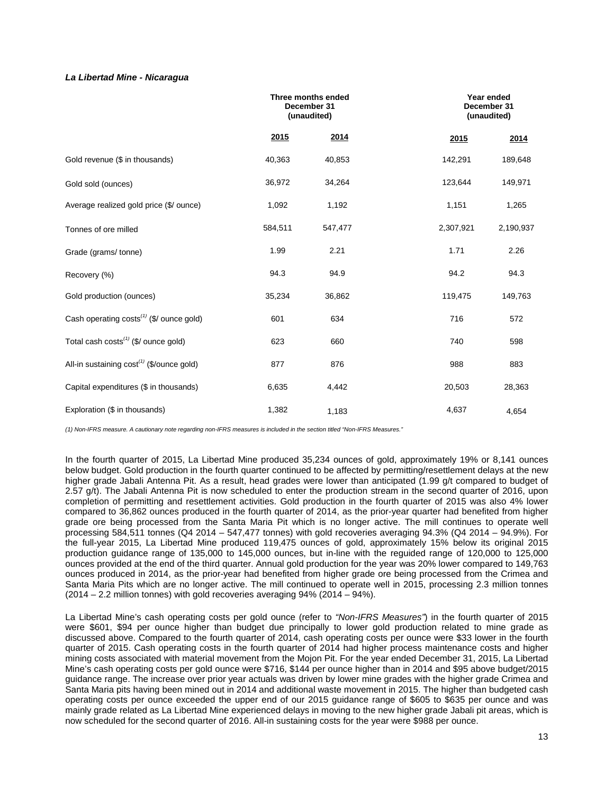# *La Libertad Mine - Nicaragua*

|                                                       | Three months ended<br>December 31<br>(unaudited) |         |           | Year ended<br>December 31<br>(unaudited) |
|-------------------------------------------------------|--------------------------------------------------|---------|-----------|------------------------------------------|
|                                                       | 2015                                             | 2014    | 2015      | 2014                                     |
| Gold revenue (\$ in thousands)                        | 40,363                                           | 40,853  | 142,291   | 189,648                                  |
| Gold sold (ounces)                                    | 36,972                                           | 34,264  | 123,644   | 149,971                                  |
| Average realized gold price (\$/ ounce)               | 1,092                                            | 1,192   | 1,151     | 1,265                                    |
| Tonnes of ore milled                                  | 584,511                                          | 547,477 | 2,307,921 | 2,190,937                                |
| Grade (grams/tonne)                                   | 1.99                                             | 2.21    | 1.71      | 2.26                                     |
| Recovery (%)                                          | 94.3                                             | 94.9    | 94.2      | 94.3                                     |
| Gold production (ounces)                              | 35,234                                           | 36,862  | 119,475   | 149,763                                  |
| Cash operating $costs^{(1)}$ (\$/ ounce gold)         | 601                                              | 634     | 716       | 572                                      |
| Total cash $costs^{(1)}$ (\$/ ounce gold)             | 623                                              | 660     | 740       | 598                                      |
| All-in sustaining cost <sup>(1)</sup> (\$/ounce gold) | 877                                              | 876     | 988       | 883                                      |
| Capital expenditures (\$ in thousands)                | 6,635                                            | 4,442   | 20,503    | 28,363                                   |
| Exploration (\$ in thousands)                         | 1,382                                            | 1,183   | 4,637     | 4,654                                    |

*(1) Non-IFRS measure. A cautionary note regarding non-IFRS measures is included in the section titled "Non-IFRS Measures."* 

In the fourth quarter of 2015, La Libertad Mine produced 35,234 ounces of gold, approximately 19% or 8,141 ounces below budget. Gold production in the fourth quarter continued to be affected by permitting/resettlement delays at the new higher grade Jabali Antenna Pit. As a result, head grades were lower than anticipated (1.99 g/t compared to budget of 2.57 g/t). The Jabali Antenna Pit is now scheduled to enter the production stream in the second quarter of 2016, upon completion of permitting and resettlement activities. Gold production in the fourth quarter of 2015 was also 4% lower compared to 36,862 ounces produced in the fourth quarter of 2014, as the prior-year quarter had benefited from higher grade ore being processed from the Santa Maria Pit which is no longer active. The mill continues to operate well processing 584,511 tonnes (Q4 2014 – 547,477 tonnes) with gold recoveries averaging 94.3% (Q4 2014 – 94.9%). For the full-year 2015, La Libertad Mine produced 119,475 ounces of gold, approximately 15% below its original 2015 production guidance range of 135,000 to 145,000 ounces, but in-line with the reguided range of 120,000 to 125,000 ounces provided at the end of the third quarter. Annual gold production for the year was 20% lower compared to 149,763 ounces produced in 2014, as the prior-year had benefited from higher grade ore being processed from the Crimea and Santa Maria Pits which are no longer active. The mill continued to operate well in 2015, processing 2.3 million tonnes (2014 – 2.2 million tonnes) with gold recoveries averaging 94% (2014 – 94%).

La Libertad Mine's cash operating costs per gold ounce (refer to *"Non-IFRS Measures"*) in the fourth quarter of 2015 were \$601, \$94 per ounce higher than budget due principally to lower gold production related to mine grade as discussed above. Compared to the fourth quarter of 2014, cash operating costs per ounce were \$33 lower in the fourth quarter of 2015. Cash operating costs in the fourth quarter of 2014 had higher process maintenance costs and higher mining costs associated with material movement from the Mojon Pit. For the year ended December 31, 2015, La Libertad Mine's cash operating costs per gold ounce were \$716, \$144 per ounce higher than in 2014 and \$95 above budget/2015 guidance range. The increase over prior year actuals was driven by lower mine grades with the higher grade Crimea and Santa Maria pits having been mined out in 2014 and additional waste movement in 2015. The higher than budgeted cash operating costs per ounce exceeded the upper end of our 2015 guidance range of \$605 to \$635 per ounce and was mainly grade related as La Libertad Mine experienced delays in moving to the new higher grade Jabali pit areas, which is now scheduled for the second quarter of 2016. All-in sustaining costs for the year were \$988 per ounce.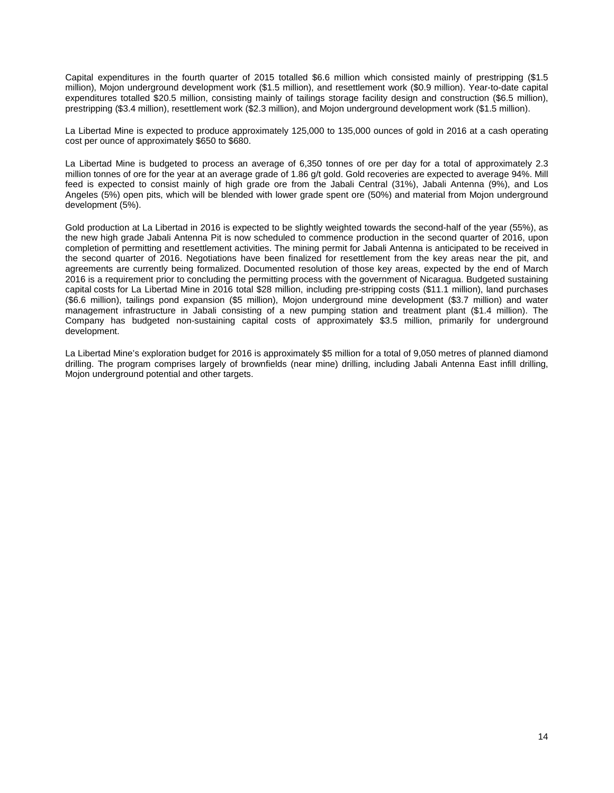Capital expenditures in the fourth quarter of 2015 totalled \$6.6 million which consisted mainly of prestripping (\$1.5 million), Mojon underground development work (\$1.5 million), and resettlement work (\$0.9 million). Year-to-date capital expenditures totalled \$20.5 million, consisting mainly of tailings storage facility design and construction (\$6.5 million), prestripping (\$3.4 million), resettlement work (\$2.3 million), and Mojon underground development work (\$1.5 million).

La Libertad Mine is expected to produce approximately 125,000 to 135,000 ounces of gold in 2016 at a cash operating cost per ounce of approximately \$650 to \$680.

La Libertad Mine is budgeted to process an average of 6,350 tonnes of ore per day for a total of approximately 2.3 million tonnes of ore for the year at an average grade of 1.86 g/t gold. Gold recoveries are expected to average 94%. Mill feed is expected to consist mainly of high grade ore from the Jabali Central (31%), Jabali Antenna (9%), and Los Angeles (5%) open pits, which will be blended with lower grade spent ore (50%) and material from Mojon underground development (5%).

Gold production at La Libertad in 2016 is expected to be slightly weighted towards the second-half of the year (55%), as the new high grade Jabali Antenna Pit is now scheduled to commence production in the second quarter of 2016, upon completion of permitting and resettlement activities. The mining permit for Jabali Antenna is anticipated to be received in the second quarter of 2016. Negotiations have been finalized for resettlement from the key areas near the pit, and agreements are currently being formalized. Documented resolution of those key areas, expected by the end of March 2016 is a requirement prior to concluding the permitting process with the government of Nicaragua. Budgeted sustaining capital costs for La Libertad Mine in 2016 total \$28 million, including pre-stripping costs (\$11.1 million), land purchases (\$6.6 million), tailings pond expansion (\$5 million), Mojon underground mine development (\$3.7 million) and water management infrastructure in Jabali consisting of a new pumping station and treatment plant (\$1.4 million). The Company has budgeted non-sustaining capital costs of approximately \$3.5 million, primarily for underground development.

La Libertad Mine's exploration budget for 2016 is approximately \$5 million for a total of 9,050 metres of planned diamond drilling. The program comprises largely of brownfields (near mine) drilling, including Jabali Antenna East infill drilling, Mojon underground potential and other targets.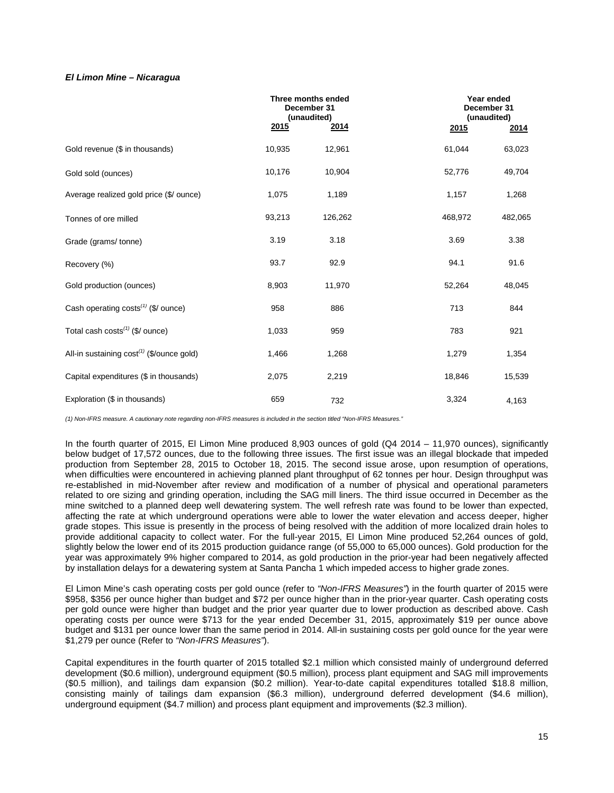# *El Limon Mine – Nicaragua*

|                                                | Three months ended<br>December 31<br>(unaudited) |         | Year ended<br>December 31<br>(unaudited) |         |
|------------------------------------------------|--------------------------------------------------|---------|------------------------------------------|---------|
|                                                | 2015                                             | 2014    | 2015                                     | 2014    |
| Gold revenue (\$ in thousands)                 | 10,935                                           | 12,961  | 61,044                                   | 63,023  |
| Gold sold (ounces)                             | 10,176                                           | 10,904  | 52,776                                   | 49,704  |
| Average realized gold price (\$/ ounce)        | 1,075                                            | 1,189   | 1,157                                    | 1,268   |
| Tonnes of ore milled                           | 93,213                                           | 126,262 | 468,972                                  | 482,065 |
| Grade (grams/tonne)                            | 3.19                                             | 3.18    | 3.69                                     | 3.38    |
| Recovery (%)                                   | 93.7                                             | 92.9    | 94.1                                     | 91.6    |
| Gold production (ounces)                       | 8,903                                            | 11,970  | 52,264                                   | 48,045  |
| Cash operating costs $(1)$ (\$/ ounce)         | 958                                              | 886     | 713                                      | 844     |
| Total cash $costs^{(1)}$ (\$/ ounce)           | 1,033                                            | 959     | 783                                      | 921     |
| All-in sustaining $cost^{(1)}$ (\$/ounce gold) | 1,466                                            | 1,268   | 1,279                                    | 1,354   |
| Capital expenditures (\$ in thousands)         | 2,075                                            | 2,219   | 18,846                                   | 15,539  |
| Exploration (\$ in thousands)                  | 659                                              | 732     | 3,324                                    | 4,163   |

*(1) Non-IFRS measure. A cautionary note regarding non-IFRS measures is included in the section titled "Non-IFRS Measures."*

In the fourth quarter of 2015, El Limon Mine produced 8,903 ounces of gold (Q4 2014 – 11,970 ounces), significantly below budget of 17,572 ounces, due to the following three issues. The first issue was an illegal blockade that impeded production from September 28, 2015 to October 18, 2015. The second issue arose, upon resumption of operations, when difficulties were encountered in achieving planned plant throughput of 62 tonnes per hour. Design throughput was re-established in mid-November after review and modification of a number of physical and operational parameters related to ore sizing and grinding operation, including the SAG mill liners. The third issue occurred in December as the mine switched to a planned deep well dewatering system. The well refresh rate was found to be lower than expected, affecting the rate at which underground operations were able to lower the water elevation and access deeper, higher grade stopes. This issue is presently in the process of being resolved with the addition of more localized drain holes to provide additional capacity to collect water. For the full-year 2015, El Limon Mine produced 52,264 ounces of gold, slightly below the lower end of its 2015 production guidance range (of 55,000 to 65,000 ounces). Gold production for the year was approximately 9% higher compared to 2014, as gold production in the prior-year had been negatively affected by installation delays for a dewatering system at Santa Pancha 1 which impeded access to higher grade zones.

El Limon Mine's cash operating costs per gold ounce (refer to *"Non-IFRS Measures"*) in the fourth quarter of 2015 were \$958, \$356 per ounce higher than budget and \$72 per ounce higher than in the prior-year quarter. Cash operating costs per gold ounce were higher than budget and the prior year quarter due to lower production as described above. Cash operating costs per ounce were \$713 for the year ended December 31, 2015, approximately \$19 per ounce above budget and \$131 per ounce lower than the same period in 2014. All-in sustaining costs per gold ounce for the year were \$1,279 per ounce (Refer to *"Non-IFRS Measures"*).

Capital expenditures in the fourth quarter of 2015 totalled \$2.1 million which consisted mainly of underground deferred development (\$0.6 million), underground equipment (\$0.5 million), process plant equipment and SAG mill improvements (\$0.5 million), and tailings dam expansion (\$0.2 million). Year-to-date capital expenditures totalled \$18.8 million, consisting mainly of tailings dam expansion (\$6.3 million), underground deferred development (\$4.6 million), underground equipment (\$4.7 million) and process plant equipment and improvements (\$2.3 million).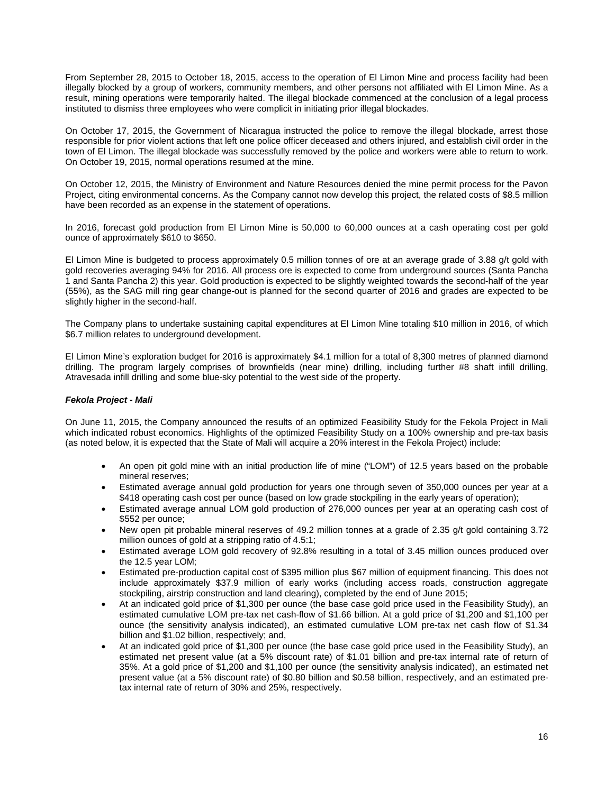From September 28, 2015 to October 18, 2015, access to the operation of El Limon Mine and process facility had been illegally blocked by a group of workers, community members, and other persons not affiliated with El Limon Mine. As a result, mining operations were temporarily halted. The illegal blockade commenced at the conclusion of a legal process instituted to dismiss three employees who were complicit in initiating prior illegal blockades.

On October 17, 2015, the Government of Nicaragua instructed the police to remove the illegal blockade, arrest those responsible for prior violent actions that left one police officer deceased and others injured, and establish civil order in the town of El Limon. The illegal blockade was successfully removed by the police and workers were able to return to work. On October 19, 2015, normal operations resumed at the mine.

On October 12, 2015, the Ministry of Environment and Nature Resources denied the mine permit process for the Pavon Project, citing environmental concerns. As the Company cannot now develop this project, the related costs of \$8.5 million have been recorded as an expense in the statement of operations.

In 2016, forecast gold production from El Limon Mine is 50,000 to 60,000 ounces at a cash operating cost per gold ounce of approximately \$610 to \$650.

El Limon Mine is budgeted to process approximately 0.5 million tonnes of ore at an average grade of 3.88 g/t gold with gold recoveries averaging 94% for 2016. All process ore is expected to come from underground sources (Santa Pancha 1 and Santa Pancha 2) this year. Gold production is expected to be slightly weighted towards the second-half of the year (55%), as the SAG mill ring gear change-out is planned for the second quarter of 2016 and grades are expected to be slightly higher in the second-half.

The Company plans to undertake sustaining capital expenditures at El Limon Mine totaling \$10 million in 2016, of which \$6.7 million relates to underground development.

El Limon Mine's exploration budget for 2016 is approximately \$4.1 million for a total of 8,300 metres of planned diamond drilling. The program largely comprises of brownfields (near mine) drilling, including further #8 shaft infill drilling, Atravesada infill drilling and some blue-sky potential to the west side of the property.

# *Fekola Project - Mali*

On June 11, 2015, the Company announced the results of an optimized Feasibility Study for the Fekola Project in Mali which indicated robust economics. Highlights of the optimized Feasibility Study on a 100% ownership and pre-tax basis (as noted below, it is expected that the State of Mali will acquire a 20% interest in the Fekola Project) include:

- An open pit gold mine with an initial production life of mine ("LOM") of 12.5 years based on the probable mineral reserves;
- Estimated average annual gold production for years one through seven of 350,000 ounces per year at a \$418 operating cash cost per ounce (based on low grade stockpiling in the early years of operation);
- Estimated average annual LOM gold production of 276,000 ounces per year at an operating cash cost of \$552 per ounce;
- New open pit probable mineral reserves of 49.2 million tonnes at a grade of 2.35 g/t gold containing 3.72 million ounces of gold at a stripping ratio of 4.5:1;
- Estimated average LOM gold recovery of 92.8% resulting in a total of 3.45 million ounces produced over the 12.5 year LOM;
- Estimated pre-production capital cost of \$395 million plus \$67 million of equipment financing. This does not include approximately \$37.9 million of early works (including access roads, construction aggregate stockpiling, airstrip construction and land clearing), completed by the end of June 2015;
- At an indicated gold price of \$1,300 per ounce (the base case gold price used in the Feasibility Study), an estimated cumulative LOM pre-tax net cash-flow of \$1.66 billion. At a gold price of \$1,200 and \$1,100 per ounce (the sensitivity analysis indicated), an estimated cumulative LOM pre-tax net cash flow of \$1.34 billion and \$1.02 billion, respectively; and,
- At an indicated gold price of \$1,300 per ounce (the base case gold price used in the Feasibility Study), an estimated net present value (at a 5% discount rate) of \$1.01 billion and pre-tax internal rate of return of 35%. At a gold price of \$1,200 and \$1,100 per ounce (the sensitivity analysis indicated), an estimated net present value (at a 5% discount rate) of \$0.80 billion and \$0.58 billion, respectively, and an estimated pretax internal rate of return of 30% and 25%, respectively.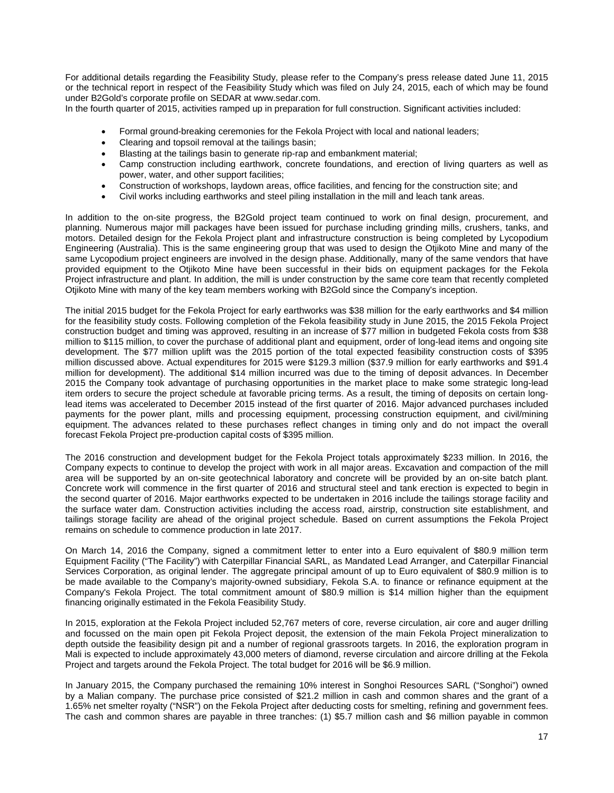For additional details regarding the Feasibility Study, please refer to the Company's press release dated June 11, 2015 or the technical report in respect of the Feasibility Study which was filed on July 24, 2015, each of which may be found under B2Gold's corporate profile on SEDAR at [www.sedar.com.](http://www.sedar.com/) 

In the fourth quarter of 2015, activities ramped up in preparation for full construction. Significant activities included:

- Formal ground-breaking ceremonies for the Fekola Project with local and national leaders;
- Clearing and topsoil removal at the tailings basin;
- Blasting at the tailings basin to generate rip-rap and embankment material;
- Camp construction including earthwork, concrete foundations, and erection of living quarters as well as power, water, and other support facilities;
- Construction of workshops, laydown areas, office facilities, and fencing for the construction site; and
- Civil works including earthworks and steel piling installation in the mill and leach tank areas.

In addition to the on-site progress, the B2Gold project team continued to work on final design, procurement, and planning. Numerous major mill packages have been issued for purchase including grinding mills, crushers, tanks, and motors. Detailed design for the Fekola Project plant and infrastructure construction is being completed by Lycopodium Engineering (Australia). This is the same engineering group that was used to design the Otjikoto Mine and many of the same Lycopodium project engineers are involved in the design phase. Additionally, many of the same vendors that have provided equipment to the Otjikoto Mine have been successful in their bids on equipment packages for the Fekola Project infrastructure and plant. In addition, the mill is under construction by the same core team that recently completed Otjikoto Mine with many of the key team members working with B2Gold since the Company's inception.

The initial 2015 budget for the Fekola Project for early earthworks was \$38 million for the early earthworks and \$4 million for the feasibility study costs. Following completion of the Fekola feasibility study in June 2015, the 2015 Fekola Project construction budget and timing was approved, resulting in an increase of \$77 million in budgeted Fekola costs from \$38 million to \$115 million, to cover the purchase of additional plant and equipment, order of long-lead items and ongoing site development. The \$77 million uplift was the 2015 portion of the total expected feasibility construction costs of \$395 million discussed above. Actual expenditures for 2015 were \$129.3 million (\$37.9 million for early earthworks and \$91.4 million for development). The additional \$14 million incurred was due to the timing of deposit advances. In December 2015 the Company took advantage of purchasing opportunities in the market place to make some strategic long-lead item orders to secure the project schedule at favorable pricing terms. As a result, the timing of deposits on certain longlead items was accelerated to December 2015 instead of the first quarter of 2016. Major advanced purchases included payments for the power plant, mills and processing equipment, processing construction equipment, and civil/mining equipment. The advances related to these purchases reflect changes in timing only and do not impact the overall forecast Fekola Project pre-production capital costs of \$395 million.

The 2016 construction and development budget for the Fekola Project totals approximately \$233 million. In 2016, the Company expects to continue to develop the project with work in all major areas. Excavation and compaction of the mill area will be supported by an on-site geotechnical laboratory and concrete will be provided by an on-site batch plant. Concrete work will commence in the first quarter of 2016 and structural steel and tank erection is expected to begin in the second quarter of 2016. Major earthworks expected to be undertaken in 2016 include the tailings storage facility and the surface water dam. Construction activities including the access road, airstrip, construction site establishment, and tailings storage facility are ahead of the original project schedule. Based on current assumptions the Fekola Project remains on schedule to commence production in late 2017.

On March 14, 2016 the Company, signed a commitment letter to enter into a Euro equivalent of \$80.9 million term Equipment Facility ("The Facility") with Caterpillar Financial SARL, as Mandated Lead Arranger, and Caterpillar Financial Services Corporation, as original lender. The aggregate principal amount of up to Euro equivalent of \$80.9 million is to be made available to the Company's majority-owned subsidiary, Fekola S.A. to finance or refinance equipment at the Company's Fekola Project. The total commitment amount of \$80.9 million is \$14 million higher than the equipment financing originally estimated in the Fekola Feasibility Study.

In 2015, exploration at the Fekola Project included 52,767 meters of core, reverse circulation, air core and auger drilling and focussed on the main open pit Fekola Project deposit, the extension of the main Fekola Project mineralization to depth outside the feasibility design pit and a number of regional grassroots targets. In 2016, the exploration program in Mali is expected to include approximately 43,000 meters of diamond, reverse circulation and aircore drilling at the Fekola Project and targets around the Fekola Project. The total budget for 2016 will be \$6.9 million.

In January 2015, the Company purchased the remaining 10% interest in Songhoi Resources SARL ("Songhoi") owned by a Malian company. The purchase price consisted of \$21.2 million in cash and common shares and the grant of a 1.65% net smelter royalty ("NSR") on the Fekola Project after deducting costs for smelting, refining and government fees. The cash and common shares are payable in three tranches: (1) \$5.7 million cash and \$6 million payable in common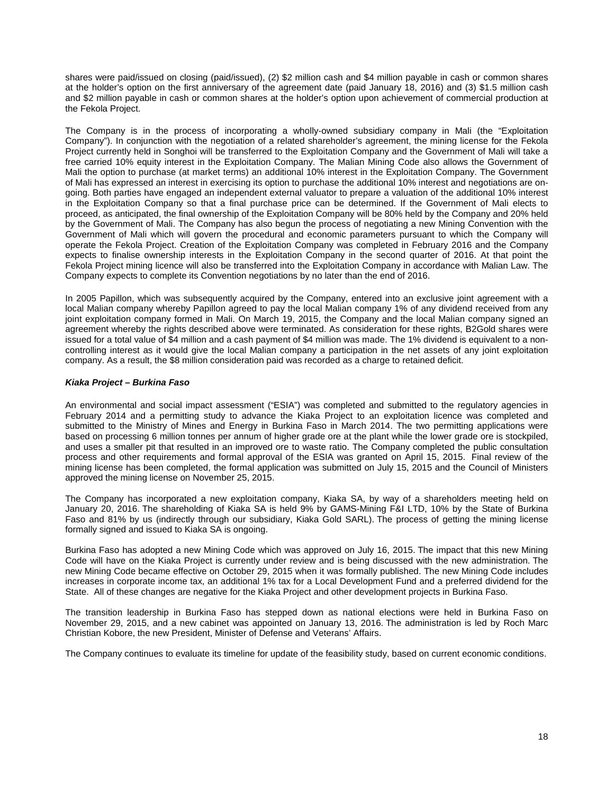shares were paid/issued on closing (paid/issued), (2) \$2 million cash and \$4 million payable in cash or common shares at the holder's option on the first anniversary of the agreement date (paid January 18, 2016) and (3) \$1.5 million cash and \$2 million payable in cash or common shares at the holder's option upon achievement of commercial production at the Fekola Project.

The Company is in the process of incorporating a wholly-owned subsidiary company in Mali (the "Exploitation Company"). In conjunction with the negotiation of a related shareholder's agreement, the mining license for the Fekola Project currently held in Songhoi will be transferred to the Exploitation Company and the Government of Mali will take a free carried 10% equity interest in the Exploitation Company. The Malian Mining Code also allows the Government of Mali the option to purchase (at market terms) an additional 10% interest in the Exploitation Company. The Government of Mali has expressed an interest in exercising its option to purchase the additional 10% interest and negotiations are ongoing. Both parties have engaged an independent external valuator to prepare a valuation of the additional 10% interest in the Exploitation Company so that a final purchase price can be determined. If the Government of Mali elects to proceed, as anticipated, the final ownership of the Exploitation Company will be 80% held by the Company and 20% held by the Government of Mali. The Company has also begun the process of negotiating a new Mining Convention with the Government of Mali which will govern the procedural and economic parameters pursuant to which the Company will operate the Fekola Project. Creation of the Exploitation Company was completed in February 2016 and the Company expects to finalise ownership interests in the Exploitation Company in the second quarter of 2016. At that point the Fekola Project mining licence will also be transferred into the Exploitation Company in accordance with Malian Law. The Company expects to complete its Convention negotiations by no later than the end of 2016.

In 2005 Papillon, which was subsequently acquired by the Company, entered into an exclusive joint agreement with a local Malian company whereby Papillon agreed to pay the local Malian company 1% of any dividend received from any joint exploitation company formed in Mali. On March 19, 2015, the Company and the local Malian company signed an agreement whereby the rights described above were terminated. As consideration for these rights, B2Gold shares were issued for a total value of \$4 million and a cash payment of \$4 million was made. The 1% dividend is equivalent to a noncontrolling interest as it would give the local Malian company a participation in the net assets of any joint exploitation company. As a result, the \$8 million consideration paid was recorded as a charge to retained deficit.

# *Kiaka Project – Burkina Faso*

An environmental and social impact assessment ("ESIA") was completed and submitted to the regulatory agencies in February 2014 and a permitting study to advance the Kiaka Project to an exploitation licence was completed and submitted to the Ministry of Mines and Energy in Burkina Faso in March 2014. The two permitting applications were based on processing 6 million tonnes per annum of higher grade ore at the plant while the lower grade ore is stockpiled, and uses a smaller pit that resulted in an improved ore to waste ratio. The Company completed the public consultation process and other requirements and formal approval of the ESIA was granted on April 15, 2015. Final review of the mining license has been completed, the formal application was submitted on July 15, 2015 and the Council of Ministers approved the mining license on November 25, 2015.

The Company has incorporated a new exploitation company, Kiaka SA, by way of a shareholders meeting held on January 20, 2016. The shareholding of Kiaka SA is held 9% by GAMS-Mining F&I LTD, 10% by the State of Burkina Faso and 81% by us (indirectly through our subsidiary, Kiaka Gold SARL). The process of getting the mining license formally signed and issued to Kiaka SA is ongoing.

Burkina Faso has adopted a new Mining Code which was approved on July 16, 2015. The impact that this new Mining Code will have on the Kiaka Project is currently under review and is being discussed with the new administration. The new Mining Code became effective on October 29, 2015 when it was formally published. The new Mining Code includes increases in corporate income tax, an additional 1% tax for a Local Development Fund and a preferred dividend for the State. All of these changes are negative for the Kiaka Project and other development projects in Burkina Faso.

The transition leadership in Burkina Faso has stepped down as national elections were held in Burkina Faso on November 29, 2015, and a new cabinet was appointed on January 13, 2016. The administration is led by Roch Marc Christian Kobore, the new President, Minister of Defense and Veterans' Affairs.

The Company continues to evaluate its timeline for update of the feasibility study, based on current economic conditions.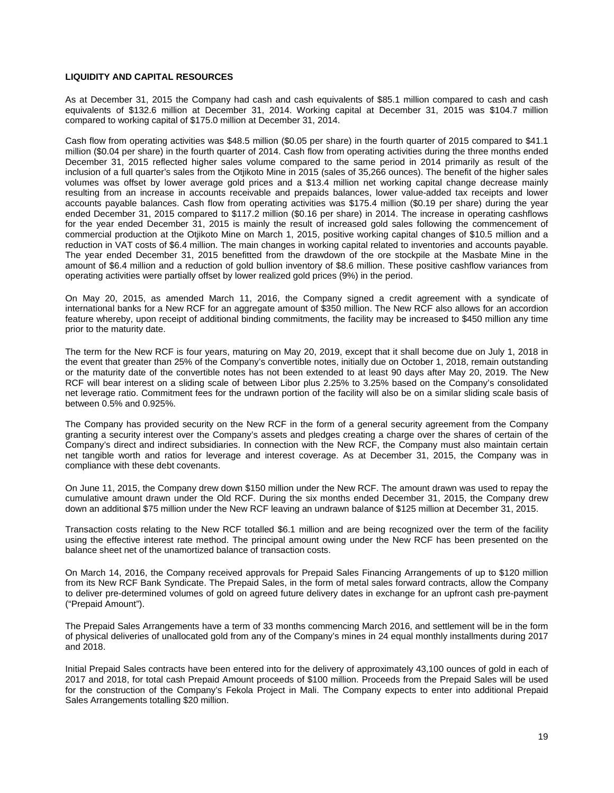# **LIQUIDITY AND CAPITAL RESOURCES**

As at December 31, 2015 the Company had cash and cash equivalents of \$85.1 million compared to cash and cash equivalents of \$132.6 million at December 31, 2014. Working capital at December 31, 2015 was \$104.7 million compared to working capital of \$175.0 million at December 31, 2014.

Cash flow from operating activities was \$48.5 million (\$0.05 per share) in the fourth quarter of 2015 compared to \$41.1 million (\$0.04 per share) in the fourth quarter of 2014. Cash flow from operating activities during the three months ended December 31, 2015 reflected higher sales volume compared to the same period in 2014 primarily as result of the inclusion of a full quarter's sales from the Otjikoto Mine in 2015 (sales of 35,266 ounces). The benefit of the higher sales volumes was offset by lower average gold prices and a \$13.4 million net working capital change decrease mainly resulting from an increase in accounts receivable and prepaids balances, lower value-added tax receipts and lower accounts payable balances. Cash flow from operating activities was \$175.4 million (\$0.19 per share) during the year ended December 31, 2015 compared to \$117.2 million (\$0.16 per share) in 2014. The increase in operating cashflows for the year ended December 31, 2015 is mainly the result of increased gold sales following the commencement of commercial production at the Otjikoto Mine on March 1, 2015, positive working capital changes of \$10.5 million and a reduction in VAT costs of \$6.4 million. The main changes in working capital related to inventories and accounts payable. The year ended December 31, 2015 benefitted from the drawdown of the ore stockpile at the Masbate Mine in the amount of \$6.4 million and a reduction of gold bullion inventory of \$8.6 million. These positive cashflow variances from operating activities were partially offset by lower realized gold prices (9%) in the period.

On May 20, 2015, as amended March 11, 2016, the Company signed a credit agreement with a syndicate of international banks for a New RCF for an aggregate amount of \$350 million. The New RCF also allows for an accordion feature whereby, upon receipt of additional binding commitments, the facility may be increased to \$450 million any time prior to the maturity date.

The term for the New RCF is four years, maturing on May 20, 2019, except that it shall become due on July 1, 2018 in the event that greater than 25% of the Company's convertible notes, initially due on October 1, 2018, remain outstanding or the maturity date of the convertible notes has not been extended to at least 90 days after May 20, 2019. The New RCF will bear interest on a sliding scale of between Libor plus 2.25% to 3.25% based on the Company's consolidated net leverage ratio. Commitment fees for the undrawn portion of the facility will also be on a similar sliding scale basis of between 0.5% and 0.925%.

The Company has provided security on the New RCF in the form of a general security agreement from the Company granting a security interest over the Company's assets and pledges creating a charge over the shares of certain of the Company's direct and indirect subsidiaries. In connection with the New RCF, the Company must also maintain certain net tangible worth and ratios for leverage and interest coverage. As at December 31, 2015, the Company was in compliance with these debt covenants.

On June 11, 2015, the Company drew down \$150 million under the New RCF. The amount drawn was used to repay the cumulative amount drawn under the Old RCF. During the six months ended December 31, 2015, the Company drew down an additional \$75 million under the New RCF leaving an undrawn balance of \$125 million at December 31, 2015.

Transaction costs relating to the New RCF totalled \$6.1 million and are being recognized over the term of the facility using the effective interest rate method. The principal amount owing under the New RCF has been presented on the balance sheet net of the unamortized balance of transaction costs.

On March 14, 2016, the Company received approvals for Prepaid Sales Financing Arrangements of up to \$120 million from its New RCF Bank Syndicate. The Prepaid Sales, in the form of metal sales forward contracts, allow the Company to deliver pre-determined volumes of gold on agreed future delivery dates in exchange for an upfront cash pre-payment ("Prepaid Amount").

The Prepaid Sales Arrangements have a term of 33 months commencing March 2016, and settlement will be in the form of physical deliveries of unallocated gold from any of the Company's mines in 24 equal monthly installments during 2017 and 2018.

Initial Prepaid Sales contracts have been entered into for the delivery of approximately 43,100 ounces of gold in each of 2017 and 2018, for total cash Prepaid Amount proceeds of \$100 million. Proceeds from the Prepaid Sales will be used for the construction of the Company's Fekola Project in Mali. The Company expects to enter into additional Prepaid Sales Arrangements totalling \$20 million.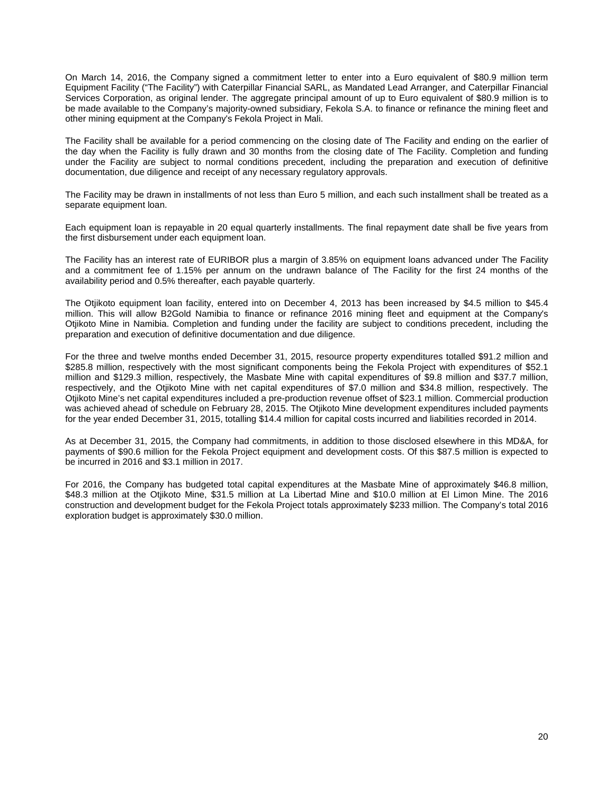On March 14, 2016, the Company signed a commitment letter to enter into a Euro equivalent of \$80.9 million term Equipment Facility ("The Facility") with Caterpillar Financial SARL, as Mandated Lead Arranger, and Caterpillar Financial Services Corporation, as original lender. The aggregate principal amount of up to Euro equivalent of \$80.9 million is to be made available to the Company's majority-owned subsidiary, Fekola S.A. to finance or refinance the mining fleet and other mining equipment at the Company's Fekola Project in Mali.

The Facility shall be available for a period commencing on the closing date of The Facility and ending on the earlier of the day when the Facility is fully drawn and 30 months from the closing date of The Facility. Completion and funding under the Facility are subject to normal conditions precedent, including the preparation and execution of definitive documentation, due diligence and receipt of any necessary regulatory approvals.

The Facility may be drawn in installments of not less than Euro 5 million, and each such installment shall be treated as a separate equipment loan.

Each equipment loan is repayable in 20 equal quarterly installments. The final repayment date shall be five years from the first disbursement under each equipment loan.

The Facility has an interest rate of EURIBOR plus a margin of 3.85% on equipment loans advanced under The Facility and a commitment fee of 1.15% per annum on the undrawn balance of The Facility for the first 24 months of the availability period and 0.5% thereafter, each payable quarterly.

The Otjikoto equipment loan facility, entered into on December 4, 2013 has been increased by \$4.5 million to \$45.4 million. This will allow B2Gold Namibia to finance or refinance 2016 mining fleet and equipment at the Company's Otjikoto Mine in Namibia. Completion and funding under the facility are subject to conditions precedent, including the preparation and execution of definitive documentation and due diligence.

For the three and twelve months ended December 31, 2015, resource property expenditures totalled \$91.2 million and \$285.8 million, respectively with the most significant components being the Fekola Project with expenditures of \$52.1 million and \$129.3 million, respectively, the Masbate Mine with capital expenditures of \$9.8 million and \$37.7 million, respectively, and the Otjikoto Mine with net capital expenditures of \$7.0 million and \$34.8 million, respectively. The Otjikoto Mine's net capital expenditures included a pre-production revenue offset of \$23.1 million. Commercial production was achieved ahead of schedule on February 28, 2015. The Otjikoto Mine development expenditures included payments for the year ended December 31, 2015, totalling \$14.4 million for capital costs incurred and liabilities recorded in 2014.

As at December 31, 2015, the Company had commitments, in addition to those disclosed elsewhere in this MD&A, for payments of \$90.6 million for the Fekola Project equipment and development costs. Of this \$87.5 million is expected to be incurred in 2016 and \$3.1 million in 2017.

For 2016, the Company has budgeted total capital expenditures at the Masbate Mine of approximately \$46.8 million, \$48.3 million at the Otjikoto Mine, \$31.5 million at La Libertad Mine and \$10.0 million at El Limon Mine. The 2016 construction and development budget for the Fekola Project totals approximately \$233 million. The Company's total 2016 exploration budget is approximately \$30.0 million.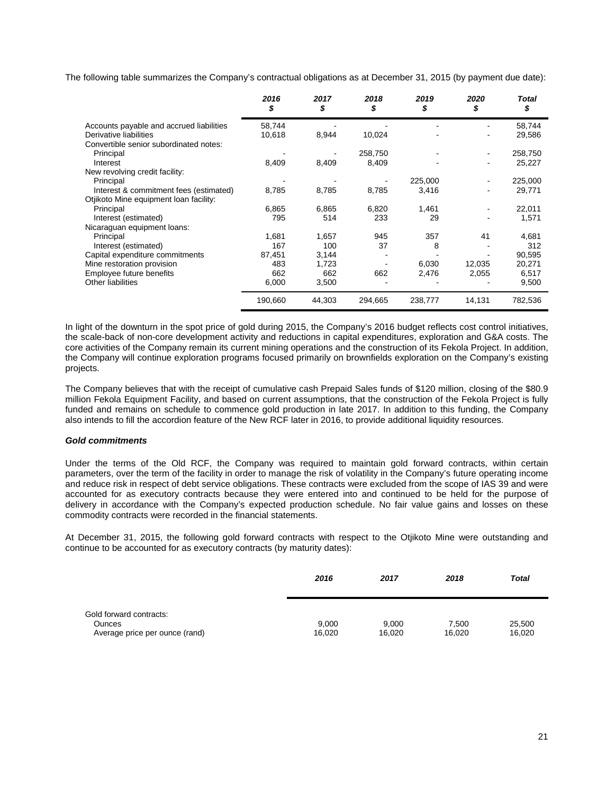The following table summarizes the Company's contractual obligations as at December 31, 2015 (by payment due date):

|                                          | 2016<br>S | 2017<br>S | 2018<br>S | 2019<br>S | 2020<br>S      | Total<br>\$ |
|------------------------------------------|-----------|-----------|-----------|-----------|----------------|-------------|
| Accounts payable and accrued liabilities | 58,744    |           |           |           |                | 58,744      |
| Derivative liabilities                   | 10,618    | 8,944     | 10,024    |           |                | 29,586      |
| Convertible senior subordinated notes:   |           |           |           |           |                |             |
| Principal                                |           |           | 258,750   |           | $\blacksquare$ | 258,750     |
| Interest                                 | 8,409     | 8,409     | 8,409     |           |                | 25,227      |
| New revolving credit facility:           |           |           |           |           |                |             |
| Principal                                |           |           |           | 225,000   | $\blacksquare$ | 225,000     |
| Interest & commitment fees (estimated)   | 8,785     | 8,785     | 8,785     | 3,416     |                | 29,771      |
| Otjikoto Mine equipment loan facility:   |           |           |           |           |                |             |
| Principal                                | 6,865     | 6,865     | 6,820     | 1,461     |                | 22,011      |
| Interest (estimated)                     | 795       | 514       | 233       | 29        |                | 1,571       |
| Nicaraguan equipment loans:              |           |           |           |           |                |             |
| Principal                                | 1,681     | 1,657     | 945       | 357       | 41             | 4,681       |
| Interest (estimated)                     | 167       | 100       | 37        | 8         |                | 312         |
| Capital expenditure commitments          | 87,451    | 3,144     |           |           |                | 90,595      |
| Mine restoration provision               | 483       | 1,723     |           | 6,030     | 12,035         | 20,271      |
| Employee future benefits                 | 662       | 662       | 662       | 2,476     | 2,055          | 6,517       |
| <b>Other liabilities</b>                 | 6,000     | 3,500     |           |           |                | 9,500       |
|                                          | 190,660   | 44,303    | 294,665   | 238,777   | 14,131         | 782,536     |

In light of the downturn in the spot price of gold during 2015, the Company's 2016 budget reflects cost control initiatives, the scale-back of non-core development activity and reductions in capital expenditures, exploration and G&A costs. The core activities of the Company remain its current mining operations and the construction of its Fekola Project. In addition, the Company will continue exploration programs focused primarily on brownfields exploration on the Company's existing projects.

The Company believes that with the receipt of cumulative cash Prepaid Sales funds of \$120 million, closing of the \$80.9 million Fekola Equipment Facility, and based on current assumptions, that the construction of the Fekola Project is fully funded and remains on schedule to commence gold production in late 2017. In addition to this funding, the Company also intends to fill the accordion feature of the New RCF later in 2016, to provide additional liquidity resources.

# *Gold commitments*

Under the terms of the Old RCF, the Company was required to maintain gold forward contracts, within certain parameters, over the term of the facility in order to manage the risk of volatility in the Company's future operating income and reduce risk in respect of debt service obligations. These contracts were excluded from the scope of IAS 39 and were accounted for as executory contracts because they were entered into and continued to be held for the purpose of delivery in accordance with the Company's expected production schedule. No fair value gains and losses on these commodity contracts were recorded in the financial statements.

At December 31, 2015, the following gold forward contracts with respect to the Otjikoto Mine were outstanding and continue to be accounted for as executory contracts (by maturity dates):

|                                                                            | 2016            | 2017            | 2018            | <b>Total</b>     |
|----------------------------------------------------------------------------|-----------------|-----------------|-----------------|------------------|
| Gold forward contracts:<br><b>Ounces</b><br>Average price per ounce (rand) | 9,000<br>16,020 | 9,000<br>16,020 | 7.500<br>16,020 | 25,500<br>16,020 |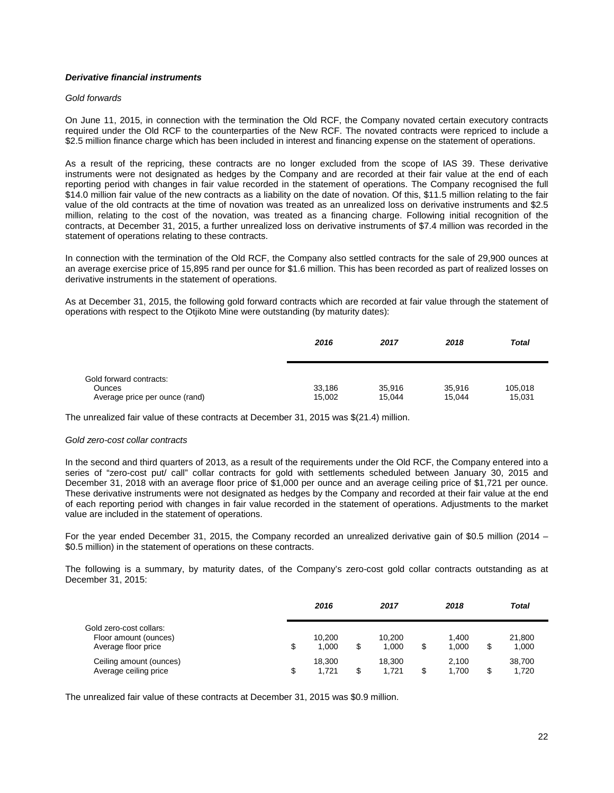# *Derivative financial instruments*

# *Gold forwards*

On June 11, 2015, in connection with the termination the Old RCF, the Company novated certain executory contracts required under the Old RCF to the counterparties of the New RCF. The novated contracts were repriced to include a \$2.5 million finance charge which has been included in interest and financing expense on the statement of operations.

As a result of the repricing, these contracts are no longer excluded from the scope of IAS 39. These derivative instruments were not designated as hedges by the Company and are recorded at their fair value at the end of each reporting period with changes in fair value recorded in the statement of operations. The Company recognised the full \$14.0 million fair value of the new contracts as a liability on the date of novation. Of this, \$11.5 million relating to the fair value of the old contracts at the time of novation was treated as an unrealized loss on derivative instruments and \$2.5 million, relating to the cost of the novation, was treated as a financing charge. Following initial recognition of the contracts, at December 31, 2015, a further unrealized loss on derivative instruments of \$7.4 million was recorded in the statement of operations relating to these contracts.

In connection with the termination of the Old RCF, the Company also settled contracts for the sale of 29,900 ounces at an average exercise price of 15,895 rand per ounce for \$1.6 million. This has been recorded as part of realized losses on derivative instruments in the statement of operations.

As at December 31, 2015, the following gold forward contracts which are recorded at fair value through the statement of operations with respect to the Otjikoto Mine were outstanding (by maturity dates):

|                                                                            | 2016             | 2017             | 2018             | Total             |
|----------------------------------------------------------------------------|------------------|------------------|------------------|-------------------|
| Gold forward contracts:<br><b>Ounces</b><br>Average price per ounce (rand) | 33,186<br>15,002 | 35,916<br>15.044 | 35.916<br>15.044 | 105,018<br>15,031 |

The unrealized fair value of these contracts at December 31, 2015 was \$(21.4) million.

#### *Gold zero-cost collar contracts*

In the second and third quarters of 2013, as a result of the requirements under the Old RCF, the Company entered into a series of "zero-cost put/ call" collar contracts for gold with settlements scheduled between January 30, 2015 and December 31, 2018 with an average floor price of \$1,000 per ounce and an average ceiling price of \$1,721 per ounce. These derivative instruments were not designated as hedges by the Company and recorded at their fair value at the end of each reporting period with changes in fair value recorded in the statement of operations. Adjustments to the market value are included in the statement of operations.

For the year ended December 31, 2015, the Company recorded an unrealized derivative gain of \$0.5 million (2014 – \$0.5 million) in the statement of operations on these contracts.

The following is a summary, by maturity dates, of the Company's zero-cost gold collar contracts outstanding as at December 31, 2015:

|                                                                         |    | 2016            | 2017                  |    | 2018           |   | Total           |  |
|-------------------------------------------------------------------------|----|-----------------|-----------------------|----|----------------|---|-----------------|--|
| Gold zero-cost collars:<br>Floor amount (ounces)<br>Average floor price | \$ | 10.200<br>1.000 | \$<br>10.200<br>1.000 | \$ | 1.400<br>1.000 | S | 21.800<br>1,000 |  |
| Ceiling amount (ounces)<br>Average ceiling price                        | S  | 18.300<br>1.721 | \$<br>18.300<br>1.721 | S  | 2.100<br>1.700 | S | 38.700<br>1,720 |  |

The unrealized fair value of these contracts at December 31, 2015 was \$0.9 million.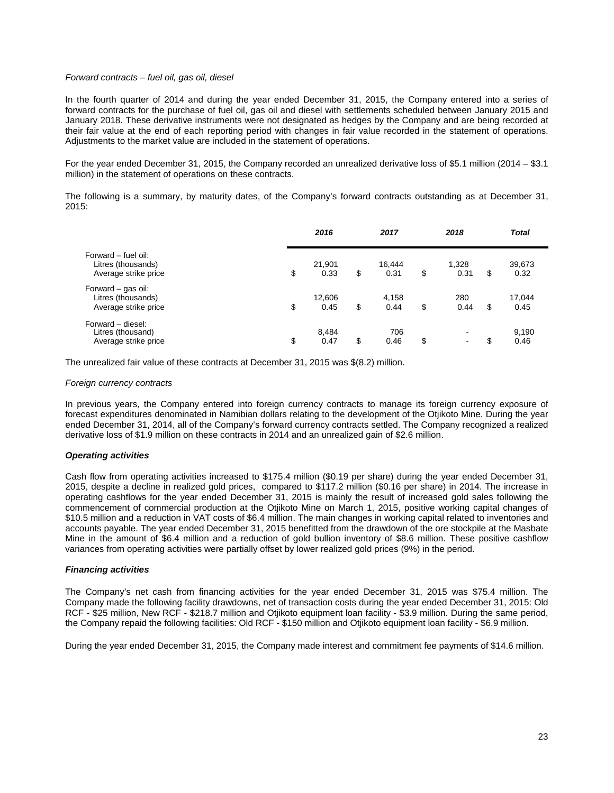### *Forward contracts – fuel oil, gas oil, diesel*

In the fourth quarter of 2014 and during the year ended December 31, 2015, the Company entered into a series of forward contracts for the purchase of fuel oil, gas oil and diesel with settlements scheduled between January 2015 and January 2018. These derivative instruments were not designated as hedges by the Company and are being recorded at their fair value at the end of each reporting period with changes in fair value recorded in the statement of operations. Adjustments to the market value are included in the statement of operations.

For the year ended December 31, 2015, the Company recorded an unrealized derivative loss of \$5.1 million (2014 – \$3.1 million) in the statement of operations on these contracts.

The following is a summary, by maturity dates, of the Company's forward contracts outstanding as at December 31,  $2015$ 

|                                                                   | 2016                 | 2017                 | 2018                 |    | <b>Total</b>   |
|-------------------------------------------------------------------|----------------------|----------------------|----------------------|----|----------------|
| Forward – fuel oil:<br>Litres (thousands)<br>Average strike price | \$<br>21,901<br>0.33 | \$<br>16,444<br>0.31 | \$<br>1,328<br>0.31  | \$ | 39,673<br>0.32 |
| Forward - gas oil:<br>Litres (thousands)<br>Average strike price  | \$<br>12,606<br>0.45 | \$<br>4,158<br>0.44  | \$<br>280<br>0.44    | \$ | 17,044<br>0.45 |
| Forward - diesel:<br>Litres (thousand)<br>Average strike price    | \$<br>8,484<br>0.47  | \$<br>706<br>0.46    | \$<br>$\blacksquare$ | S  | 9,190<br>0.46  |

The unrealized fair value of these contracts at December 31, 2015 was \$(8.2) million.

### *Foreign currency contracts*

In previous years, the Company entered into foreign currency contracts to manage its foreign currency exposure of forecast expenditures denominated in Namibian dollars relating to the development of the Otjikoto Mine. During the year ended December 31, 2014, all of the Company's forward currency contracts settled. The Company recognized a realized derivative loss of \$1.9 million on these contracts in 2014 and an unrealized gain of \$2.6 million.

# *Operating activities*

Cash flow from operating activities increased to \$175.4 million (\$0.19 per share) during the year ended December 31, 2015, despite a decline in realized gold prices, compared to \$117.2 million (\$0.16 per share) in 2014. The increase in operating cashflows for the year ended December 31, 2015 is mainly the result of increased gold sales following the commencement of commercial production at the Otjikoto Mine on March 1, 2015, positive working capital changes of \$10.5 million and a reduction in VAT costs of \$6.4 million. The main changes in working capital related to inventories and accounts payable. The year ended December 31, 2015 benefitted from the drawdown of the ore stockpile at the Masbate Mine in the amount of \$6.4 million and a reduction of gold bullion inventory of \$8.6 million. These positive cashflow variances from operating activities were partially offset by lower realized gold prices (9%) in the period.

# *Financing activities*

The Company's net cash from financing activities for the year ended December 31, 2015 was \$75.4 million. The Company made the following facility drawdowns, net of transaction costs during the year ended December 31, 2015: Old RCF - \$25 million, New RCF - \$218.7 million and Otjikoto equipment loan facility - \$3.9 million. During the same period, the Company repaid the following facilities: Old RCF - \$150 million and Otjikoto equipment loan facility - \$6.9 million.

During the year ended December 31, 2015, the Company made interest and commitment fee payments of \$14.6 million.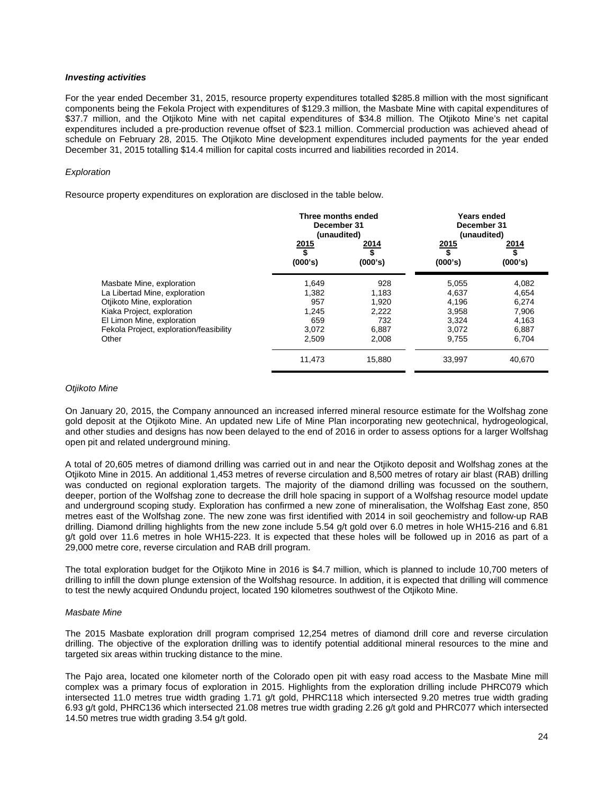### *Investing activities*

For the year ended December 31, 2015, resource property expenditures totalled \$285.8 million with the most significant components being the Fekola Project with expenditures of \$129.3 million, the Masbate Mine with capital expenditures of \$37.7 million, and the Otjikoto Mine with net capital expenditures of \$34.8 million. The Otjikoto Mine's net capital expenditures included a pre-production revenue offset of \$23.1 million. Commercial production was achieved ahead of schedule on February 28, 2015. The Otjikoto Mine development expenditures included payments for the year ended December 31, 2015 totalling \$14.4 million for capital costs incurred and liabilities recorded in 2014.

## *Exploration*

Resource property expenditures on exploration are disclosed in the table below.

|                                         |                              | Three months ended<br>Years ended<br>December 31<br>December 31<br>(unaudited)<br>(unaudited) |                                            |                       |
|-----------------------------------------|------------------------------|-----------------------------------------------------------------------------------------------|--------------------------------------------|-----------------------|
|                                         | $\frac{2015}{\$}$<br>(000's) | 2014<br>\$<br>(000's)                                                                         | 2015<br>$\overline{\mathbf{s}}$<br>(000's) | 2014<br>\$<br>(000's) |
| Masbate Mine, exploration               | 1,649                        | 928                                                                                           | 5,055                                      | 4,082                 |
| La Libertad Mine, exploration           | 1,382                        | 1,183                                                                                         | 4,637                                      | 4,654                 |
| Otjikoto Mine, exploration              | 957                          | 1.920                                                                                         | 4,196                                      | 6.274                 |
| Kiaka Project, exploration              | 1,245                        | 2,222                                                                                         | 3,958                                      | 7,906                 |
| El Limon Mine, exploration              | 659                          | 732                                                                                           | 3,324                                      | 4,163                 |
| Fekola Project, exploration/feasibility | 3,072                        | 6,887                                                                                         | 3,072                                      | 6,887                 |
| Other                                   | 2,509                        | 2,008                                                                                         | 9,755                                      | 6,704                 |
|                                         | 11,473                       | 15,880                                                                                        | 33,997                                     | 40,670                |

#### *Otjikoto Mine*

On January 20, 2015, the Company announced an increased inferred mineral resource estimate for the Wolfshag zone gold deposit at the Otjikoto Mine. An updated new Life of Mine Plan incorporating new geotechnical, hydrogeological, and other studies and designs has now been delayed to the end of 2016 in order to assess options for a larger Wolfshag open pit and related underground mining.

A total of 20,605 metres of diamond drilling was carried out in and near the Otjikoto deposit and Wolfshag zones at the Otjikoto Mine in 2015. An additional 1,453 metres of reverse circulation and 8,500 metres of rotary air blast (RAB) drilling was conducted on regional exploration targets. The majority of the diamond drilling was focussed on the southern, deeper, portion of the Wolfshag zone to decrease the drill hole spacing in support of a Wolfshag resource model update and underground scoping study. Exploration has confirmed a new zone of mineralisation, the Wolfshag East zone, 850 metres east of the Wolfshag zone. The new zone was first identified with 2014 in soil geochemistry and follow-up RAB drilling. Diamond drilling highlights from the new zone include 5.54 g/t gold over 6.0 metres in hole WH15-216 and 6.81 g/t gold over 11.6 metres in hole WH15-223. It is expected that these holes will be followed up in 2016 as part of a 29,000 metre core, reverse circulation and RAB drill program.

The total exploration budget for the Otjikoto Mine in 2016 is \$4.7 million, which is planned to include 10,700 meters of drilling to infill the down plunge extension of the Wolfshag resource. In addition, it is expected that drilling will commence to test the newly acquired Ondundu project, located 190 kilometres southwest of the Otjikoto Mine.

#### *Masbate Mine*

The 2015 Masbate exploration drill program comprised 12,254 metres of diamond drill core and reverse circulation drilling. The objective of the exploration drilling was to identify potential additional mineral resources to the mine and targeted six areas within trucking distance to the mine.

The Pajo area, located one kilometer north of the Colorado open pit with easy road access to the Masbate Mine mill complex was a primary focus of exploration in 2015. Highlights from the exploration drilling include PHRC079 which intersected 11.0 metres true width grading 1.71 g/t gold, PHRC118 which intersected 9.20 metres true width grading 6.93 g/t gold, PHRC136 which intersected 21.08 metres true width grading 2.26 g/t gold and PHRC077 which intersected 14.50 metres true width grading 3.54 g/t gold.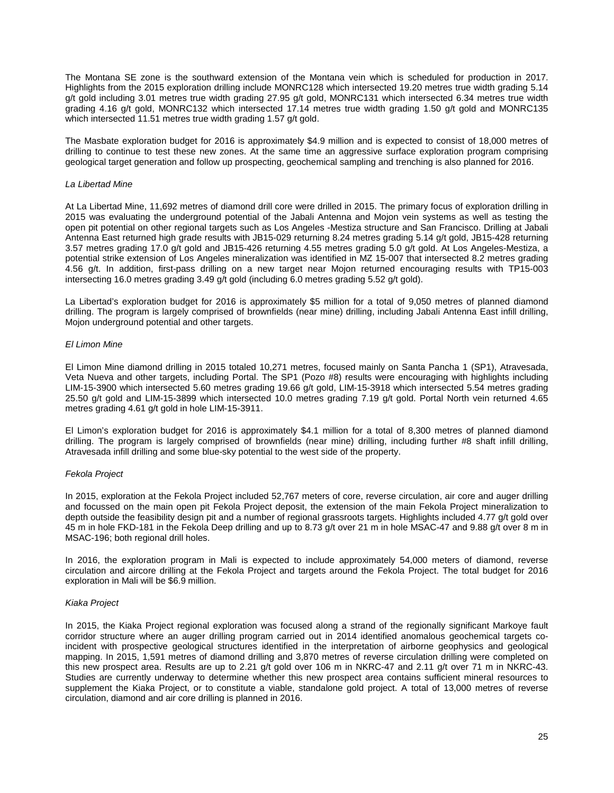The Montana SE zone is the southward extension of the Montana vein which is scheduled for production in 2017. Highlights from the 2015 exploration drilling include MONRC128 which intersected 19.20 metres true width grading 5.14 g/t gold including 3.01 metres true width grading 27.95 g/t gold, MONRC131 which intersected 6.34 metres true width grading 4.16 g/t gold, MONRC132 which intersected 17.14 metres true width grading 1.50 g/t gold and MONRC135 which intersected 11.51 metres true width grading 1.57 g/t gold.

The Masbate exploration budget for 2016 is approximately \$4.9 million and is expected to consist of 18,000 metres of drilling to continue to test these new zones. At the same time an aggressive surface exploration program comprising geological target generation and follow up prospecting, geochemical sampling and trenching is also planned for 2016.

#### *La Libertad Mine*

At La Libertad Mine, 11,692 metres of diamond drill core were drilled in 2015. The primary focus of exploration drilling in 2015 was evaluating the underground potential of the Jabali Antenna and Mojon vein systems as well as testing the open pit potential on other regional targets such as Los Angeles -Mestiza structure and San Francisco. Drilling at Jabali Antenna East returned high grade results with JB15-029 returning 8.24 metres grading 5.14 g/t gold, JB15-428 returning 3.57 metres grading 17.0 g/t gold and JB15-426 returning 4.55 metres grading 5.0 g/t gold. At Los Angeles-Mestiza, a potential strike extension of Los Angeles mineralization was identified in MZ 15-007 that intersected 8.2 metres grading 4.56 g/t. In addition, first-pass drilling on a new target near Mojon returned encouraging results with TP15-003 intersecting 16.0 metres grading 3.49 g/t gold (including 6.0 metres grading 5.52 g/t gold).

La Libertad's exploration budget for 2016 is approximately \$5 million for a total of 9,050 metres of planned diamond drilling. The program is largely comprised of brownfields (near mine) drilling, including Jabali Antenna East infill drilling, Mojon underground potential and other targets.

# *El Limon Mine*

El Limon Mine diamond drilling in 2015 totaled 10,271 metres, focused mainly on Santa Pancha 1 (SP1), Atravesada, Veta Nueva and other targets, including Portal. The SP1 (Pozo #8) results were encouraging with highlights including LIM-15-3900 which intersected 5.60 metres grading 19.66 g/t gold, LIM-15-3918 which intersected 5.54 metres grading 25.50 g/t gold and LIM-15-3899 which intersected 10.0 metres grading 7.19 g/t gold. Portal North vein returned 4.65 metres grading 4.61 g/t gold in hole LIM-15-3911.

El Limon's exploration budget for 2016 is approximately \$4.1 million for a total of 8,300 metres of planned diamond drilling. The program is largely comprised of brownfields (near mine) drilling, including further #8 shaft infill drilling, Atravesada infill drilling and some blue-sky potential to the west side of the property.

# *Fekola Project*

In 2015, exploration at the Fekola Project included 52,767 meters of core, reverse circulation, air core and auger drilling and focussed on the main open pit Fekola Project deposit, the extension of the main Fekola Project mineralization to depth outside the feasibility design pit and a number of regional grassroots targets. Highlights included 4.77 g/t gold over 45 m in hole FKD-181 in the Fekola Deep drilling and up to 8.73 g/t over 21 m in hole MSAC-47 and 9.88 g/t over 8 m in MSAC-196; both regional drill holes.

In 2016, the exploration program in Mali is expected to include approximately 54,000 meters of diamond, reverse circulation and aircore drilling at the Fekola Project and targets around the Fekola Project. The total budget for 2016 exploration in Mali will be \$6.9 million.

# *Kiaka Project*

In 2015, the Kiaka Project regional exploration was focused along a strand of the regionally significant Markoye fault corridor structure where an auger drilling program carried out in 2014 identified anomalous geochemical targets coincident with prospective geological structures identified in the interpretation of airborne geophysics and geological mapping. In 2015, 1,591 metres of diamond drilling and 3,870 metres of reverse circulation drilling were completed on this new prospect area. Results are up to 2.21 g/t gold over 106 m in NKRC-47 and 2.11 g/t over 71 m in NKRC-43. Studies are currently underway to determine whether this new prospect area contains sufficient mineral resources to supplement the Kiaka Project, or to constitute a viable, standalone gold project. A total of 13,000 metres of reverse circulation, diamond and air core drilling is planned in 2016.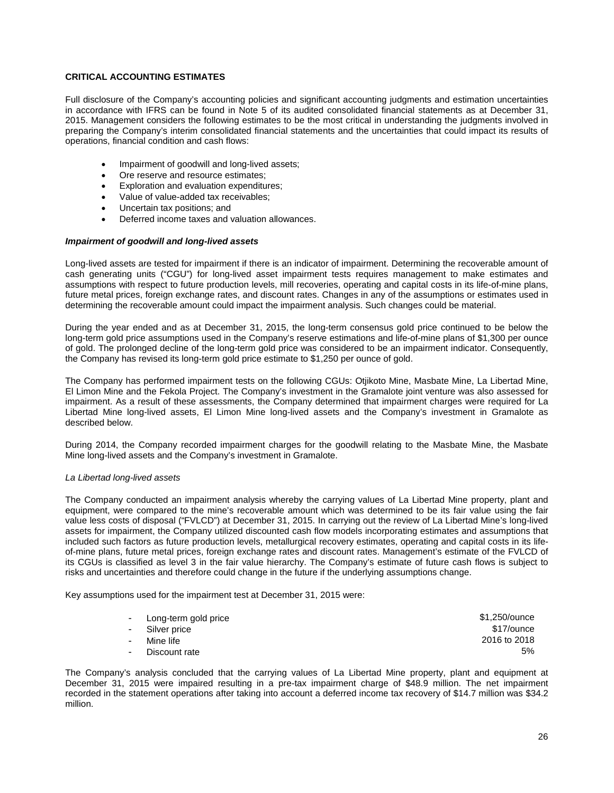# **CRITICAL ACCOUNTING ESTIMATES**

Full disclosure of the Company's accounting policies and significant accounting judgments and estimation uncertainties in accordance with IFRS can be found in Note 5 of its audited consolidated financial statements as at December 31, 2015. Management considers the following estimates to be the most critical in understanding the judgments involved in preparing the Company's interim consolidated financial statements and the uncertainties that could impact its results of operations, financial condition and cash flows:

- Impairment of goodwill and long-lived assets;
- Ore reserve and resource estimates:
- Exploration and evaluation expenditures;
- Value of value-added tax receivables;
- Uncertain tax positions; and
- Deferred income taxes and valuation allowances.

### *Impairment of goodwill and long-lived assets*

Long-lived assets are tested for impairment if there is an indicator of impairment. Determining the recoverable amount of cash generating units ("CGU") for long-lived asset impairment tests requires management to make estimates and assumptions with respect to future production levels, mill recoveries, operating and capital costs in its life-of-mine plans, future metal prices, foreign exchange rates, and discount rates. Changes in any of the assumptions or estimates used in determining the recoverable amount could impact the impairment analysis. Such changes could be material.

During the year ended and as at December 31, 2015, the long-term consensus gold price continued to be below the long-term gold price assumptions used in the Company's reserve estimations and life-of-mine plans of \$1,300 per ounce of gold. The prolonged decline of the long-term gold price was considered to be an impairment indicator. Consequently, the Company has revised its long-term gold price estimate to \$1,250 per ounce of gold.

The Company has performed impairment tests on the following CGUs: Otjikoto Mine, Masbate Mine, La Libertad Mine, El Limon Mine and the Fekola Project. The Company's investment in the Gramalote joint venture was also assessed for impairment. As a result of these assessments, the Company determined that impairment charges were required for La Libertad Mine long-lived assets, El Limon Mine long-lived assets and the Company's investment in Gramalote as described below.

During 2014, the Company recorded impairment charges for the goodwill relating to the Masbate Mine, the Masbate Mine long-lived assets and the Company's investment in Gramalote.

# *La Libertad long-lived assets*

The Company conducted an impairment analysis whereby the carrying values of La Libertad Mine property, plant and equipment, were compared to the mine's recoverable amount which was determined to be its fair value using the fair value less costs of disposal ("FVLCD") at December 31, 2015. In carrying out the review of La Libertad Mine's long-lived assets for impairment, the Company utilized discounted cash flow models incorporating estimates and assumptions that included such factors as future production levels, metallurgical recovery estimates, operating and capital costs in its lifeof-mine plans, future metal prices, foreign exchange rates and discount rates. Management's estimate of the FVLCD of its CGUs is classified as level 3 in the fair value hierarchy. The Company's estimate of future cash flows is subject to risks and uncertainties and therefore could change in the future if the underlying assumptions change.

Key assumptions used for the impairment test at December 31, 2015 were:

| - Long-term gold price | \$1,250/ounce |
|------------------------|---------------|
| - Silver price         | \$17/ounce    |
| - Mine life            | 2016 to 2018  |
| - Discount rate        | 5%            |

The Company's analysis concluded that the carrying values of La Libertad Mine property, plant and equipment at December 31, 2015 were impaired resulting in a pre-tax impairment charge of \$48.9 million. The net impairment recorded in the statement operations after taking into account a deferred income tax recovery of \$14.7 million was \$34.2 million.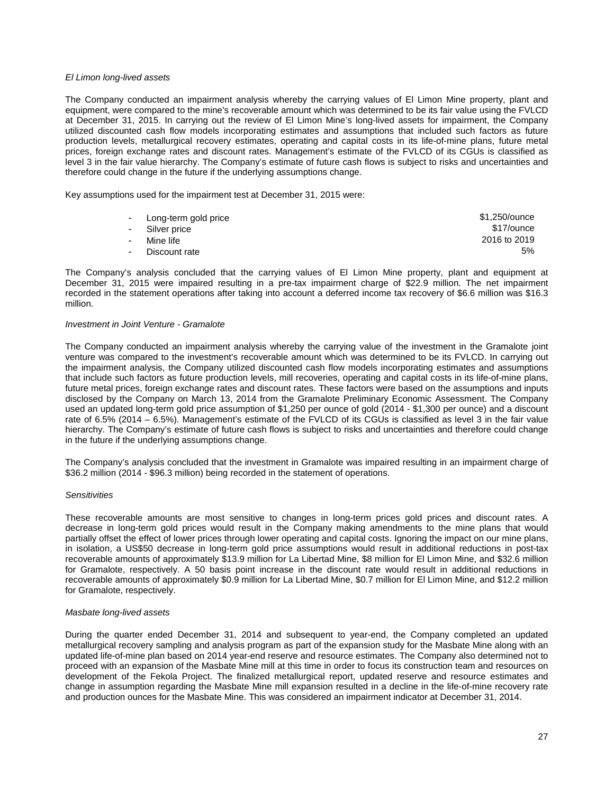## *El Limon long-lived assets*

The Company conducted an impairment analysis whereby the carrying values of El Limon Mine property, plant and equipment, were compared to the mine's recoverable amount which was determined to be its fair value using the FVLCD at December 31, 2015. In carrying out the review of El Limon Mine's long-lived assets for impairment, the Company utilized discounted cash flow models incorporating estimates and assumptions that included such factors as future production levels, metallurgical recovery estimates, operating and capital costs in its life-of-mine plans, future metal prices, foreign exchange rates and discount rates. Management's estimate of the FVLCD of its CGUs is classified as level 3 in the fair value hierarchy. The Company's estimate of future cash flows is subject to risks and uncertainties and therefore could change in the future if the underlying assumptions change.

Key assumptions used for the impairment test at December 31, 2015 were:

|        | - Long-term gold price | \$1,250/ounce |
|--------|------------------------|---------------|
|        | - Silver price         | \$17/ounce    |
| $\sim$ | Mine life              | 2016 to 2019  |
|        | - Discount rate        | 5%            |

The Company's analysis concluded that the carrying values of El Limon Mine property, plant and equipment at December 31, 2015 were impaired resulting in a pre-tax impairment charge of \$22.9 million. The net impairment recorded in the statement operations after taking into account a deferred income tax recovery of \$6.6 million was \$16.3 million.

#### *Investment in Joint Venture - Gramalote*

The Company conducted an impairment analysis whereby the carrying value of the investment in the Gramalote joint venture was compared to the investment's recoverable amount which was determined to be its FVLCD. In carrying out the impairment analysis, the Company utilized discounted cash flow models incorporating estimates and assumptions that include such factors as future production levels, mill recoveries, operating and capital costs in its life-of-mine plans, future metal prices, foreign exchange rates and discount rates. These factors were based on the assumptions and inputs disclosed by the Company on March 13, 2014 from the Gramalote Preliminary Economic Assessment. The Company used an updated long-term gold price assumption of \$1,250 per ounce of gold (2014 - \$1,300 per ounce) and a discount rate of 6.5% (2014 – 6.5%). Management's estimate of the FVLCD of its CGUs is classified as level 3 in the fair value hierarchy. The Company's estimate of future cash flows is subject to risks and uncertainties and therefore could change in the future if the underlying assumptions change.

The Company's analysis concluded that the investment in Gramalote was impaired resulting in an impairment charge of \$36.2 million (2014 - \$96.3 million) being recorded in the statement of operations.

## *Sensitivities*

These recoverable amounts are most sensitive to changes in long-term prices gold prices and discount rates. A decrease in long-term gold prices would result in the Company making amendments to the mine plans that would partially offset the effect of lower prices through lower operating and capital costs. Ignoring the impact on our mine plans, in isolation, a US\$50 decrease in long-term gold price assumptions would result in additional reductions in post-tax recoverable amounts of approximately \$13.9 million for La Libertad Mine, \$8 million for El Limon Mine, and \$32.6 million for Gramalote, respectively. A 50 basis point increase in the discount rate would result in additional reductions in recoverable amounts of approximately \$0.9 million for La Libertad Mine, \$0.7 million for El Limon Mine, and \$12.2 million for Gramalote, respectively.

### *Masbate long-lived assets*

During the quarter ended December 31, 2014 and subsequent to year-end, the Company completed an updated metallurgical recovery sampling and analysis program as part of the expansion study for the Masbate Mine along with an updated life-of-mine plan based on 2014 year-end reserve and resource estimates. The Company also determined not to proceed with an expansion of the Masbate Mine mill at this time in order to focus its construction team and resources on development of the Fekola Project. The finalized metallurgical report, updated reserve and resource estimates and change in assumption regarding the Masbate Mine mill expansion resulted in a decline in the life-of-mine recovery rate and production ounces for the Masbate Mine. This was considered an impairment indicator at December 31, 2014.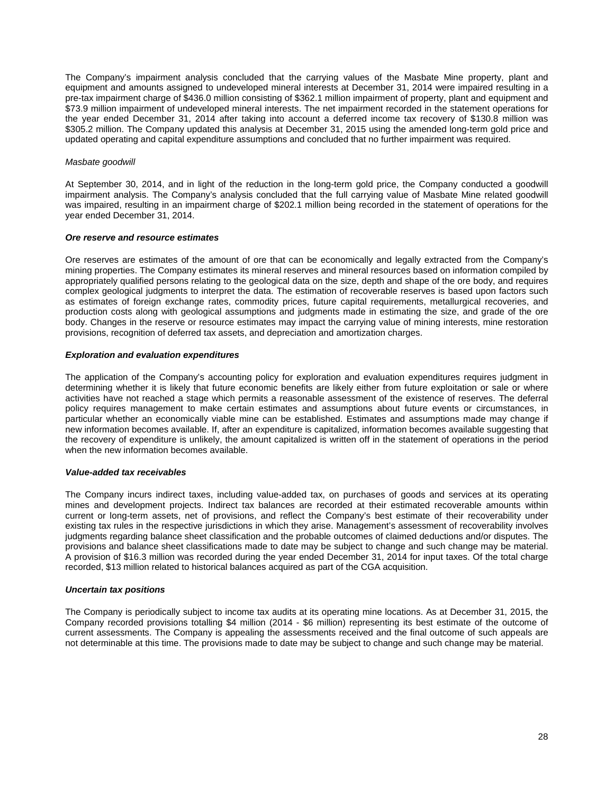The Company's impairment analysis concluded that the carrying values of the Masbate Mine property, plant and equipment and amounts assigned to undeveloped mineral interests at December 31, 2014 were impaired resulting in a pre-tax impairment charge of \$436.0 million consisting of \$362.1 million impairment of property, plant and equipment and \$73.9 million impairment of undeveloped mineral interests. The net impairment recorded in the statement operations for the year ended December 31, 2014 after taking into account a deferred income tax recovery of \$130.8 million was \$305.2 million. The Company updated this analysis at December 31, 2015 using the amended long-term gold price and updated operating and capital expenditure assumptions and concluded that no further impairment was required.

#### *Masbate goodwill*

At September 30, 2014, and in light of the reduction in the long-term gold price, the Company conducted a goodwill impairment analysis. The Company's analysis concluded that the full carrying value of Masbate Mine related goodwill was impaired, resulting in an impairment charge of \$202.1 million being recorded in the statement of operations for the year ended December 31, 2014.

### *Ore reserve and resource estimates*

Ore reserves are estimates of the amount of ore that can be economically and legally extracted from the Company's mining properties. The Company estimates its mineral reserves and mineral resources based on information compiled by appropriately qualified persons relating to the geological data on the size, depth and shape of the ore body, and requires complex geological judgments to interpret the data. The estimation of recoverable reserves is based upon factors such as estimates of foreign exchange rates, commodity prices, future capital requirements, metallurgical recoveries, and production costs along with geological assumptions and judgments made in estimating the size, and grade of the ore body. Changes in the reserve or resource estimates may impact the carrying value of mining interests, mine restoration provisions, recognition of deferred tax assets, and depreciation and amortization charges.

### *Exploration and evaluation expenditures*

The application of the Company's accounting policy for exploration and evaluation expenditures requires judgment in determining whether it is likely that future economic benefits are likely either from future exploitation or sale or where activities have not reached a stage which permits a reasonable assessment of the existence of reserves. The deferral policy requires management to make certain estimates and assumptions about future events or circumstances, in particular whether an economically viable mine can be established. Estimates and assumptions made may change if new information becomes available. If, after an expenditure is capitalized, information becomes available suggesting that the recovery of expenditure is unlikely, the amount capitalized is written off in the statement of operations in the period when the new information becomes available.

#### *Value-added tax receivables*

The Company incurs indirect taxes, including value-added tax, on purchases of goods and services at its operating mines and development projects. Indirect tax balances are recorded at their estimated recoverable amounts within current or long-term assets, net of provisions, and reflect the Company's best estimate of their recoverability under existing tax rules in the respective jurisdictions in which they arise. Management's assessment of recoverability involves judgments regarding balance sheet classification and the probable outcomes of claimed deductions and/or disputes. The provisions and balance sheet classifications made to date may be subject to change and such change may be material. A provision of \$16.3 million was recorded during the year ended December 31, 2014 for input taxes. Of the total charge recorded, \$13 million related to historical balances acquired as part of the CGA acquisition.

# *Uncertain tax positions*

The Company is periodically subject to income tax audits at its operating mine locations. As at December 31, 2015, the Company recorded provisions totalling \$4 million (2014 - \$6 million) representing its best estimate of the outcome of current assessments. The Company is appealing the assessments received and the final outcome of such appeals are not determinable at this time. The provisions made to date may be subject to change and such change may be material.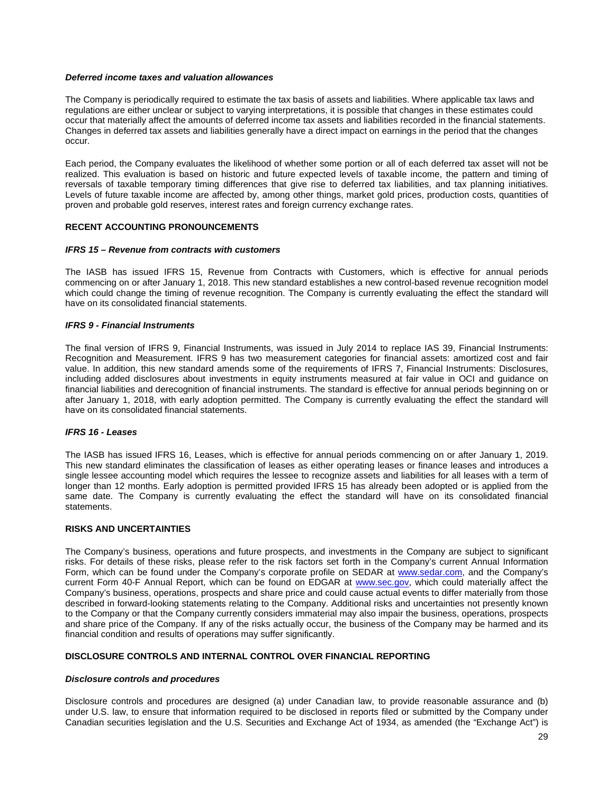## *Deferred income taxes and valuation allowances*

The Company is periodically required to estimate the tax basis of assets and liabilities. Where applicable tax laws and regulations are either unclear or subject to varying interpretations, it is possible that changes in these estimates could occur that materially affect the amounts of deferred income tax assets and liabilities recorded in the financial statements. Changes in deferred tax assets and liabilities generally have a direct impact on earnings in the period that the changes occur.

Each period, the Company evaluates the likelihood of whether some portion or all of each deferred tax asset will not be realized. This evaluation is based on historic and future expected levels of taxable income, the pattern and timing of reversals of taxable temporary timing differences that give rise to deferred tax liabilities, and tax planning initiatives. Levels of future taxable income are affected by, among other things, market gold prices, production costs, quantities of proven and probable gold reserves, interest rates and foreign currency exchange rates.

# **RECENT ACCOUNTING PRONOUNCEMENTS**

### *IFRS 15 – Revenue from contracts with customers*

The IASB has issued IFRS 15, Revenue from Contracts with Customers, which is effective for annual periods commencing on or after January 1, 2018. This new standard establishes a new control-based revenue recognition model which could change the timing of revenue recognition. The Company is currently evaluating the effect the standard will have on its consolidated financial statements.

# *IFRS 9 - Financial Instruments*

The final version of IFRS 9, Financial Instruments, was issued in July 2014 to replace IAS 39, Financial Instruments: Recognition and Measurement. IFRS 9 has two measurement categories for financial assets: amortized cost and fair value. In addition, this new standard amends some of the requirements of IFRS 7, Financial Instruments: Disclosures, including added disclosures about investments in equity instruments measured at fair value in OCI and guidance on financial liabilities and derecognition of financial instruments. The standard is effective for annual periods beginning on or after January 1, 2018, with early adoption permitted. The Company is currently evaluating the effect the standard will have on its consolidated financial statements.

## *IFRS 16 - Leases*

The IASB has issued IFRS 16, Leases, which is effective for annual periods commencing on or after January 1, 2019. This new standard eliminates the classification of leases as either operating leases or finance leases and introduces a single lessee accounting model which requires the lessee to recognize assets and liabilities for all leases with a term of longer than 12 months. Early adoption is permitted provided IFRS 15 has already been adopted or is applied from the same date. The Company is currently evaluating the effect the standard will have on its consolidated financial statements.

## **RISKS AND UNCERTAINTIES**

The Company's business, operations and future prospects, and investments in the Company are subject to significant risks. For details of these risks, please refer to the risk factors set forth in the Company's current Annual Information Form, which can be found under the Company's corporate profile on SEDAR at [www.sedar.com,](http://www.sedar.com/) and the Company's current Form 40-F Annual Report, which can be found on EDGAR at [www.sec.gov,](http://www.sec.gov/) which could materially affect the Company's business, operations, prospects and share price and could cause actual events to differ materially from those described in forward-looking statements relating to the Company. Additional risks and uncertainties not presently known to the Company or that the Company currently considers immaterial may also impair the business, operations, prospects and share price of the Company. If any of the risks actually occur, the business of the Company may be harmed and its financial condition and results of operations may suffer significantly.

# **DISCLOSURE CONTROLS AND INTERNAL CONTROL OVER FINANCIAL REPORTING**

#### *Disclosure controls and procedures*

Disclosure controls and procedures are designed (a) under Canadian law, to provide reasonable assurance and (b) under U.S. law, to ensure that information required to be disclosed in reports filed or submitted by the Company under Canadian securities legislation and the U.S. Securities and Exchange Act of 1934, as amended (the "Exchange Act") is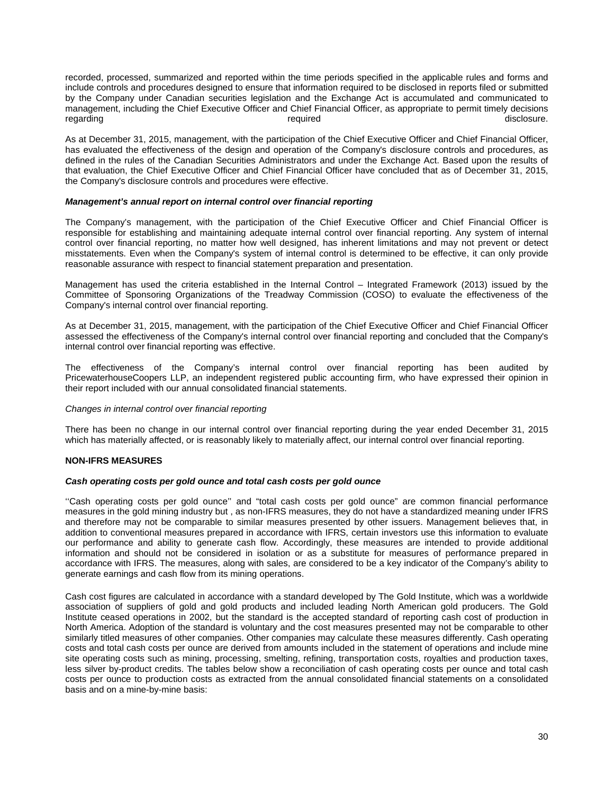recorded, processed, summarized and reported within the time periods specified in the applicable rules and forms and include controls and procedures designed to ensure that information required to be disclosed in reports filed or submitted by the Company under Canadian securities legislation and the Exchange Act is accumulated and communicated to management, including the Chief Executive Officer and Chief Financial Officer, as appropriate to permit timely decisions regarding resolution of the contract of the contract of the contract of the contract of the contract of the contract of the contract of the contract of the contract of the contract of the contract of the contract of the co

As at December 31, 2015, management, with the participation of the Chief Executive Officer and Chief Financial Officer, has evaluated the effectiveness of the design and operation of the Company's disclosure controls and procedures, as defined in the rules of the Canadian Securities Administrators and under the Exchange Act. Based upon the results of that evaluation, the Chief Executive Officer and Chief Financial Officer have concluded that as of December 31, 2015, the Company's disclosure controls and procedures were effective.

# *Management's annual report on internal control over financial reporting*

The Company's management, with the participation of the Chief Executive Officer and Chief Financial Officer is responsible for establishing and maintaining adequate internal control over financial reporting. Any system of internal control over financial reporting, no matter how well designed, has inherent limitations and may not prevent or detect misstatements. Even when the Company's system of internal control is determined to be effective, it can only provide reasonable assurance with respect to financial statement preparation and presentation.

Management has used the criteria established in the Internal Control – Integrated Framework (2013) issued by the Committee of Sponsoring Organizations of the Treadway Commission (COSO) to evaluate the effectiveness of the Company's internal control over financial reporting.

As at December 31, 2015, management, with the participation of the Chief Executive Officer and Chief Financial Officer assessed the effectiveness of the Company's internal control over financial reporting and concluded that the Company's internal control over financial reporting was effective.

The effectiveness of the Company's internal control over financial reporting has been audited by PricewaterhouseCoopers LLP, an independent registered public accounting firm, who have expressed their opinion in their report included with our annual consolidated financial statements.

# *Changes in internal control over financial reporting*

There has been no change in our internal control over financial reporting during the year ended December 31, 2015 which has materially affected, or is reasonably likely to materially affect, our internal control over financial reporting.

# **NON-IFRS MEASURES**

#### *Cash operating costs per gold ounce and total cash costs per gold ounce*

''Cash operating costs per gold ounce'' and "total cash costs per gold ounce" are common financial performance measures in the gold mining industry but , as non-IFRS measures, they do not have a standardized meaning under IFRS and therefore may not be comparable to similar measures presented by other issuers. Management believes that, in addition to conventional measures prepared in accordance with IFRS, certain investors use this information to evaluate our performance and ability to generate cash flow. Accordingly, these measures are intended to provide additional information and should not be considered in isolation or as a substitute for measures of performance prepared in accordance with IFRS. The measures, along with sales, are considered to be a key indicator of the Company's ability to generate earnings and cash flow from its mining operations.

Cash cost figures are calculated in accordance with a standard developed by The Gold Institute, which was a worldwide association of suppliers of gold and gold products and included leading North American gold producers. The Gold Institute ceased operations in 2002, but the standard is the accepted standard of reporting cash cost of production in North America. Adoption of the standard is voluntary and the cost measures presented may not be comparable to other similarly titled measures of other companies. Other companies may calculate these measures differently. Cash operating costs and total cash costs per ounce are derived from amounts included in the statement of operations and include mine site operating costs such as mining, processing, smelting, refining, transportation costs, royalties and production taxes, less silver by-product credits. The tables below show a reconciliation of cash operating costs per ounce and total cash costs per ounce to production costs as extracted from the annual consolidated financial statements on a consolidated basis and on a mine-by-mine basis: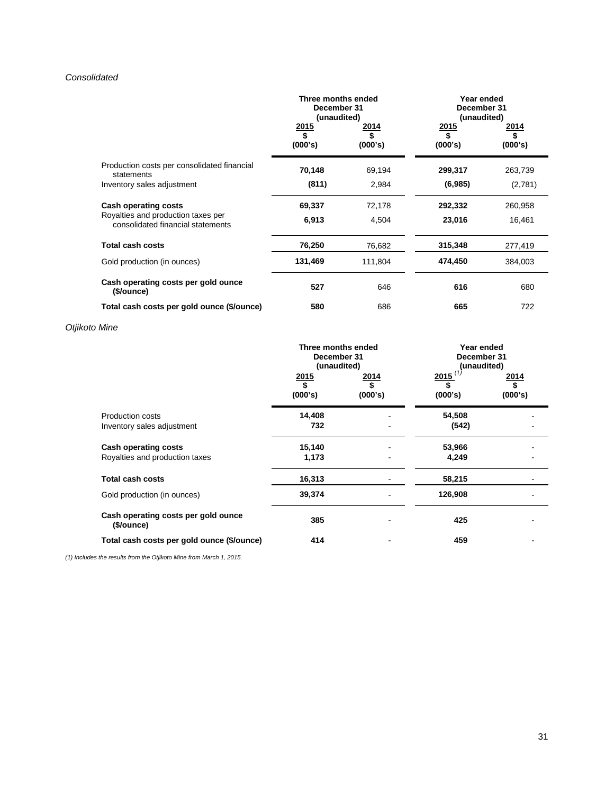# *Consolidated*

|                                                                         | Three months ended<br>December 31<br>(unaudited) |                              | Year ended<br>December 31<br>(unaudited) |                       |
|-------------------------------------------------------------------------|--------------------------------------------------|------------------------------|------------------------------------------|-----------------------|
|                                                                         | 2015<br>\$<br>(000's)                            | <u>2014</u><br>\$<br>(000's) | 2015<br>\$<br>(000's)                    | 2014<br>\$<br>(000's) |
| Production costs per consolidated financial<br>statements               | 70,148                                           | 69,194                       | 299,317                                  | 263,739               |
| Inventory sales adjustment                                              | (811)                                            | 2,984                        | (6,985)                                  | (2,781)               |
| <b>Cash operating costs</b>                                             | 69,337                                           | 72,178                       | 292,332                                  | 260,958               |
| Royalties and production taxes per<br>consolidated financial statements | 6,913                                            | 4,504                        | 23,016                                   | 16,461                |
| Total cash costs                                                        | 76,250                                           | 76,682                       | 315,348                                  | 277,419               |
| Gold production (in ounces)                                             | 131,469                                          | 111,804                      | 474,450                                  | 384,003               |
| Cash operating costs per gold ounce<br>(\$/ounce)                       | 527                                              | 646                          | 616                                      | 680                   |
| Total cash costs per gold ounce (\$/ounce)                              | 580                                              | 686                          | 665                                      | 722                   |

# *Otjikoto Mine*

|                                                               | Three months ended<br>December 31<br>(unaudited) |                 | Year ended<br>December 31<br>(unaudited) |                 |
|---------------------------------------------------------------|--------------------------------------------------|-----------------|------------------------------------------|-----------------|
|                                                               | <u>2015</u><br>(000's)                           | 2014<br>(000's) | 2015<br>(000's)                          | 2014<br>(000's) |
| <b>Production costs</b><br>Inventory sales adjustment         | 14,408<br>732                                    |                 | 54,508<br>(542)                          |                 |
| <b>Cash operating costs</b><br>Royalties and production taxes | 15,140<br>1,173                                  |                 | 53,966<br>4,249                          |                 |
| <b>Total cash costs</b>                                       | 16,313                                           |                 | 58,215                                   |                 |
| Gold production (in ounces)                                   | 39,374                                           |                 | 126,908                                  |                 |
| Cash operating costs per gold ounce<br>(\$/ounce)             | 385                                              |                 | 425                                      |                 |
| Total cash costs per gold ounce (\$/ounce)                    | 414                                              |                 | 459                                      |                 |

*(1) Includes the results from the Otjikoto Mine from March 1, 2015.*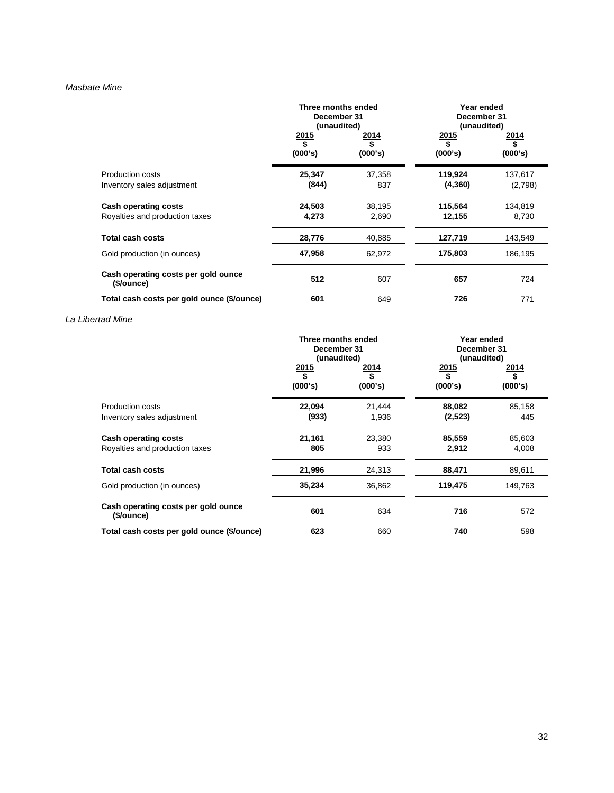### *Masbate Mine*

|                                                        | Three months ended<br>December 31<br>(unaudited) |                          | Year ended<br>December 31<br>(unaudited) |                    |
|--------------------------------------------------------|--------------------------------------------------|--------------------------|------------------------------------------|--------------------|
|                                                        | 2015<br>\$<br>(000's)                            | <u> 2014 </u><br>(000's) | 2015<br>\$<br>(000's)                    | 2014<br>(000's)    |
| <b>Production costs</b><br>Inventory sales adjustment  | 25,347<br>(844)                                  | 37,358<br>837            | 119,924<br>(4, 360)                      | 137,617<br>(2,798) |
| Cash operating costs<br>Royalties and production taxes | 24,503<br>4,273                                  | 38,195<br>2,690          | 115,564<br>12,155                        | 134,819<br>8,730   |
| <b>Total cash costs</b>                                | 28,776                                           | 40,885                   | 127,719                                  | 143,549            |
| Gold production (in ounces)                            | 47,958                                           | 62,972                   | 175,803                                  | 186,195            |
| Cash operating costs per gold ounce<br>(\$/ounce)      | 512                                              | 607                      | 657                                      | 724                |
| Total cash costs per gold ounce (\$/ounce)             | 601                                              | 649                      | 726                                      | 771                |

# *La Libertad Mine*

|                                                               | Three months ended<br>December 31<br>(unaudited) |                 | Year ended<br>December 31<br>(unaudited) |                 |
|---------------------------------------------------------------|--------------------------------------------------|-----------------|------------------------------------------|-----------------|
|                                                               | 2015<br>\$<br>(000's)                            | 2014<br>(000's) | <u>2015</u><br>\$<br>(000's)             | 2014<br>(000's) |
| <b>Production costs</b><br>Inventory sales adjustment         | 22.094<br>(933)                                  | 21,444<br>1,936 | 88,082<br>(2,523)                        | 85,158<br>445   |
| <b>Cash operating costs</b><br>Royalties and production taxes | 21,161<br>805                                    | 23,380<br>933   | 85,559<br>2,912                          | 85,603<br>4,008 |
| <b>Total cash costs</b>                                       | 21,996                                           | 24,313          | 88,471                                   | 89,611          |
| Gold production (in ounces)                                   | 35,234                                           | 36,862          | 119,475                                  | 149,763         |
| Cash operating costs per gold ounce<br>(\$/ounce)             | 601                                              | 634             | 716                                      | 572             |
| Total cash costs per gold ounce (\$/ounce)                    | 623                                              | 660             | 740                                      | 598             |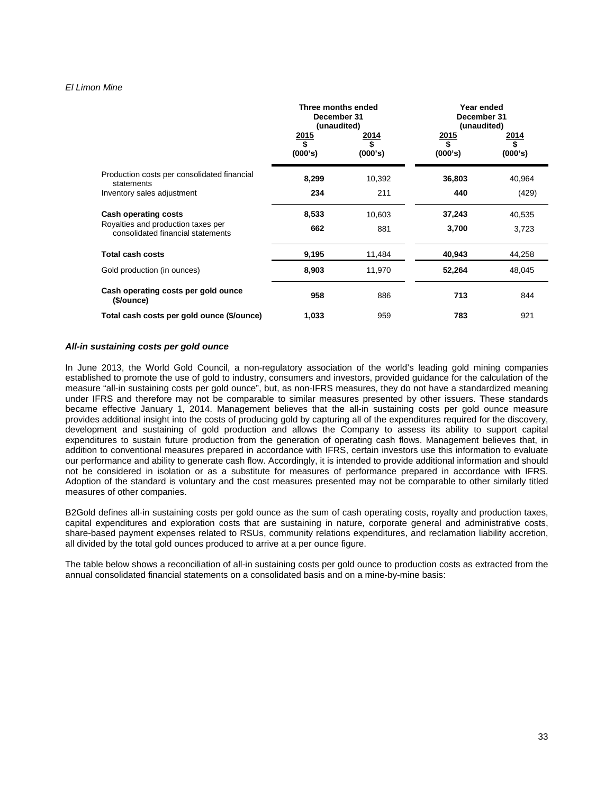### *El Limon Mine*

|                                                                         | Three months ended<br>December 31<br>(unaudited) |                          | Year ended<br>December 31<br>(unaudited) |                                |
|-------------------------------------------------------------------------|--------------------------------------------------|--------------------------|------------------------------------------|--------------------------------|
|                                                                         | $\frac{2015}{$}$<br>(000's)                      | <u> 2014 </u><br>(000's) | $\frac{2015}{$}$<br>(000's)              | <u> 2014 </u><br>\$<br>(000's) |
| Production costs per consolidated financial<br>statements               | 8,299                                            | 10,392                   | 36,803                                   | 40,964                         |
| Inventory sales adjustment                                              | 234                                              | 211                      | 440                                      | (429)                          |
| <b>Cash operating costs</b>                                             | 8,533                                            | 10,603                   | 37,243                                   | 40,535                         |
| Royalties and production taxes per<br>consolidated financial statements | 662                                              | 881                      | 3,700                                    | 3,723                          |
| <b>Total cash costs</b>                                                 | 9,195                                            | 11,484                   | 40,943                                   | 44,258                         |
| Gold production (in ounces)                                             | 8,903                                            | 11,970                   | 52,264                                   | 48,045                         |
| Cash operating costs per gold ounce<br>(\$/ounce)                       | 958                                              | 886                      | 713                                      | 844                            |
| Total cash costs per gold ounce (\$/ounce)                              | 1,033                                            | 959                      | 783                                      | 921                            |

#### *All-in sustaining costs per gold ounce*

In June 2013, the World Gold Council, a non-regulatory association of the world's leading gold mining companies established to promote the use of gold to industry, consumers and investors, provided guidance for the calculation of the measure "all-in sustaining costs per gold ounce", but, as non-IFRS measures, they do not have a standardized meaning under IFRS and therefore may not be comparable to similar measures presented by other issuers. These standards became effective January 1, 2014. Management believes that the all-in sustaining costs per gold ounce measure provides additional insight into the costs of producing gold by capturing all of the expenditures required for the discovery, development and sustaining of gold production and allows the Company to assess its ability to support capital expenditures to sustain future production from the generation of operating cash flows. Management believes that, in addition to conventional measures prepared in accordance with IFRS, certain investors use this information to evaluate our performance and ability to generate cash flow. Accordingly, it is intended to provide additional information and should not be considered in isolation or as a substitute for measures of performance prepared in accordance with IFRS. Adoption of the standard is voluntary and the cost measures presented may not be comparable to other similarly titled measures of other companies.

B2Gold defines all-in sustaining costs per gold ounce as the sum of cash operating costs, royalty and production taxes, capital expenditures and exploration costs that are sustaining in nature, corporate general and administrative costs, share-based payment expenses related to RSUs, community relations expenditures, and reclamation liability accretion, all divided by the total gold ounces produced to arrive at a per ounce figure.

The table below shows a reconciliation of all-in sustaining costs per gold ounce to production costs as extracted from the annual consolidated financial statements on a consolidated basis and on a mine-by-mine basis: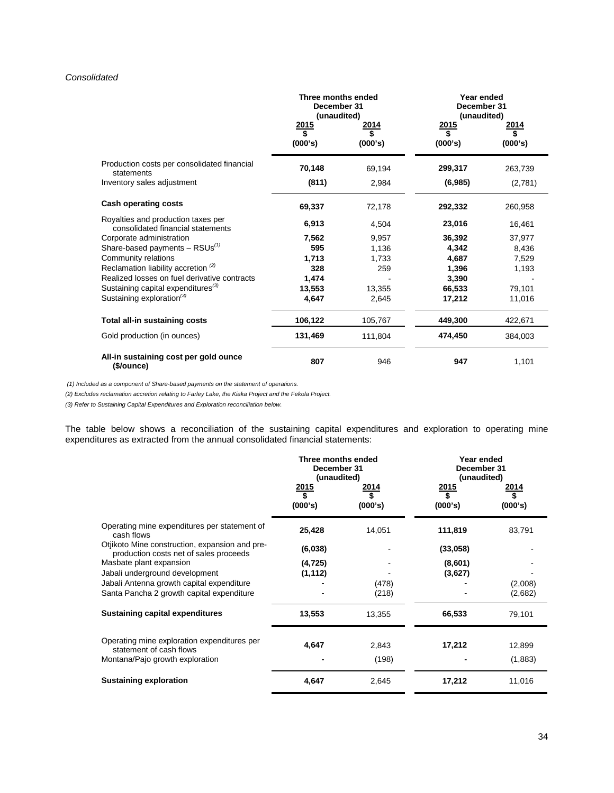# *Consolidated*

|                                                                         | Three months ended<br>December 31<br>(unaudited) |                      | Year ended<br>December 31<br>(unaudited) |                       |
|-------------------------------------------------------------------------|--------------------------------------------------|----------------------|------------------------------------------|-----------------------|
|                                                                         | 2015<br>\$<br>(000's)                            | 2014<br>S<br>(000's) | 2015<br>\$<br>(000's)                    | 2014<br>\$<br>(000's) |
| Production costs per consolidated financial<br>statements               | 70,148                                           | 69,194               | 299,317                                  | 263,739               |
| Inventory sales adjustment                                              | (811)                                            | 2,984                | (6,985)                                  | (2,781)               |
| <b>Cash operating costs</b>                                             | 69,337                                           | 72,178               | 292,332                                  | 260,958               |
| Royalties and production taxes per<br>consolidated financial statements | 6,913                                            | 4,504                | 23,016                                   | 16,461                |
| Corporate administration                                                | 7,562                                            | 9,957                | 36,392                                   | 37,977                |
| Share-based payments $-$ RSUs <sup>(1)</sup>                            | 595                                              | 1,136                | 4,342                                    | 8,436                 |
| Community relations                                                     | 1.713                                            | 1,733                | 4,687                                    | 7,529                 |
| Reclamation liability accretion $(2)$                                   | 328                                              | 259                  | 1,396                                    | 1,193                 |
| Realized losses on fuel derivative contracts                            | 1,474                                            |                      | 3,390                                    |                       |
| Sustaining capital expenditures <sup>(3)</sup>                          | 13,553                                           | 13,355               | 66,533                                   | 79,101                |
| Sustaining exploration <sup>(3)</sup>                                   | 4,647                                            | 2,645                | 17,212                                   | 11,016                |
| Total all-in sustaining costs                                           | 106,122                                          | 105,767              | 449,300                                  | 422,671               |
| Gold production (in ounces)                                             | 131,469                                          | 111,804              | 474,450                                  | 384,003               |
| All-in sustaining cost per gold ounce<br>(\$/ounce)                     | 807                                              | 946                  | 947                                      | 1,101                 |

*(1) Included as a component of Share-based payments on the statement of operations.* 

*(2) Excludes reclamation accretion relating to Farley Lake, the Kiaka Project and the Fekola Project.*

*(3) Refer to Sustaining Capital Expenditures and Exploration reconciliation below.*

The table below shows a reconciliation of the sustaining capital expenditures and exploration to operating mine expenditures as extracted from the annual consolidated financial statements:

|                                                                                                           | Three months ended<br>December 31<br>(unaudited)<br>2015<br>\$<br>(000's) | 2014<br>(000's) | Year ended<br>December 31<br>(unaudited)<br>2015<br>\$<br>(000's) | 2014<br>S<br>(000's) |
|-----------------------------------------------------------------------------------------------------------|---------------------------------------------------------------------------|-----------------|-------------------------------------------------------------------|----------------------|
| Operating mine expenditures per statement of<br>cash flows                                                | 25,428                                                                    | 14,051          | 111,819                                                           | 83,791               |
| Otjikoto Mine construction, expansion and pre-<br>production costs net of sales proceeds                  | (6,038)                                                                   |                 | (33,058)                                                          |                      |
| Masbate plant expansion<br>Jabali underground development                                                 | (4, 725)<br>(1, 112)                                                      |                 | (8,601)<br>(3,627)                                                |                      |
| Jabali Antenna growth capital expenditure<br>Santa Pancha 2 growth capital expenditure                    |                                                                           | (478)<br>(218)  |                                                                   | (2,008)<br>(2,682)   |
| <b>Sustaining capital expenditures</b>                                                                    | 13,553                                                                    | 13,355          | 66,533                                                            | 79,101               |
| Operating mine exploration expenditures per<br>statement of cash flows<br>Montana/Pajo growth exploration | 4,647                                                                     | 2,843<br>(198)  | 17,212                                                            | 12,899<br>(1,883)    |
| Sustaining exploration                                                                                    | 4,647                                                                     | 2,645           | 17,212                                                            | 11,016               |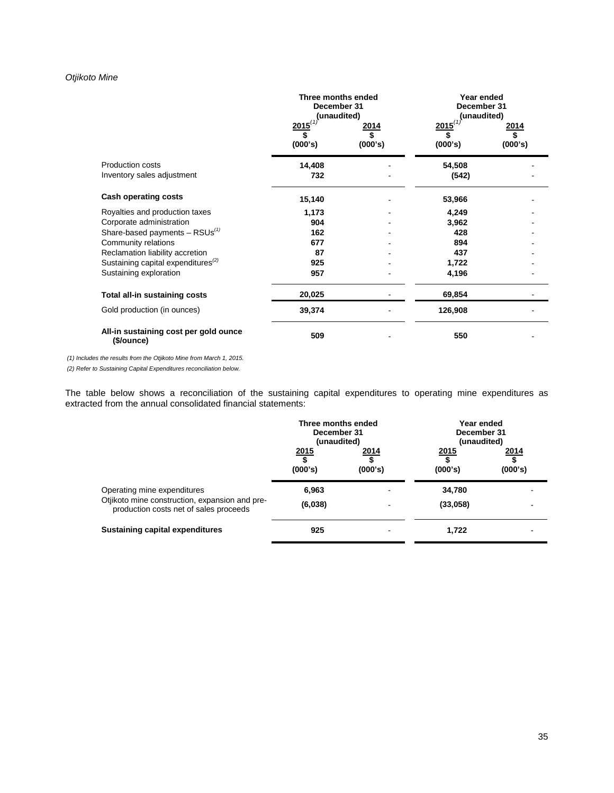# *Otjikoto Mine*

|                                                       | Three months ended<br>December 31<br>(unaudited)   |                 | Year ended<br>December 31<br>(unaudited) |                 |
|-------------------------------------------------------|----------------------------------------------------|-----------------|------------------------------------------|-----------------|
|                                                       | $2015^{(1)}$<br>$\overline{\mathbf{s}}$<br>(000's) | 2014<br>(000's) | $2015^{(1)}$<br>(000's)                  | 2014<br>(000's) |
| <b>Production costs</b><br>Inventory sales adjustment | 14,408<br>732                                      |                 | 54,508<br>(542)                          |                 |
| <b>Cash operating costs</b>                           | 15,140                                             |                 | 53,966                                   |                 |
| Royalties and production taxes                        | 1,173                                              |                 | 4,249                                    |                 |
| Corporate administration                              | 904                                                |                 | 3,962                                    |                 |
| Share-based payments $-$ RSUs <sup>(1)</sup>          | 162                                                |                 | 428                                      |                 |
| Community relations                                   | 677                                                |                 | 894                                      |                 |
| Reclamation liability accretion                       | 87                                                 |                 | 437                                      |                 |
| Sustaining capital expenditures <sup>(2)</sup>        | 925                                                |                 | 1,722                                    |                 |
| Sustaining exploration                                | 957                                                |                 | 4,196                                    |                 |
| Total all-in sustaining costs                         | 20,025                                             |                 | 69,854                                   |                 |
| Gold production (in ounces)                           | 39,374                                             |                 | 126,908                                  |                 |
| All-in sustaining cost per gold ounce<br>(\$/ounce)   | 509                                                |                 | 550                                      |                 |

*(1) Includes the results from the Otjikoto Mine from March 1, 2015.*

*(2) Refer to Sustaining Capital Expenditures reconciliation below.*

The table below shows a reconciliation of the sustaining capital expenditures to operating mine expenditures as extracted from the annual consolidated financial statements:

|                                                                                                                         |                  | Three months ended<br>December 31<br>(unaudited) |                         | Year ended<br>December 31<br>(unaudited) |  |
|-------------------------------------------------------------------------------------------------------------------------|------------------|--------------------------------------------------|-------------------------|------------------------------------------|--|
|                                                                                                                         | 2015<br>(000's)  | <u> 2014 </u><br>(000's)                         | <u> 2015</u><br>(000's) | <u>2014</u><br>(000's)                   |  |
| Operating mine expenditures<br>Otjikoto mine construction, expansion and pre-<br>production costs net of sales proceeds | 6,963<br>(6,038) |                                                  | 34,780<br>(33,058)      |                                          |  |
| <b>Sustaining capital expenditures</b>                                                                                  | 925              |                                                  | 1,722                   |                                          |  |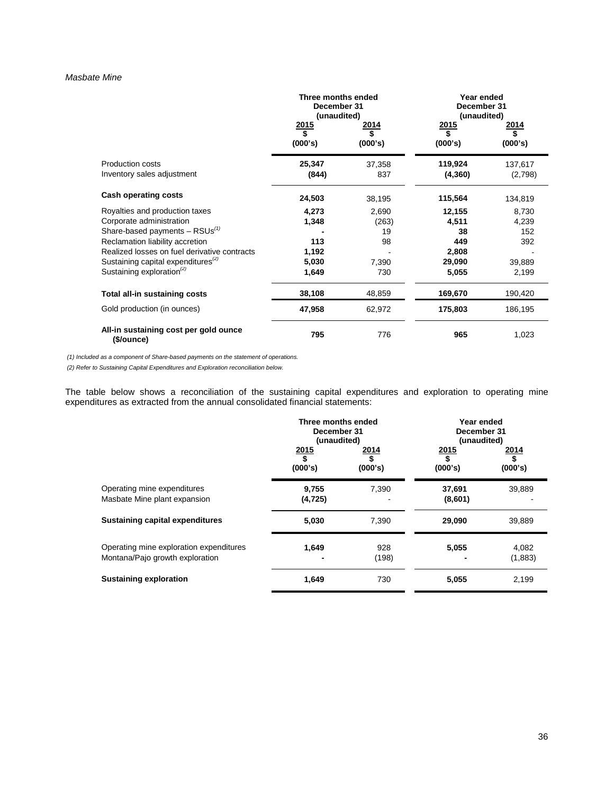# *Masbate Mine*

|                                                                                                | Three months ended<br>December 31<br>(unaudited) |                        | Year ended<br>December 31<br>(unaudited) |                          |
|------------------------------------------------------------------------------------------------|--------------------------------------------------|------------------------|------------------------------------------|--------------------------|
|                                                                                                | $\frac{2015}{$}$<br>(000's)                      | <u>2014</u><br>(000's) | $\frac{2015}{$}$<br>(000's)              | <u> 2014 </u><br>(000's) |
| <b>Production costs</b><br>Inventory sales adjustment                                          | 25,347<br>(844)                                  | 37,358<br>837          | 119,924<br>(4, 360)                      | 137,617<br>(2,798)       |
| <b>Cash operating costs</b>                                                                    | 24,503                                           | 38,195                 | 115,564                                  | 134,819                  |
| Royalties and production taxes<br>Corporate administration                                     | 4,273<br>1,348                                   | 2,690<br>(263)         | 12,155<br>4,511                          | 8,730<br>4,239           |
| Share-based payments $-$ RSUs <sup>(1)</sup><br>Reclamation liability accretion                | 113                                              | 19<br>98               | 38<br>449                                | 152<br>392               |
| Realized losses on fuel derivative contracts<br>Sustaining capital expenditures <sup>(2)</sup> | 1,192<br>5,030                                   | 7,390                  | 2,808<br>29,090                          | 39,889                   |
| Sustaining exploration <sup>(2)</sup>                                                          | 1,649                                            | 730                    | 5,055                                    | 2,199                    |
| Total all-in sustaining costs                                                                  | 38,108                                           | 48,859                 | 169,670                                  | 190,420                  |
| Gold production (in ounces)                                                                    | 47,958                                           | 62,972                 | 175,803                                  | 186,195                  |
| All-in sustaining cost per gold ounce<br>(\$/ounce)                                            | 795                                              | 776                    | 965                                      | 1,023                    |

*(1) Included as a component of Share-based payments on the statement of operations.* 

*(2) Refer to Sustaining Capital Expenditures and Exploration reconciliation below.*

The table below shows a reconciliation of the sustaining capital expenditures and exploration to operating mine expenditures as extracted from the annual consolidated financial statements:

|                                                                            | Three months ended<br>December 31<br>(unaudited) |                 | Year ended<br>December 31<br>(unaudited) |                       |
|----------------------------------------------------------------------------|--------------------------------------------------|-----------------|------------------------------------------|-----------------------|
|                                                                            | $\frac{2015}{$}$<br>(000's)                      | 2014<br>(000's) | $\frac{2015}{\$}$<br>(000's)             | 2014<br>\$<br>(000's) |
| Operating mine expenditures<br>Masbate Mine plant expansion                | 9,755<br>(4, 725)                                | 7.390           | 37,691<br>(8,601)                        | 39,889                |
| Sustaining capital expenditures                                            | 5,030                                            | 7.390           | 29,090                                   | 39,889                |
| Operating mine exploration expenditures<br>Montana/Pajo growth exploration | 1,649                                            | 928<br>(198)    | 5,055                                    | 4,082<br>(1,883)      |
| <b>Sustaining exploration</b>                                              | 1,649                                            | 730             | 5,055                                    | 2,199                 |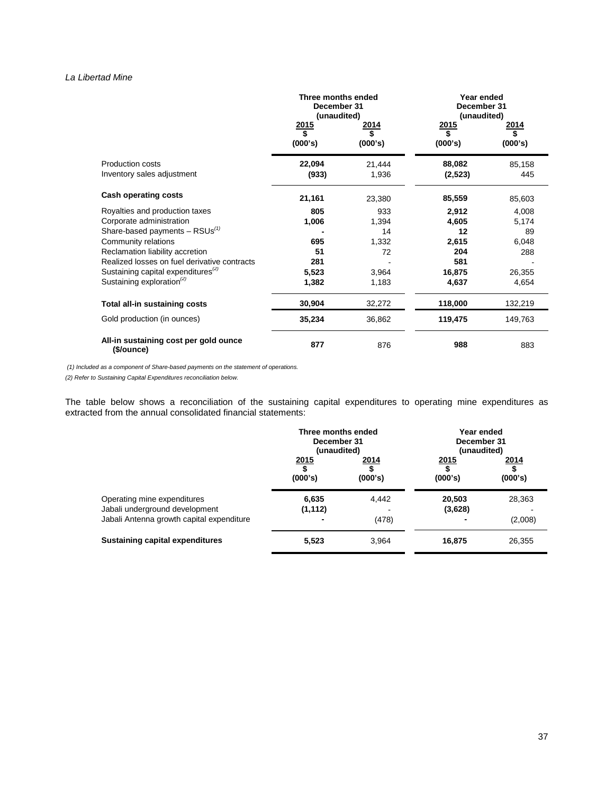# *La Libertad Mine*

|                                                     | Three months ended<br>December 31<br>(unaudited)<br><u> 2015</u><br>2014 |                 | Year ended<br>December 31<br>(unaudited)<br>2015<br><u> 2014</u> |               |
|-----------------------------------------------------|--------------------------------------------------------------------------|-----------------|------------------------------------------------------------------|---------------|
|                                                     | \$<br>(000's)                                                            | (000's)         | \$<br>(000's)                                                    | (000's)       |
| Production costs<br>Inventory sales adjustment      | 22,094<br>(933)                                                          | 21,444<br>1,936 | 88,082<br>(2,523)                                                | 85,158<br>445 |
| <b>Cash operating costs</b>                         | 21,161                                                                   | 23,380          | 85,559                                                           | 85,603        |
| Royalties and production taxes                      | 805                                                                      | 933             | 2,912                                                            | 4,008         |
| Corporate administration                            | 1,006                                                                    | 1,394           | 4,605                                                            | 5,174         |
| Share-based payments $-$ RSUs <sup>(1)</sup>        |                                                                          | 14              | 12                                                               | 89            |
| Community relations                                 | 695                                                                      | 1,332           | 2,615                                                            | 6,048         |
| Reclamation liability accretion                     | 51                                                                       | 72              | 204                                                              | 288           |
| Realized losses on fuel derivative contracts        | 281                                                                      |                 | 581                                                              |               |
| Sustaining capital expenditures $^{(2)}$            | 5,523                                                                    | 3,964           | 16,875                                                           | 26,355        |
| Sustaining exploration <sup>(2)</sup>               | 1,382                                                                    | 1,183           | 4,637                                                            | 4,654         |
| Total all-in sustaining costs                       | 30,904                                                                   | 32,272          | 118,000                                                          | 132,219       |
| Gold production (in ounces)                         | 35,234                                                                   | 36,862          | 119,475                                                          | 149,763       |
| All-in sustaining cost per gold ounce<br>(\$/ounce) | 877                                                                      | 876             | 988                                                              | 883           |

*(1) Included as a component of Share-based payments on the statement of operations.* 

*(2) Refer to Sustaining Capital Expenditures reconciliation below.*

The table below shows a reconciliation of the sustaining capital expenditures to operating mine expenditures as extracted from the annual consolidated financial statements:

|                                                                                                            | Three months ended<br>December 31<br>(unaudited) |                 | Year ended<br>December 31<br>(unaudited) |                   |
|------------------------------------------------------------------------------------------------------------|--------------------------------------------------|-----------------|------------------------------------------|-------------------|
|                                                                                                            | 2015<br>(000's)                                  | 2014<br>(000's) | <u>2015</u><br>(000's)                   | 2014<br>(000's)   |
| Operating mine expenditures<br>Jabali underground development<br>Jabali Antenna growth capital expenditure | 6,635<br>(1, 112)                                | 4.442<br>(478)  | 20,503<br>(3,628)                        | 28,363<br>(2,008) |
| <b>Sustaining capital expenditures</b>                                                                     | 5,523                                            | 3.964           | 16,875                                   | 26,355            |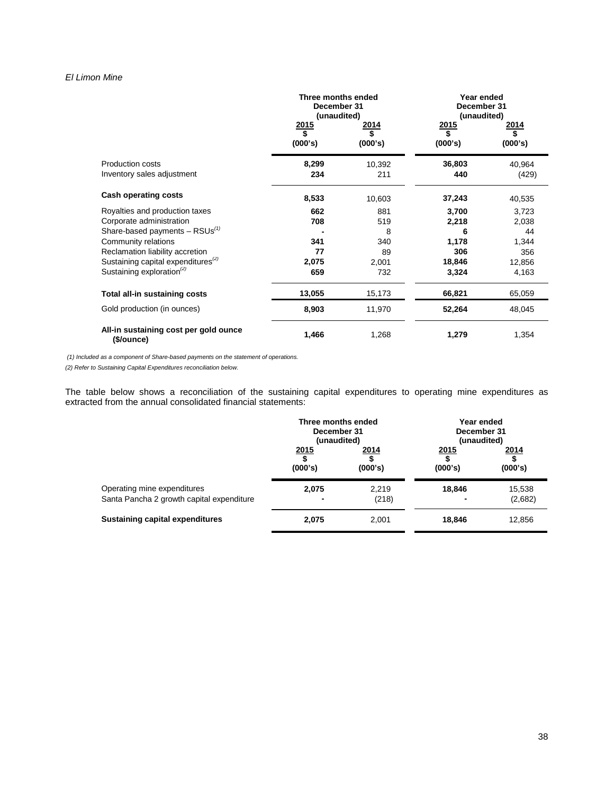# *El Limon Mine*

|                                                     | Three months ended<br>December 31<br>(unaudited) |                        | Year ended<br>December 31<br>(unaudited) |                 |  |
|-----------------------------------------------------|--------------------------------------------------|------------------------|------------------------------------------|-----------------|--|
|                                                     | $\frac{2015}{\$}$<br>(000's)                     | <u>2014</u><br>(000's) | <u>2015</u><br>(000's)                   | 2014<br>(000's) |  |
| Production costs<br>Inventory sales adjustment      | 8,299<br>234                                     | 10,392<br>211          | 36,803<br>440                            | 40,964<br>(429) |  |
| <b>Cash operating costs</b>                         | 8,533                                            | 10,603                 | 37,243                                   | 40,535          |  |
| Royalties and production taxes                      | 662                                              | 881                    | 3,700                                    | 3,723           |  |
| Corporate administration                            | 708                                              | 519                    | 2,218                                    | 2,038           |  |
| Share-based payments $-$ RSUs <sup>(1)</sup>        |                                                  | 8                      | 6                                        | 44              |  |
| Community relations                                 | 341                                              | 340                    | 1,178                                    | 1,344           |  |
| Reclamation liability accretion                     | 77                                               | 89                     | 306                                      | 356             |  |
| Sustaining capital expenditures <sup>(2)</sup>      | 2,075                                            | 2,001                  | 18,846                                   | 12,856          |  |
| Sustaining exploration <sup>(2)</sup>               | 659                                              | 732                    | 3,324                                    | 4,163           |  |
| Total all-in sustaining costs                       | 13,055                                           | 15,173                 | 66,821                                   | 65,059          |  |
| Gold production (in ounces)                         | 8,903                                            | 11,970                 | 52,264                                   | 48,045          |  |
| All-in sustaining cost per gold ounce<br>(\$/ounce) | 1,466                                            | 1,268                  | 1,279                                    | 1,354           |  |

*(1) Included as a component of Share-based payments on the statement of operations.* 

*(2) Refer to Sustaining Capital Expenditures reconciliation below.*

The table below shows a reconciliation of the sustaining capital expenditures to operating mine expenditures as extracted from the annual consolidated financial statements:

|                                                                          | Three months ended<br>December 31<br>(unaudited) |                 | Year ended<br>December 31<br>(unaudited) |                   |  |
|--------------------------------------------------------------------------|--------------------------------------------------|-----------------|------------------------------------------|-------------------|--|
|                                                                          | 2015<br>(000's)                                  | 2014<br>(000's) | 2015<br>(000's)                          | 2014<br>(000's)   |  |
| Operating mine expenditures<br>Santa Pancha 2 growth capital expenditure | 2,075                                            | 2,219<br>(218)  | 18,846                                   | 15,538<br>(2,682) |  |
| Sustaining capital expenditures                                          | 2.075                                            | 2,001           | 18.846                                   | 12,856            |  |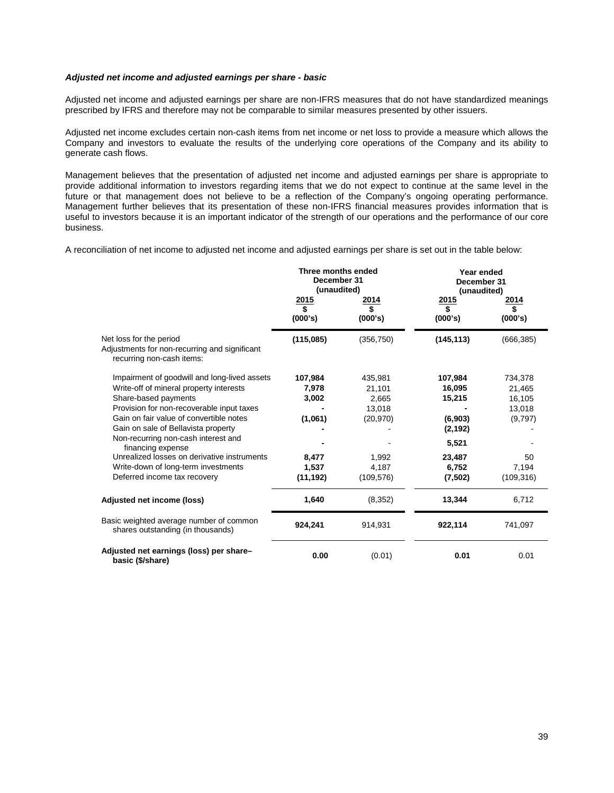# *Adjusted net income and adjusted earnings per share - basic*

Adjusted net income and adjusted earnings per share are non-IFRS measures that do not have standardized meanings prescribed by IFRS and therefore may not be comparable to similar measures presented by other issuers.

Adjusted net income excludes certain non-cash items from net income or net loss to provide a measure which allows the Company and investors to evaluate the results of the underlying core operations of the Company and its ability to generate cash flows.

Management believes that the presentation of adjusted net income and adjusted earnings per share is appropriate to provide additional information to investors regarding items that we do not expect to continue at the same level in the future or that management does not believe to be a reflection of the Company's ongoing operating performance. Management further believes that its presentation of these non-IFRS financial measures provides information that is useful to investors because it is an important indicator of the strength of our operations and the performance of our core business.

A reconciliation of net income to adjusted net income and adjusted earnings per share is set out in the table below:

|                                                                                                                                                                                                                                                                                                                                                                                                                                  | Three months ended<br>December 31<br>(unaudited)                    |                                                                                   | Year ended<br>December 31<br>(unaudited)                                                  |                                                                               |
|----------------------------------------------------------------------------------------------------------------------------------------------------------------------------------------------------------------------------------------------------------------------------------------------------------------------------------------------------------------------------------------------------------------------------------|---------------------------------------------------------------------|-----------------------------------------------------------------------------------|-------------------------------------------------------------------------------------------|-------------------------------------------------------------------------------|
|                                                                                                                                                                                                                                                                                                                                                                                                                                  | 2015<br>\$<br>(000's)                                               | 2014<br>\$<br>(000's)                                                             | 2015<br>$\overline{\mathbf{s}}$<br>(000's)                                                | 2014<br>\$<br>(000's)                                                         |
| Net loss for the period<br>Adjustments for non-recurring and significant<br>recurring non-cash items:                                                                                                                                                                                                                                                                                                                            | (115,085)                                                           | (356, 750)                                                                        | (145, 113)                                                                                | (666, 385)                                                                    |
| Impairment of goodwill and long-lived assets<br>Write-off of mineral property interests<br>Share-based payments<br>Provision for non-recoverable input taxes<br>Gain on fair value of convertible notes<br>Gain on sale of Bellavista property<br>Non-recurring non-cash interest and<br>financing expense<br>Unrealized losses on derivative instruments<br>Write-down of long-term investments<br>Deferred income tax recovery | 107,984<br>7,978<br>3,002<br>(1,061)<br>8,477<br>1,537<br>(11, 192) | 435,981<br>21,101<br>2,665<br>13,018<br>(20, 970)<br>1,992<br>4,187<br>(109, 576) | 107,984<br>16,095<br>15,215<br>(6,903)<br>(2, 192)<br>5,521<br>23,487<br>6,752<br>(7,502) | 734,378<br>21,465<br>16,105<br>13,018<br>(9,797)<br>50<br>7,194<br>(109, 316) |
| Adjusted net income (loss)                                                                                                                                                                                                                                                                                                                                                                                                       | 1,640                                                               | (8, 352)                                                                          | 13,344                                                                                    | 6,712                                                                         |
| Basic weighted average number of common<br>shares outstanding (in thousands)                                                                                                                                                                                                                                                                                                                                                     | 924,241                                                             | 914,931                                                                           | 922,114                                                                                   | 741,097                                                                       |
| Adjusted net earnings (loss) per share-<br>basic (\$/share)                                                                                                                                                                                                                                                                                                                                                                      | 0.00                                                                | (0.01)                                                                            | 0.01                                                                                      | 0.01                                                                          |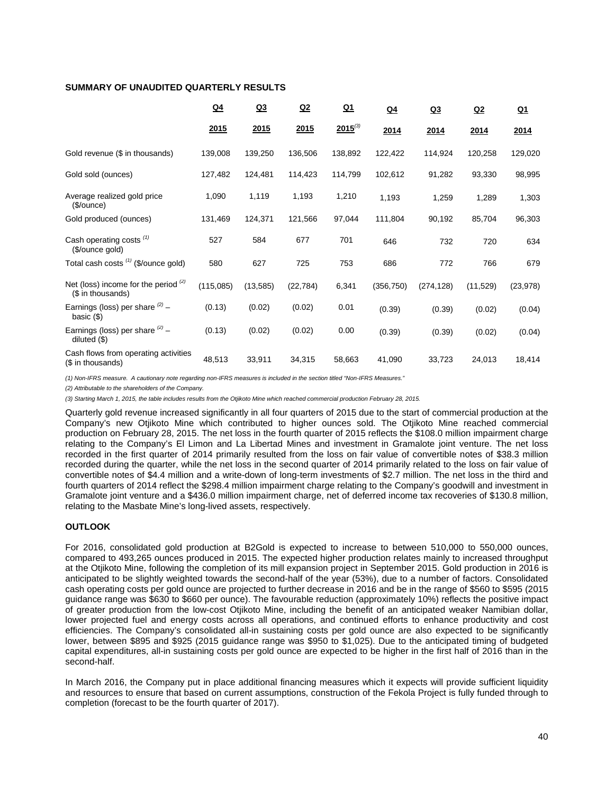# **SUMMARY OF UNAUDITED QUARTERLY RESULTS**

|                                                             | $Q_4$     | Q <sub>3</sub> | Q2        | $Q_1$        | Q <sub>4</sub> | <u>Q3</u>  | <u>Q2</u> | <u>Q1</u> |
|-------------------------------------------------------------|-----------|----------------|-----------|--------------|----------------|------------|-----------|-----------|
|                                                             | 2015      | 2015           | 2015      | $2015^{(3)}$ | 2014           | 2014       | 2014      | 2014      |
| Gold revenue (\$ in thousands)                              | 139,008   | 139,250        | 136,506   | 138,892      | 122,422        | 114,924    | 120,258   | 129,020   |
| Gold sold (ounces)                                          | 127,482   | 124,481        | 114,423   | 114,799      | 102,612        | 91,282     | 93,330    | 98,995    |
| Average realized gold price<br>(\$/ounce)                   | 1,090     | 1,119          | 1,193     | 1,210        | 1,193          | 1,259      | 1,289     | 1,303     |
| Gold produced (ounces)                                      | 131,469   | 124,371        | 121,566   | 97,044       | 111,804        | 90,192     | 85,704    | 96,303    |
| Cash operating costs (1)<br>(\$/ounce gold)                 | 527       | 584            | 677       | 701          | 646            | 732        | 720       | 634       |
| Total cash costs (1) (\$/ounce gold)                        | 580       | 627            | 725       | 753          | 686            | 772        | 766       | 679       |
| Net (loss) income for the period $(2)$<br>(\$ in thousands) | (115,085) | (13, 585)      | (22, 784) | 6,341        | (356, 750)     | (274, 128) | (11,529)  | (23, 978) |
| Earnings (loss) per share $(2)$ -<br>basic $(\$)$           | (0.13)    | (0.02)         | (0.02)    | 0.01         | (0.39)         | (0.39)     | (0.02)    | (0.04)    |
| Earnings (loss) per share $(2)$ -<br>diluted $(\$)$         | (0.13)    | (0.02)         | (0.02)    | 0.00         | (0.39)         | (0.39)     | (0.02)    | (0.04)    |
| Cash flows from operating activities<br>(\$ in thousands)   | 48,513    | 33,911         | 34,315    | 58,663       | 41,090         | 33,723     | 24,013    | 18,414    |

*(1) Non-IFRS measure. A cautionary note regarding non-IFRS measures is included in the section titled "Non-IFRS Measures."* 

*(2) Attributable to the shareholders of the Company.*

*(3) Starting March 1, 2015, the table includes results from the Otjikoto Mine which reached commercial production February 28, 2015.*

Quarterly gold revenue increased significantly in all four quarters of 2015 due to the start of commercial production at the Company's new Otjikoto Mine which contributed to higher ounces sold. The Otjikoto Mine reached commercial production on February 28, 2015. The net loss in the fourth quarter of 2015 reflects the \$108.0 million impairment charge relating to the Company's El Limon and La Libertad Mines and investment in Gramalote joint venture. The net loss recorded in the first quarter of 2014 primarily resulted from the loss on fair value of convertible notes of \$38.3 million recorded during the quarter, while the net loss in the second quarter of 2014 primarily related to the loss on fair value of convertible notes of \$4.4 million and a write-down of long-term investments of \$2.7 million. The net loss in the third and fourth quarters of 2014 reflect the \$298.4 million impairment charge relating to the Company's goodwill and investment in Gramalote joint venture and a \$436.0 million impairment charge, net of deferred income tax recoveries of \$130.8 million, relating to the Masbate Mine's long-lived assets, respectively.

# **OUTLOOK**

For 2016, consolidated gold production at B2Gold is expected to increase to between 510,000 to 550,000 ounces, compared to 493,265 ounces produced in 2015. The expected higher production relates mainly to increased throughput at the Otjikoto Mine, following the completion of its mill expansion project in September 2015. Gold production in 2016 is anticipated to be slightly weighted towards the second-half of the year (53%), due to a number of factors. Consolidated cash operating costs per gold ounce are projected to further decrease in 2016 and be in the range of \$560 to \$595 (2015 guidance range was \$630 to \$660 per ounce). The favourable reduction (approximately 10%) reflects the positive impact of greater production from the low-cost Otjikoto Mine, including the benefit of an anticipated weaker Namibian dollar, lower projected fuel and energy costs across all operations, and continued efforts to enhance productivity and cost efficiencies. The Company's consolidated all-in sustaining costs per gold ounce are also expected to be significantly lower, between \$895 and \$925 (2015 guidance range was \$950 to \$1,025). Due to the anticipated timing of budgeted capital expenditures, all-in sustaining costs per gold ounce are expected to be higher in the first half of 2016 than in the second-half.

In March 2016, the Company put in place additional financing measures which it expects will provide sufficient liquidity and resources to ensure that based on current assumptions, construction of the Fekola Project is fully funded through to completion (forecast to be the fourth quarter of 2017).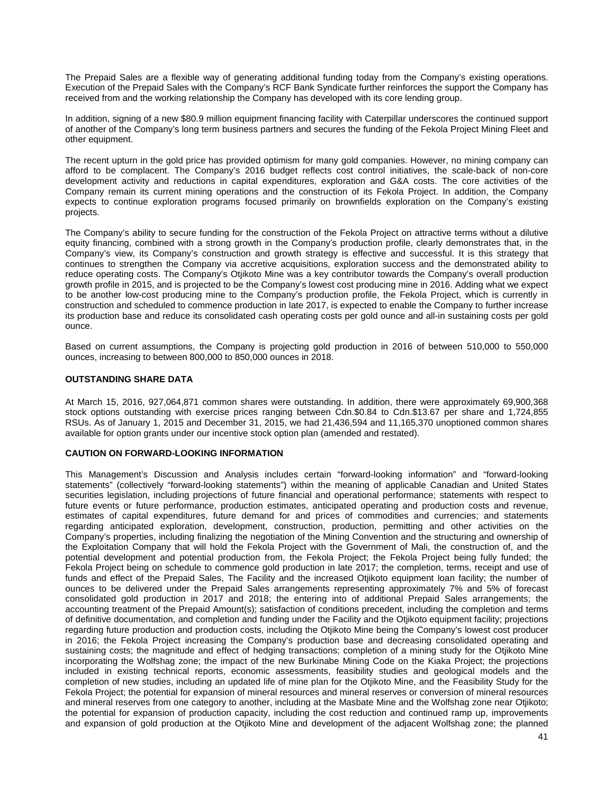The Prepaid Sales are a flexible way of generating additional funding today from the Company's existing operations. Execution of the Prepaid Sales with the Company's RCF Bank Syndicate further reinforces the support the Company has received from and the working relationship the Company has developed with its core lending group.

In addition, signing of a new \$80.9 million equipment financing facility with Caterpillar underscores the continued support of another of the Company's long term business partners and secures the funding of the Fekola Project Mining Fleet and other equipment.

The recent upturn in the gold price has provided optimism for many gold companies. However, no mining company can afford to be complacent. The Company's 2016 budget reflects cost control initiatives, the scale-back of non-core development activity and reductions in capital expenditures, exploration and G&A costs. The core activities of the Company remain its current mining operations and the construction of its Fekola Project. In addition, the Company expects to continue exploration programs focused primarily on brownfields exploration on the Company's existing projects.

The Company's ability to secure funding for the construction of the Fekola Project on attractive terms without a dilutive equity financing, combined with a strong growth in the Company's production profile, clearly demonstrates that, in the Company's view, its Company's construction and growth strategy is effective and successful. It is this strategy that continues to strengthen the Company via accretive acquisitions, exploration success and the demonstrated ability to reduce operating costs. The Company's Otjikoto Mine was a key contributor towards the Company's overall production growth profile in 2015, and is projected to be the Company's lowest cost producing mine in 2016. Adding what we expect to be another low-cost producing mine to the Company's production profile, the Fekola Project, which is currently in construction and scheduled to commence production in late 2017, is expected to enable the Company to further increase its production base and reduce its consolidated cash operating costs per gold ounce and all-in sustaining costs per gold ounce.

Based on current assumptions, the Company is projecting gold production in 2016 of between 510,000 to 550,000 ounces, increasing to between 800,000 to 850,000 ounces in 2018.

# **OUTSTANDING SHARE DATA**

At March 15, 2016, 927,064,871 common shares were outstanding. In addition, there were approximately 69,900,368 stock options outstanding with exercise prices ranging between Cdn.\$0.84 to Cdn.\$13.67 per share and 1,724,855 RSUs. As of January 1, 2015 and December 31, 2015, we had 21,436,594 and 11,165,370 unoptioned common shares available for option grants under our incentive stock option plan (amended and restated).

# **CAUTION ON FORWARD-LOOKING INFORMATION**

This Management's Discussion and Analysis includes certain "forward-looking information" and "forward-looking statements" (collectively "forward-looking statements") within the meaning of applicable Canadian and United States securities legislation, including projections of future financial and operational performance; statements with respect to future events or future performance, production estimates, anticipated operating and production costs and revenue, estimates of capital expenditures, future demand for and prices of commodities and currencies; and statements regarding anticipated exploration, development, construction, production, permitting and other activities on the Company's properties, including finalizing the negotiation of the Mining Convention and the structuring and ownership of the Exploitation Company that will hold the Fekola Project with the Government of Mali, the construction of, and the potential development and potential production from, the Fekola Project; the Fekola Project being fully funded; the Fekola Project being on schedule to commence gold production in late 2017; the completion, terms, receipt and use of funds and effect of the Prepaid Sales, The Facility and the increased Otjikoto equipment loan facility; the number of ounces to be delivered under the Prepaid Sales arrangements representing approximately 7% and 5% of forecast consolidated gold production in 2017 and 2018; the entering into of additional Prepaid Sales arrangements; the accounting treatment of the Prepaid Amount(s); satisfaction of conditions precedent, including the completion and terms of definitive documentation, and completion and funding under the Facility and the Otjikoto equipment facility; projections regarding future production and production costs, including the Otiikoto Mine being the Company's lowest cost producer in 2016; the Fekola Project increasing the Company's production base and decreasing consolidated operating and sustaining costs; the magnitude and effect of hedging transactions; completion of a mining study for the Otjikoto Mine incorporating the Wolfshag zone; the impact of the new Burkinabe Mining Code on the Kiaka Project; the projections included in existing technical reports, economic assessments, feasibility studies and geological models and the completion of new studies, including an updated life of mine plan for the Otjikoto Mine, and the Feasibility Study for the Fekola Project; the potential for expansion of mineral resources and mineral reserves or conversion of mineral resources and mineral reserves from one category to another, including at the Masbate Mine and the Wolfshag zone near Otjikoto; the potential for expansion of production capacity, including the cost reduction and continued ramp up, improvements and expansion of gold production at the Otjikoto Mine and development of the adjacent Wolfshag zone; the planned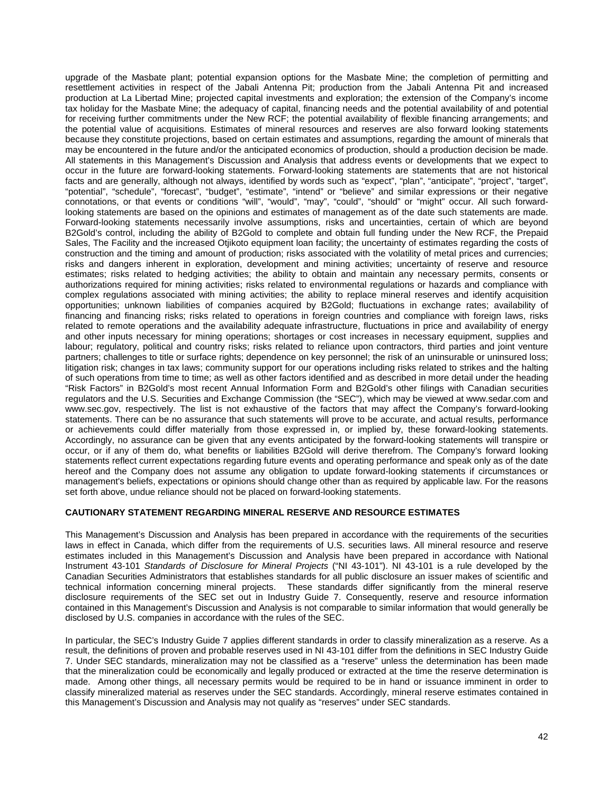upgrade of the Masbate plant; potential expansion options for the Masbate Mine; the completion of permitting and resettlement activities in respect of the Jabali Antenna Pit; production from the Jabali Antenna Pit and increased production at La Libertad Mine; projected capital investments and exploration; the extension of the Company's income tax holiday for the Masbate Mine; the adequacy of capital, financing needs and the potential availability of and potential for receiving further commitments under the New RCF; the potential availability of flexible financing arrangements; and the potential value of acquisitions. Estimates of mineral resources and reserves are also forward looking statements because they constitute projections, based on certain estimates and assumptions, regarding the amount of minerals that may be encountered in the future and/or the anticipated economics of production, should a production decision be made. All statements in this Management's Discussion and Analysis that address events or developments that we expect to occur in the future are forward-looking statements. Forward-looking statements are statements that are not historical facts and are generally, although not always, identified by words such as "expect", "plan", "anticipate", "project", "target", "potential", "schedule", "forecast", "budget", "estimate", "intend" or "believe" and similar expressions or their negative connotations, or that events or conditions "will", "would", "may", "could", "should" or "might" occur. All such forwardlooking statements are based on the opinions and estimates of management as of the date such statements are made. Forward-looking statements necessarily involve assumptions, risks and uncertainties, certain of which are beyond B2Gold's control, including the ability of B2Gold to complete and obtain full funding under the New RCF, the Prepaid Sales, The Facility and the increased Otjikoto equipment loan facility; the uncertainty of estimates regarding the costs of construction and the timing and amount of production; risks associated with the volatility of metal prices and currencies; risks and dangers inherent in exploration, development and mining activities; uncertainty of reserve and resource estimates; risks related to hedging activities; the ability to obtain and maintain any necessary permits, consents or authorizations required for mining activities; risks related to environmental regulations or hazards and compliance with complex regulations associated with mining activities; the ability to replace mineral reserves and identify acquisition opportunities; unknown liabilities of companies acquired by B2Gold; fluctuations in exchange rates; availability of financing and financing risks; risks related to operations in foreign countries and compliance with foreign laws, risks related to remote operations and the availability adequate infrastructure, fluctuations in price and availability of energy and other inputs necessary for mining operations; shortages or cost increases in necessary equipment, supplies and labour; regulatory, political and country risks; risks related to reliance upon contractors, third parties and joint venture partners; challenges to title or surface rights; dependence on key personnel; the risk of an uninsurable or uninsured loss; litigation risk; changes in tax laws; community support for our operations including risks related to strikes and the halting of such operations from time to time; as well as other factors identified and as described in more detail under the heading "Risk Factors" in B2Gold's most recent Annual Information Form and B2Gold's other filings with Canadian securities regulators and the U.S. Securities and Exchange Commission (the "SEC"), which may be viewed at www.sedar.com and www.sec.gov, respectively. The list is not exhaustive of the factors that may affect the Company's forward-looking statements. There can be no assurance that such statements will prove to be accurate, and actual results, performance or achievements could differ materially from those expressed in, or implied by, these forward-looking statements. Accordingly, no assurance can be given that any events anticipated by the forward-looking statements will transpire or occur, or if any of them do, what benefits or liabilities B2Gold will derive therefrom. The Company's forward looking statements reflect current expectations regarding future events and operating performance and speak only as of the date hereof and the Company does not assume any obligation to update forward-looking statements if circumstances or management's beliefs, expectations or opinions should change other than as required by applicable law. For the reasons set forth above, undue reliance should not be placed on forward-looking statements.

# **CAUTIONARY STATEMENT REGARDING MINERAL RESERVE AND RESOURCE ESTIMATES**

This Management's Discussion and Analysis has been prepared in accordance with the requirements of the securities laws in effect in Canada, which differ from the requirements of U.S. securities laws. All mineral resource and reserve estimates included in this Management's Discussion and Analysis have been prepared in accordance with National Instrument 43-101 *Standards of Disclosure for Mineral Projects* ("NI 43-101"). NI 43-101 is a rule developed by the Canadian Securities Administrators that establishes standards for all public disclosure an issuer makes of scientific and technical information concerning mineral projects. These standards differ significantly from the mineral reserve disclosure requirements of the SEC set out in Industry Guide 7. Consequently, reserve and resource information contained in this Management's Discussion and Analysis is not comparable to similar information that would generally be disclosed by U.S. companies in accordance with the rules of the SEC.

In particular, the SEC's Industry Guide 7 applies different standards in order to classify mineralization as a reserve. As a result, the definitions of proven and probable reserves used in NI 43-101 differ from the definitions in SEC Industry Guide 7. Under SEC standards, mineralization may not be classified as a "reserve" unless the determination has been made that the mineralization could be economically and legally produced or extracted at the time the reserve determination is made. Among other things, all necessary permits would be required to be in hand or issuance imminent in order to classify mineralized material as reserves under the SEC standards. Accordingly, mineral reserve estimates contained in this Management's Discussion and Analysis may not qualify as "reserves" under SEC standards.